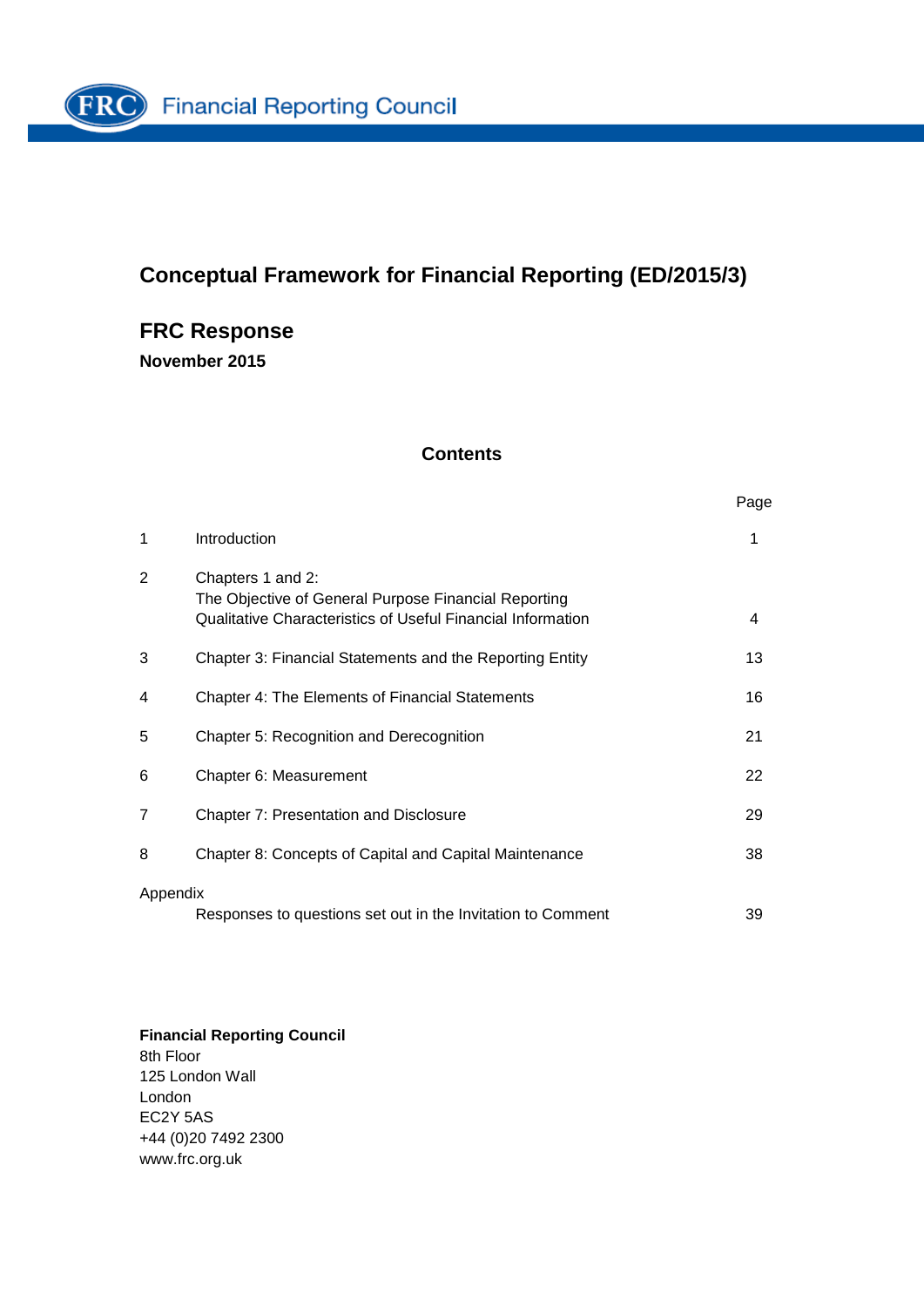

# **Conceptual Framework for Financial Reporting (ED/2015/3)**

# **FRC Response**

**November 2015**

### **Contents**

| ×<br>٧<br>× |  |
|-------------|--|

| 1              | Introduction                                                                                                                             | 1  |
|----------------|------------------------------------------------------------------------------------------------------------------------------------------|----|
| 2              | Chapters 1 and 2:<br>The Objective of General Purpose Financial Reporting<br>Qualitative Characteristics of Useful Financial Information | 4  |
| 3              | Chapter 3: Financial Statements and the Reporting Entity                                                                                 | 13 |
| 4              | Chapter 4: The Elements of Financial Statements                                                                                          | 16 |
| 5              | Chapter 5: Recognition and Derecognition                                                                                                 | 21 |
| 6              | Chapter 6: Measurement                                                                                                                   | 22 |
| $\overline{7}$ | Chapter 7: Presentation and Disclosure                                                                                                   | 29 |
| 8              | Chapter 8: Concepts of Capital and Capital Maintenance                                                                                   | 38 |
| Appendix       | Responses to questions set out in the Invitation to Comment                                                                              | 39 |

**Financial Reporting Council** 8th Floor 125 London Wall London EC2Y 5AS +44 (0)20 7492 2300 www.frc.org.uk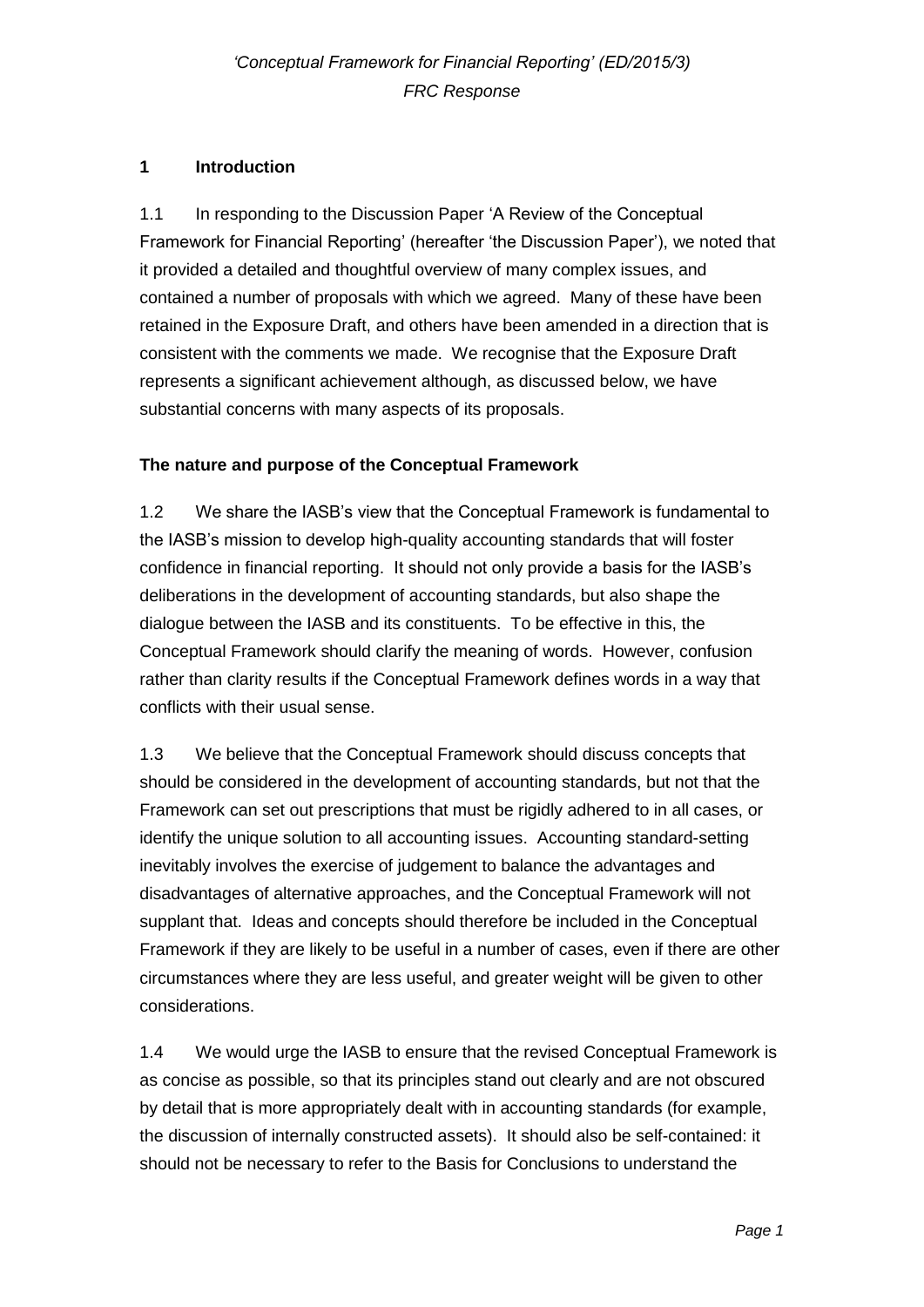## **1 Introduction**

1.1 In responding to the Discussion Paper 'A Review of the Conceptual Framework for Financial Reporting' (hereafter 'the Discussion Paper'), we noted that it provided a detailed and thoughtful overview of many complex issues, and contained a number of proposals with which we agreed. Many of these have been retained in the Exposure Draft, and others have been amended in a direction that is consistent with the comments we made. We recognise that the Exposure Draft represents a significant achievement although, as discussed below, we have substantial concerns with many aspects of its proposals.

### **The nature and purpose of the Conceptual Framework**

1.2 We share the IASB's view that the Conceptual Framework is fundamental to the IASB's mission to develop high-quality accounting standards that will foster confidence in financial reporting. It should not only provide a basis for the IASB's deliberations in the development of accounting standards, but also shape the dialogue between the IASB and its constituents. To be effective in this, the Conceptual Framework should clarify the meaning of words. However, confusion rather than clarity results if the Conceptual Framework defines words in a way that conflicts with their usual sense.

1.3 We believe that the Conceptual Framework should discuss concepts that should be considered in the development of accounting standards, but not that the Framework can set out prescriptions that must be rigidly adhered to in all cases, or identify the unique solution to all accounting issues. Accounting standard-setting inevitably involves the exercise of judgement to balance the advantages and disadvantages of alternative approaches, and the Conceptual Framework will not supplant that. Ideas and concepts should therefore be included in the Conceptual Framework if they are likely to be useful in a number of cases, even if there are other circumstances where they are less useful, and greater weight will be given to other considerations.

1.4 We would urge the IASB to ensure that the revised Conceptual Framework is as concise as possible, so that its principles stand out clearly and are not obscured by detail that is more appropriately dealt with in accounting standards (for example, the discussion of internally constructed assets). It should also be self-contained: it should not be necessary to refer to the Basis for Conclusions to understand the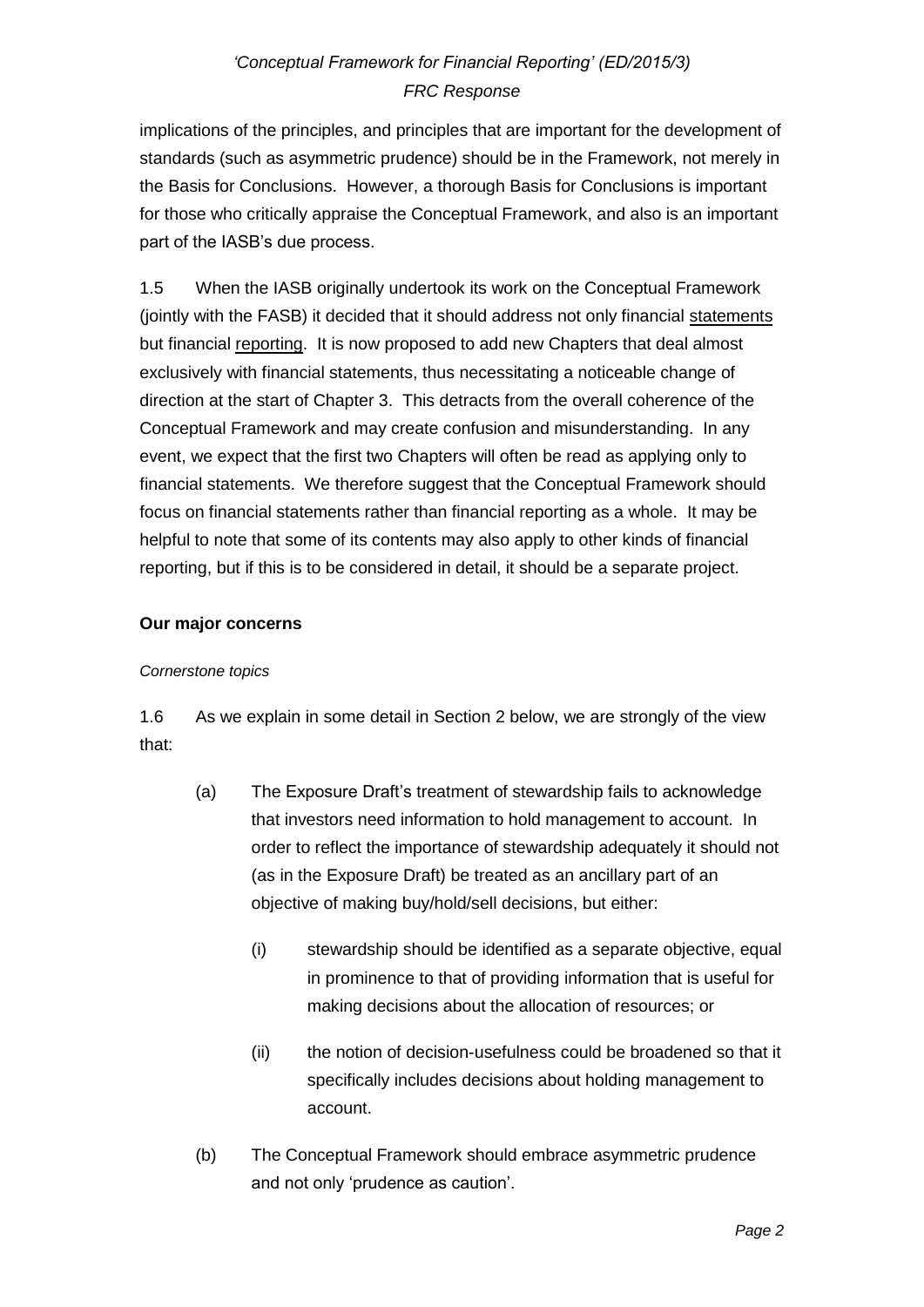implications of the principles, and principles that are important for the development of standards (such as asymmetric prudence) should be in the Framework, not merely in the Basis for Conclusions. However, a thorough Basis for Conclusions is important for those who critically appraise the Conceptual Framework, and also is an important part of the IASB's due process.

1.5 When the IASB originally undertook its work on the Conceptual Framework (jointly with the FASB) it decided that it should address not only financial statements but financial reporting. It is now proposed to add new Chapters that deal almost exclusively with financial statements, thus necessitating a noticeable change of direction at the start of Chapter 3. This detracts from the overall coherence of the Conceptual Framework and may create confusion and misunderstanding. In any event, we expect that the first two Chapters will often be read as applying only to financial statements. We therefore suggest that the Conceptual Framework should focus on financial statements rather than financial reporting as a whole. It may be helpful to note that some of its contents may also apply to other kinds of financial reporting, but if this is to be considered in detail, it should be a separate project.

### **Our major concerns**

#### *Cornerstone topics*

1.6 As we explain in some detail in Section 2 below, we are strongly of the view that:

- (a) The Exposure Draft's treatment of stewardship fails to acknowledge that investors need information to hold management to account. In order to reflect the importance of stewardship adequately it should not (as in the Exposure Draft) be treated as an ancillary part of an objective of making buy/hold/sell decisions, but either:
	- (i) stewardship should be identified as a separate objective, equal in prominence to that of providing information that is useful for making decisions about the allocation of resources; or
	- (ii) the notion of decision-usefulness could be broadened so that it specifically includes decisions about holding management to account.
- (b) The Conceptual Framework should embrace asymmetric prudence and not only 'prudence as caution'.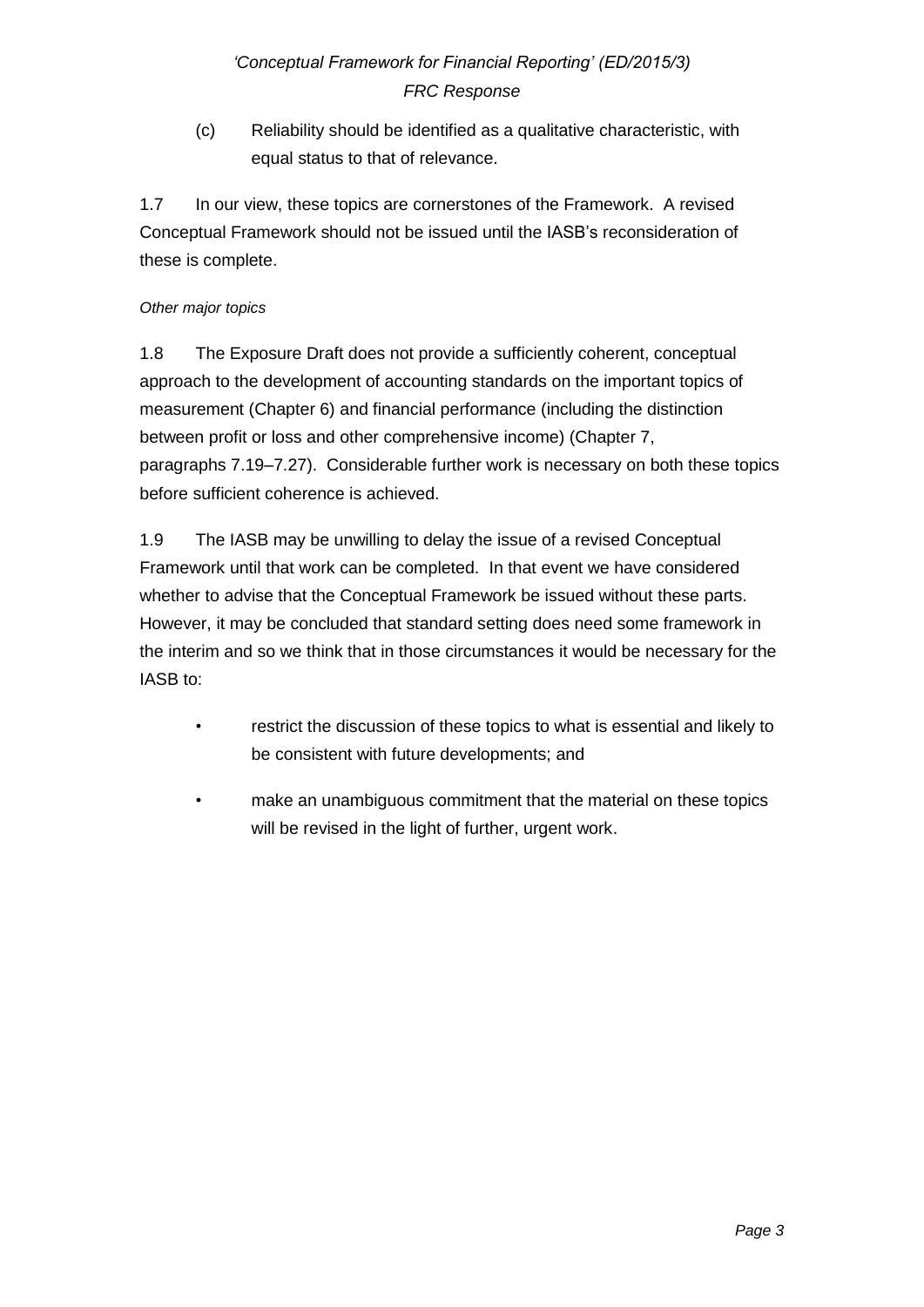(c) Reliability should be identified as a qualitative characteristic, with equal status to that of relevance.

1.7 In our view, these topics are cornerstones of the Framework. A revised Conceptual Framework should not be issued until the IASB's reconsideration of these is complete.

### *Other major topics*

1.8 The Exposure Draft does not provide a sufficiently coherent, conceptual approach to the development of accounting standards on the important topics of measurement (Chapter 6) and financial performance (including the distinction between profit or loss and other comprehensive income) (Chapter 7, paragraphs 7.19–7.27). Considerable further work is necessary on both these topics before sufficient coherence is achieved.

1.9 The IASB may be unwilling to delay the issue of a revised Conceptual Framework until that work can be completed. In that event we have considered whether to advise that the Conceptual Framework be issued without these parts. However, it may be concluded that standard setting does need some framework in the interim and so we think that in those circumstances it would be necessary for the IASB to:

- restrict the discussion of these topics to what is essential and likely to be consistent with future developments; and
- make an unambiguous commitment that the material on these topics will be revised in the light of further, urgent work.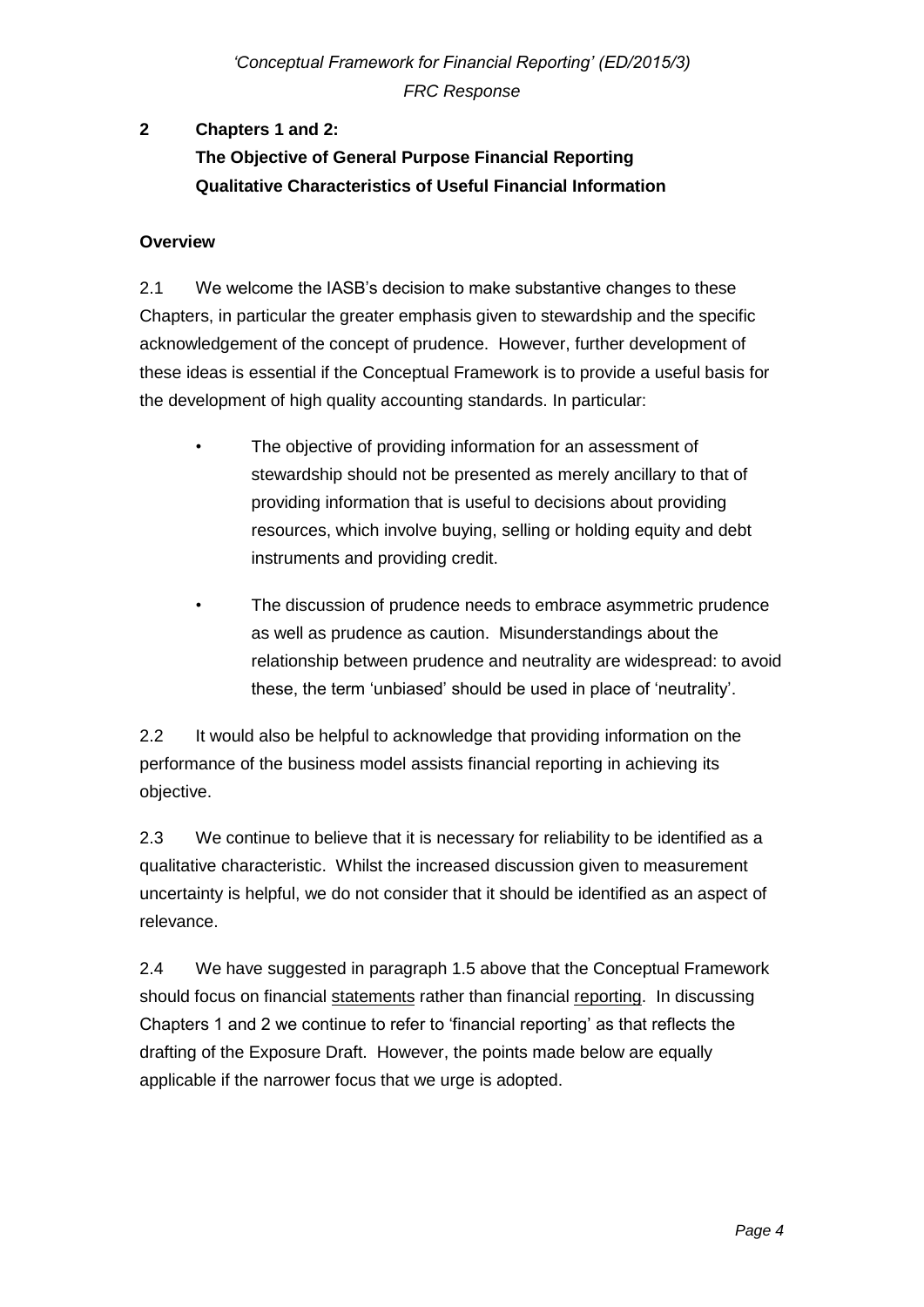# **2 Chapters 1 and 2: The Objective of General Purpose Financial Reporting Qualitative Characteristics of Useful Financial Information**

### **Overview**

2.1 We welcome the IASB's decision to make substantive changes to these Chapters, in particular the greater emphasis given to stewardship and the specific acknowledgement of the concept of prudence. However, further development of these ideas is essential if the Conceptual Framework is to provide a useful basis for the development of high quality accounting standards. In particular:

- The objective of providing information for an assessment of stewardship should not be presented as merely ancillary to that of providing information that is useful to decisions about providing resources, which involve buying, selling or holding equity and debt instruments and providing credit.
- The discussion of prudence needs to embrace asymmetric prudence as well as prudence as caution. Misunderstandings about the relationship between prudence and neutrality are widespread: to avoid these, the term 'unbiased' should be used in place of 'neutrality'.

2.2 It would also be helpful to acknowledge that providing information on the performance of the business model assists financial reporting in achieving its objective.

2.3 We continue to believe that it is necessary for reliability to be identified as a qualitative characteristic. Whilst the increased discussion given to measurement uncertainty is helpful, we do not consider that it should be identified as an aspect of relevance.

2.4 We have suggested in paragraph 1.5 above that the Conceptual Framework should focus on financial statements rather than financial reporting. In discussing Chapters 1 and 2 we continue to refer to 'financial reporting' as that reflects the drafting of the Exposure Draft. However, the points made below are equally applicable if the narrower focus that we urge is adopted.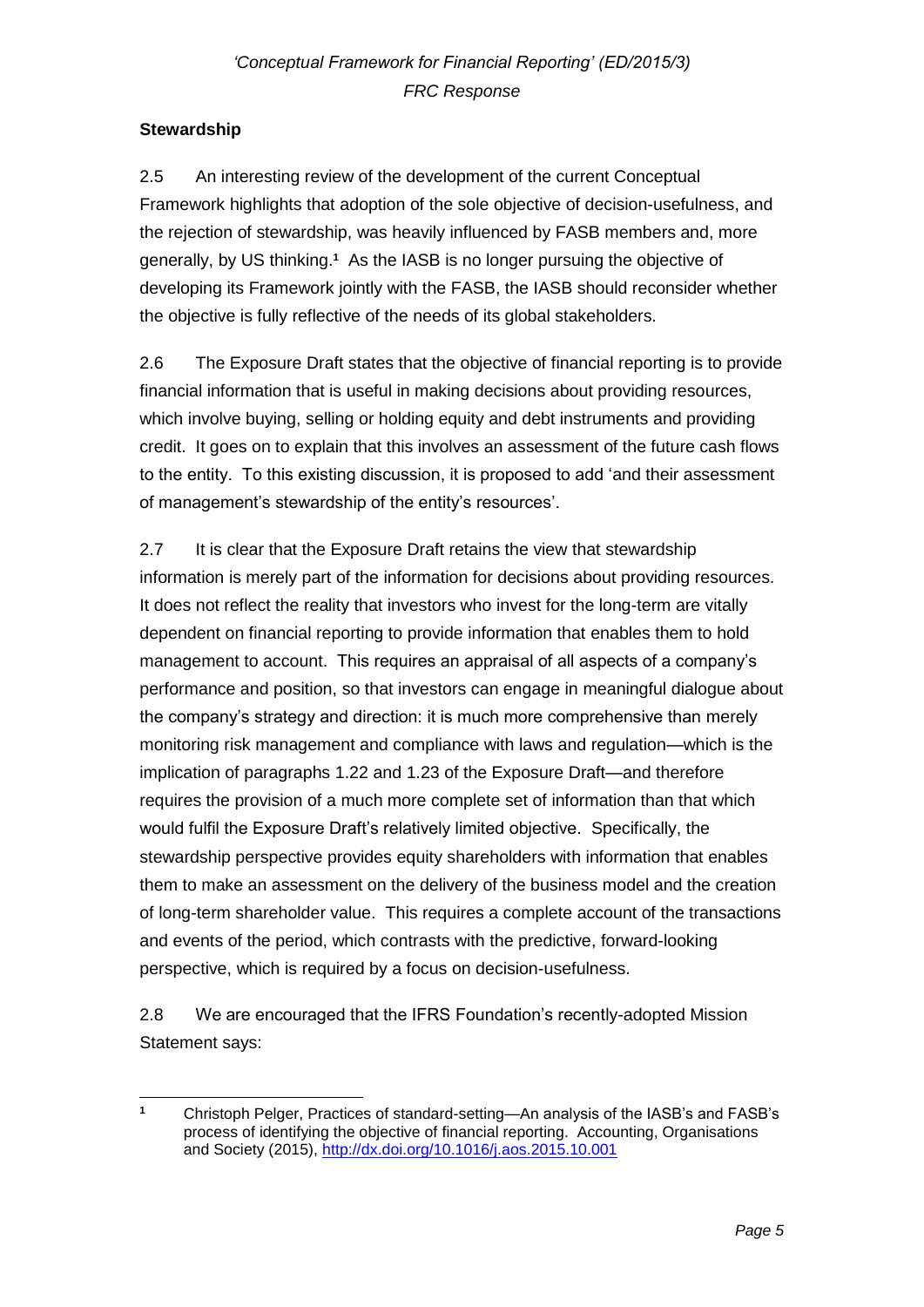## **Stewardship**

2.5 An interesting review of the development of the current Conceptual Framework highlights that adoption of the sole objective of decision-usefulness, and the rejection of stewardship, was heavily influenced by FASB members and, more generally, by US thinking.**<sup>1</sup>** As the IASB is no longer pursuing the objective of developing its Framework jointly with the FASB, the IASB should reconsider whether the objective is fully reflective of the needs of its global stakeholders.

2.6 The Exposure Draft states that the objective of financial reporting is to provide financial information that is useful in making decisions about providing resources, which involve buying, selling or holding equity and debt instruments and providing credit. It goes on to explain that this involves an assessment of the future cash flows to the entity. To this existing discussion, it is proposed to add 'and their assessment of management's stewardship of the entity's resources'.

2.7 It is clear that the Exposure Draft retains the view that stewardship information is merely part of the information for decisions about providing resources. It does not reflect the reality that investors who invest for the long-term are vitally dependent on financial reporting to provide information that enables them to hold management to account. This requires an appraisal of all aspects of a company's performance and position, so that investors can engage in meaningful dialogue about the company's strategy and direction: it is much more comprehensive than merely monitoring risk management and compliance with laws and regulation—which is the implication of paragraphs 1.22 and 1.23 of the Exposure Draft—and therefore requires the provision of a much more complete set of information than that which would fulfil the Exposure Draft's relatively limited objective. Specifically, the stewardship perspective provides equity shareholders with information that enables them to make an assessment on the delivery of the business model and the creation of long-term shareholder value. This requires a complete account of the transactions and events of the period, which contrasts with the predictive, forward-looking perspective, which is required by a focus on decision-usefulness.

2.8 We are encouraged that the IFRS Foundation's recently-adopted Mission Statement says:

 $\overline{1}$ **<sup>1</sup>** Christoph Pelger, Practices of standard-setting—An analysis of the IASB's and FASB's process of identifying the objective of financial reporting. Accounting, Organisations and Society (2015),<http://dx.doi.org/10.1016/j.aos.2015.10.001>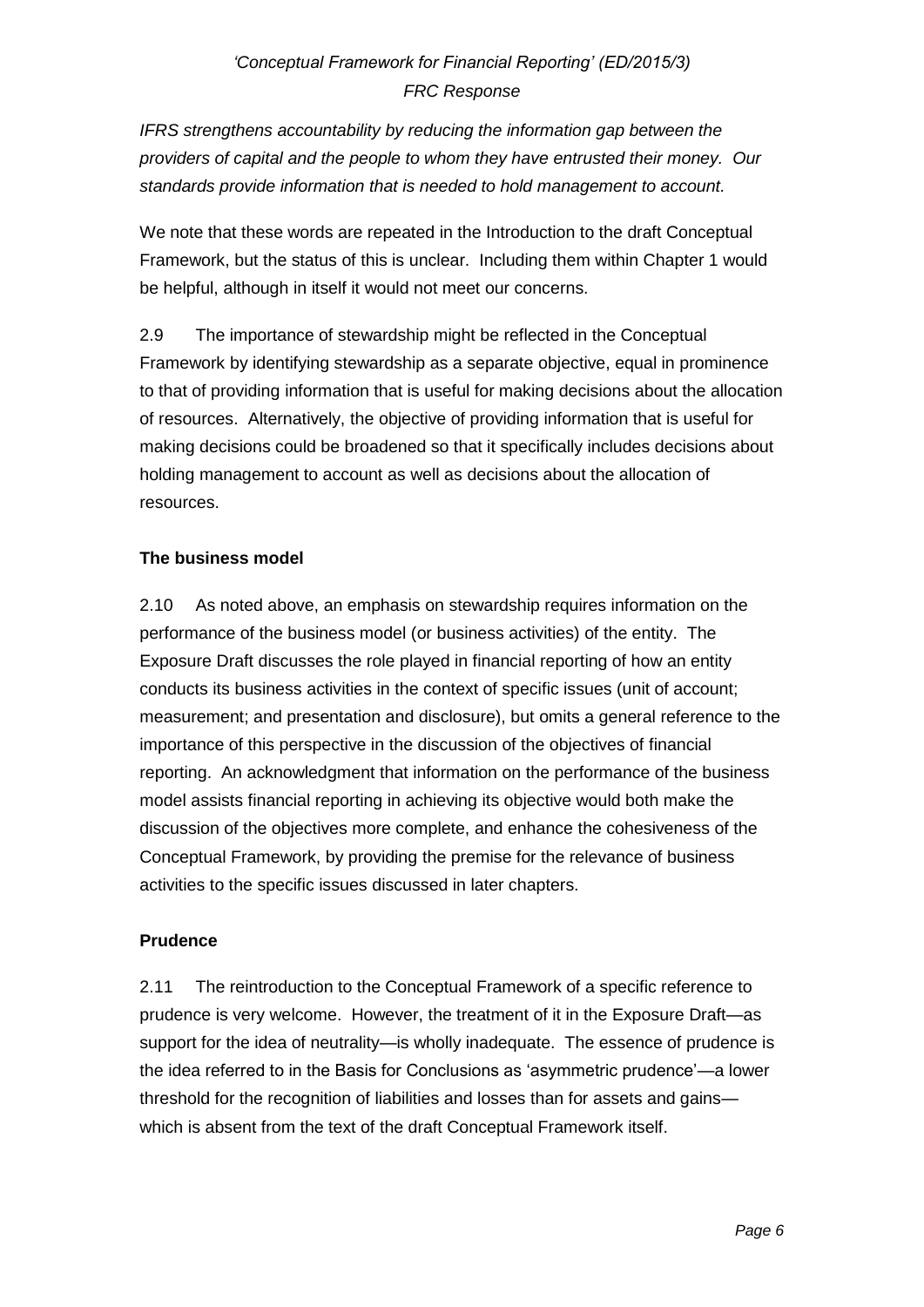*IFRS strengthens accountability by reducing the information gap between the providers of capital and the people to whom they have entrusted their money. Our standards provide information that is needed to hold management to account.*

We note that these words are repeated in the Introduction to the draft Conceptual Framework, but the status of this is unclear. Including them within Chapter 1 would be helpful, although in itself it would not meet our concerns.

2.9 The importance of stewardship might be reflected in the Conceptual Framework by identifying stewardship as a separate objective, equal in prominence to that of providing information that is useful for making decisions about the allocation of resources. Alternatively, the objective of providing information that is useful for making decisions could be broadened so that it specifically includes decisions about holding management to account as well as decisions about the allocation of resources.

## **The business model**

2.10 As noted above, an emphasis on stewardship requires information on the performance of the business model (or business activities) of the entity. The Exposure Draft discusses the role played in financial reporting of how an entity conducts its business activities in the context of specific issues (unit of account; measurement; and presentation and disclosure), but omits a general reference to the importance of this perspective in the discussion of the objectives of financial reporting. An acknowledgment that information on the performance of the business model assists financial reporting in achieving its objective would both make the discussion of the objectives more complete, and enhance the cohesiveness of the Conceptual Framework, by providing the premise for the relevance of business activities to the specific issues discussed in later chapters.

## **Prudence**

2.11 The reintroduction to the Conceptual Framework of a specific reference to prudence is very welcome. However, the treatment of it in the Exposure Draft—as support for the idea of neutrality—is wholly inadequate. The essence of prudence is the idea referred to in the Basis for Conclusions as 'asymmetric prudence'—a lower threshold for the recognition of liabilities and losses than for assets and gains which is absent from the text of the draft Conceptual Framework itself.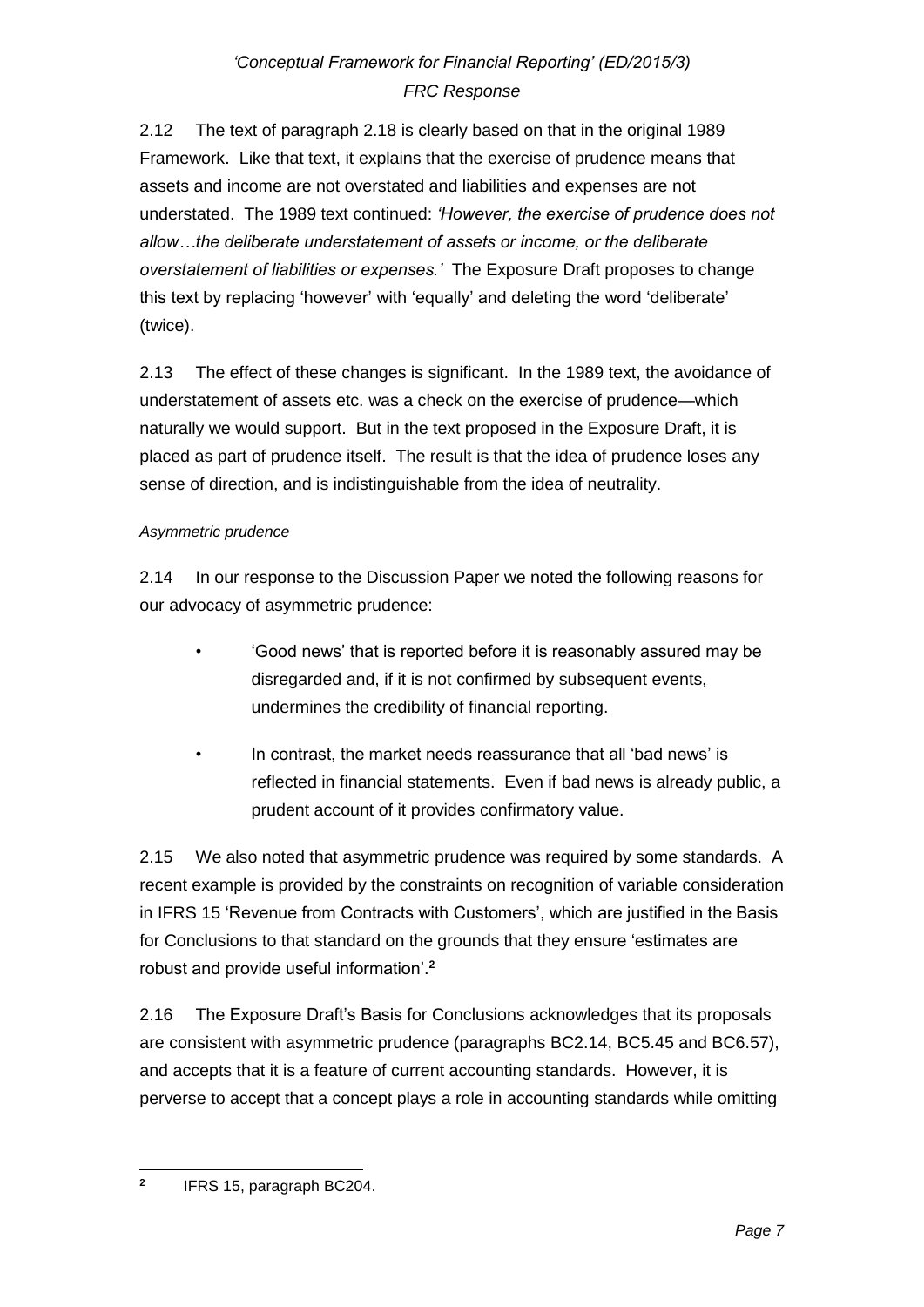2.12 The text of paragraph 2.18 is clearly based on that in the original 1989 Framework. Like that text, it explains that the exercise of prudence means that assets and income are not overstated and liabilities and expenses are not understated. The 1989 text continued: *'However, the exercise of prudence does not allow…the deliberate understatement of assets or income, or the deliberate overstatement of liabilities or expenses.'* The Exposure Draft proposes to change this text by replacing 'however' with 'equally' and deleting the word 'deliberate' (twice).

2.13 The effect of these changes is significant. In the 1989 text, the avoidance of understatement of assets etc. was a check on the exercise of prudence—which naturally we would support. But in the text proposed in the Exposure Draft, it is placed as part of prudence itself. The result is that the idea of prudence loses any sense of direction, and is indistinguishable from the idea of neutrality.

## *Asymmetric prudence*

2.14 In our response to the Discussion Paper we noted the following reasons for our advocacy of asymmetric prudence:

- 'Good news' that is reported before it is reasonably assured may be disregarded and, if it is not confirmed by subsequent events, undermines the credibility of financial reporting.
- In contrast, the market needs reassurance that all 'bad news' is reflected in financial statements. Even if bad news is already public, a prudent account of it provides confirmatory value.

2.15 We also noted that asymmetric prudence was required by some standards. A recent example is provided by the constraints on recognition of variable consideration in IFRS 15 'Revenue from Contracts with Customers', which are justified in the Basis for Conclusions to that standard on the grounds that they ensure 'estimates are robust and provide useful information'.**<sup>2</sup>**

2.16 The Exposure Draft's Basis for Conclusions acknowledges that its proposals are consistent with asymmetric prudence (paragraphs BC2.14, BC5.45 and BC6.57), and accepts that it is a feature of current accounting standards. However, it is perverse to accept that a concept plays a role in accounting standards while omitting

 **2** IFRS 15, paragraph BC204.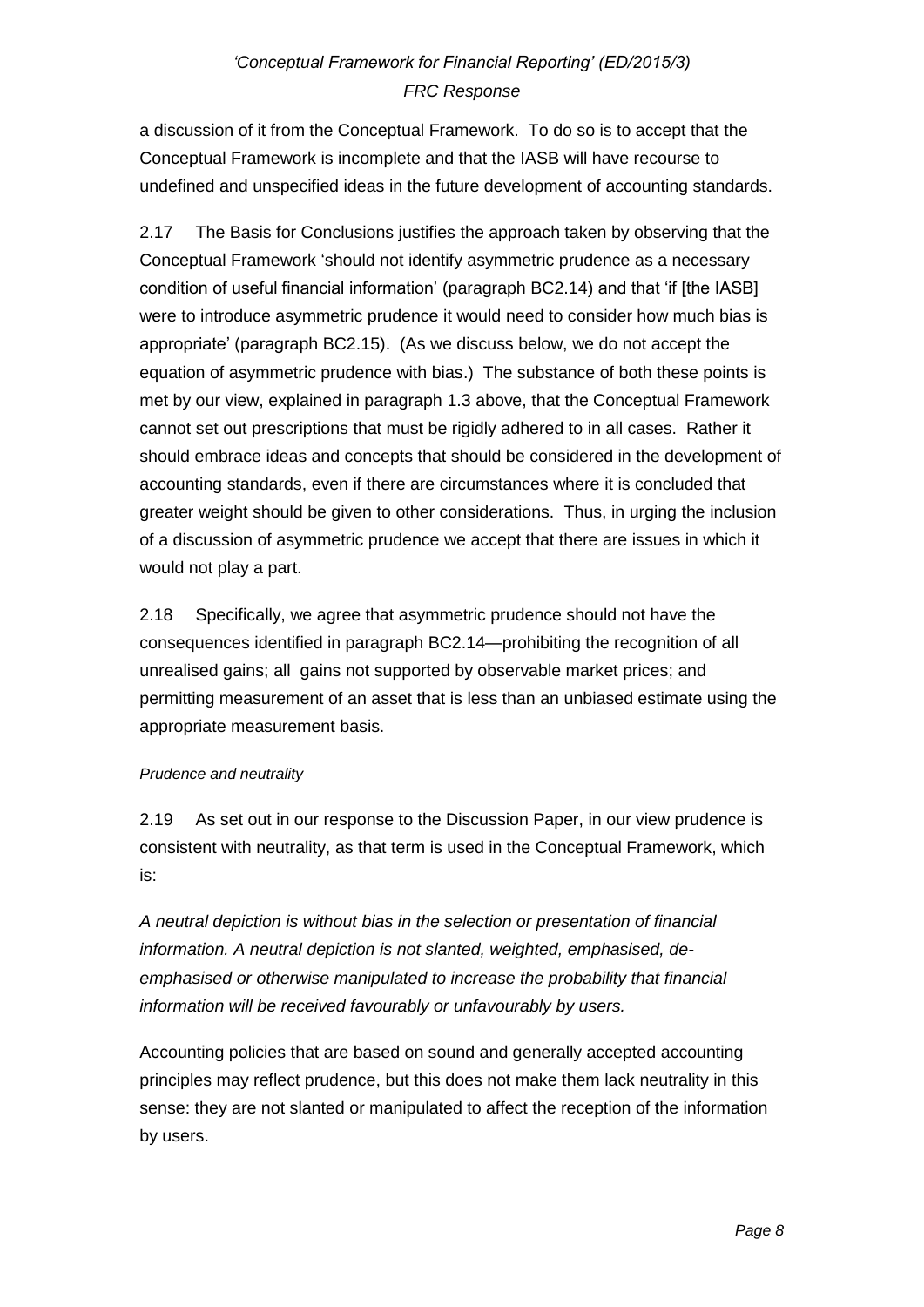a discussion of it from the Conceptual Framework. To do so is to accept that the Conceptual Framework is incomplete and that the IASB will have recourse to undefined and unspecified ideas in the future development of accounting standards.

2.17 The Basis for Conclusions justifies the approach taken by observing that the Conceptual Framework 'should not identify asymmetric prudence as a necessary condition of useful financial information' (paragraph BC2.14) and that 'if [the IASB] were to introduce asymmetric prudence it would need to consider how much bias is appropriate' (paragraph BC2.15). (As we discuss below, we do not accept the equation of asymmetric prudence with bias.) The substance of both these points is met by our view, explained in paragraph 1.3 above, that the Conceptual Framework cannot set out prescriptions that must be rigidly adhered to in all cases. Rather it should embrace ideas and concepts that should be considered in the development of accounting standards, even if there are circumstances where it is concluded that greater weight should be given to other considerations. Thus, in urging the inclusion of a discussion of asymmetric prudence we accept that there are issues in which it would not play a part.

2.18 Specifically, we agree that asymmetric prudence should not have the consequences identified in paragraph BC2.14—prohibiting the recognition of all unrealised gains; all gains not supported by observable market prices; and permitting measurement of an asset that is less than an unbiased estimate using the appropriate measurement basis.

### *Prudence and neutrality*

2.19 As set out in our response to the Discussion Paper, in our view prudence is consistent with neutrality, as that term is used in the Conceptual Framework, which is:

*A neutral depiction is without bias in the selection or presentation of financial information. A neutral depiction is not slanted, weighted, emphasised, deemphasised or otherwise manipulated to increase the probability that financial information will be received favourably or unfavourably by users.*

Accounting policies that are based on sound and generally accepted accounting principles may reflect prudence, but this does not make them lack neutrality in this sense: they are not slanted or manipulated to affect the reception of the information by users.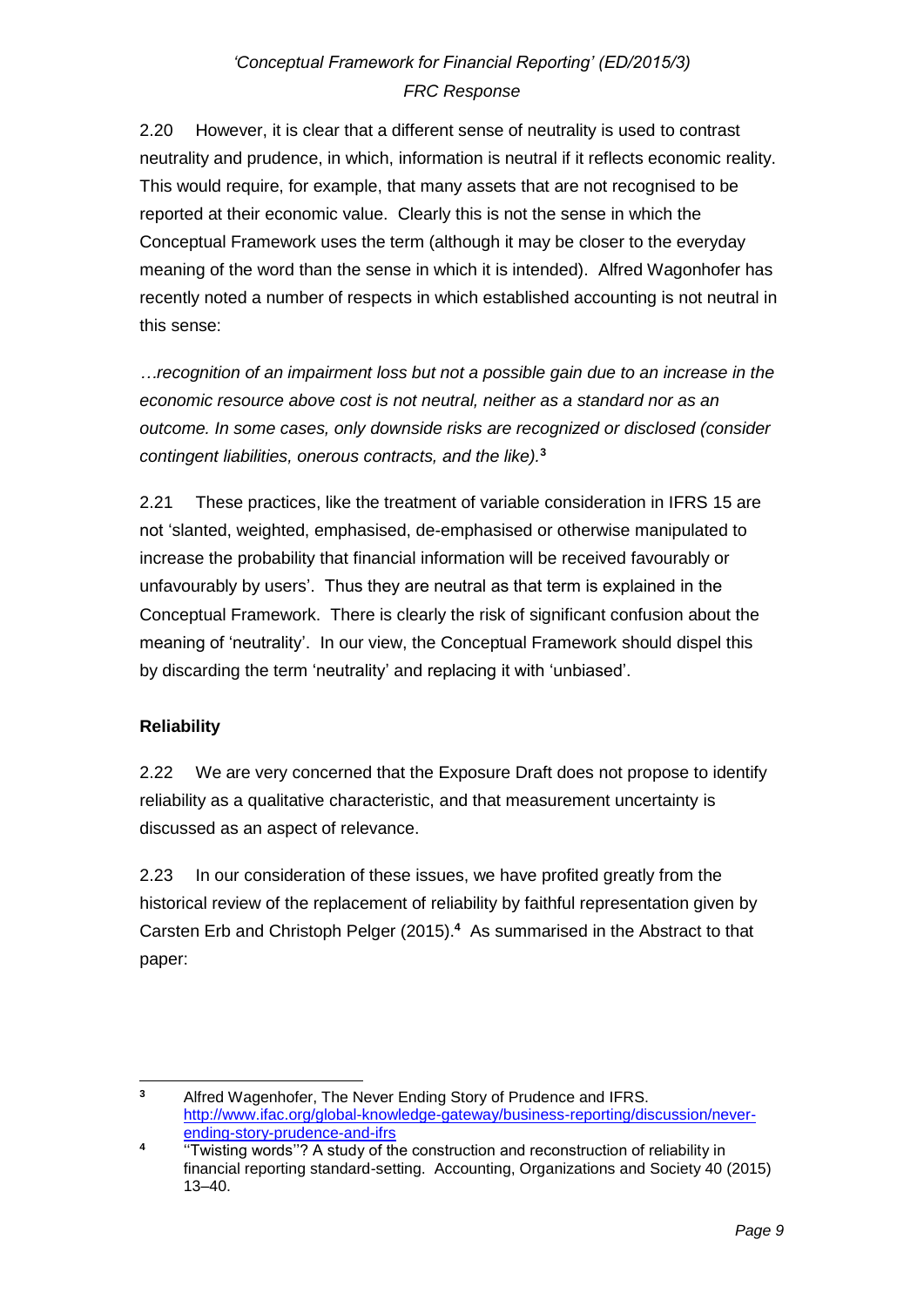2.20 However, it is clear that a different sense of neutrality is used to contrast neutrality and prudence, in which, information is neutral if it reflects economic reality. This would require, for example, that many assets that are not recognised to be reported at their economic value. Clearly this is not the sense in which the Conceptual Framework uses the term (although it may be closer to the everyday meaning of the word than the sense in which it is intended). Alfred Wagonhofer has recently noted a number of respects in which established accounting is not neutral in this sense:

*…recognition of an impairment loss but not a possible gain due to an increase in the economic resource above cost is not neutral, neither as a standard nor as an outcome. In some cases, only downside risks are recognized or disclosed (consider contingent liabilities, onerous contracts, and the like).***<sup>3</sup>**

2.21 These practices, like the treatment of variable consideration in IFRS 15 are not 'slanted, weighted, emphasised, de-emphasised or otherwise manipulated to increase the probability that financial information will be received favourably or unfavourably by users'. Thus they are neutral as that term is explained in the Conceptual Framework. There is clearly the risk of significant confusion about the meaning of 'neutrality'. In our view, the Conceptual Framework should dispel this by discarding the term 'neutrality' and replacing it with 'unbiased'.

## **Reliability**

2.22 We are very concerned that the Exposure Draft does not propose to identify reliability as a qualitative characteristic, and that measurement uncertainty is discussed as an aspect of relevance.

2.23 In our consideration of these issues, we have profited greatly from the historical review of the replacement of reliability by faithful representation given by Carsten Erb and Christoph Pelger (2015).<sup>4</sup> As summarised in the Abstract to that paper:

 $\overline{\mathbf{3}}$ **<sup>3</sup>** Alfred Wagenhofer, The Never Ending Story of Prudence and IFRS. [http://www.ifac.org/global-knowledge-gateway/business-reporting/discussion/never](http://www.ifac.org/global-knowledge-gateway/business-reporting/discussion/never-ending-story-prudence-and-ifrs)[ending-story-prudence-and-ifrs](http://www.ifac.org/global-knowledge-gateway/business-reporting/discussion/never-ending-story-prudence-and-ifrs)

**<sup>4</sup>** "Twisting words"? A study of the construction and reconstruction of reliability in financial reporting standard-setting. Accounting, Organizations and Society 40 (2015) 13–40.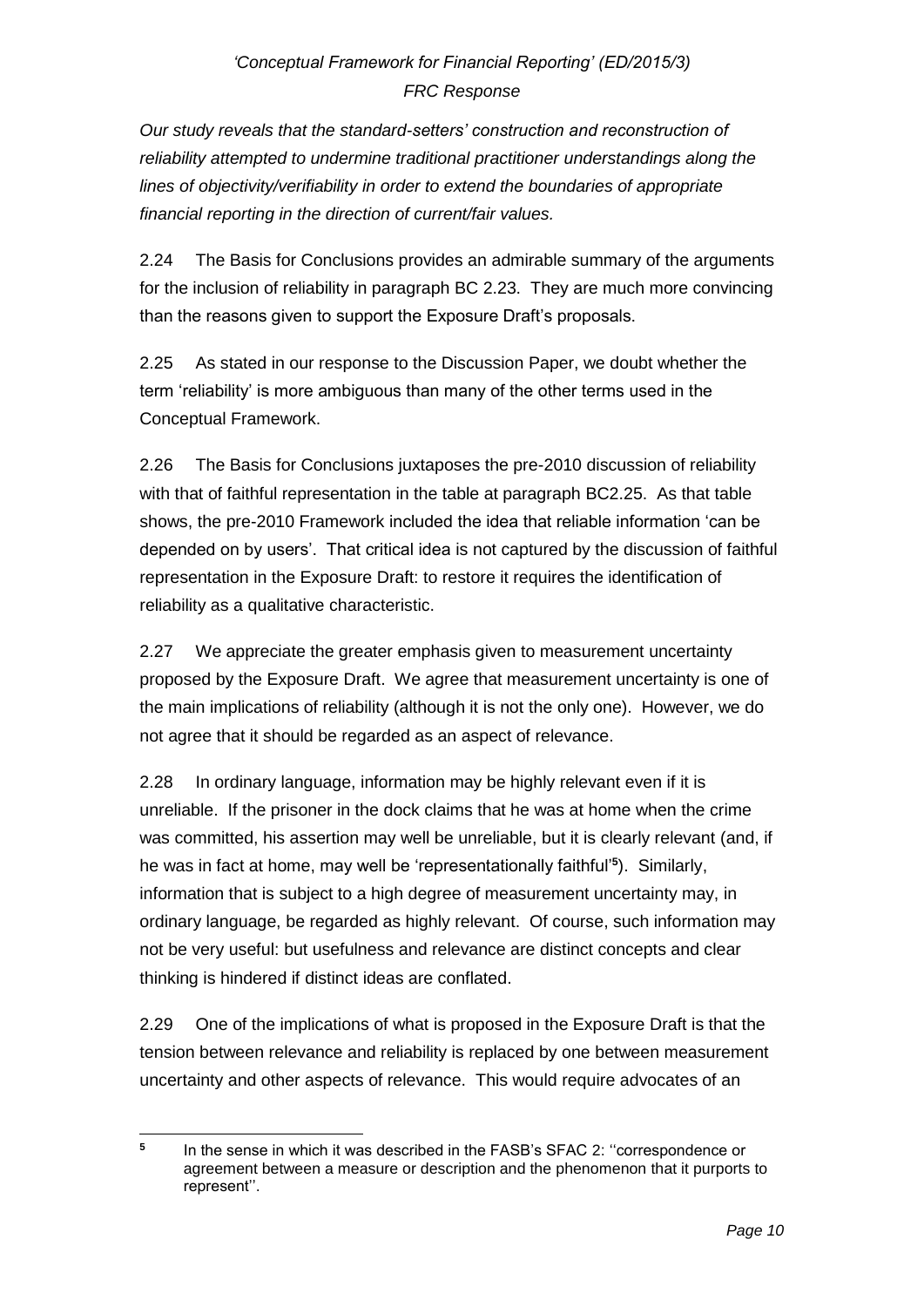*Our study reveals that the standard-setters' construction and reconstruction of reliability attempted to undermine traditional practitioner understandings along the lines of objectivity/verifiability in order to extend the boundaries of appropriate financial reporting in the direction of current/fair values.*

2.24 The Basis for Conclusions provides an admirable summary of the arguments for the inclusion of reliability in paragraph BC 2.23. They are much more convincing than the reasons given to support the Exposure Draft's proposals.

2.25 As stated in our response to the Discussion Paper, we doubt whether the term 'reliability' is more ambiguous than many of the other terms used in the Conceptual Framework.

2.26 The Basis for Conclusions juxtaposes the pre-2010 discussion of reliability with that of faithful representation in the table at paragraph BC2.25. As that table shows, the pre-2010 Framework included the idea that reliable information 'can be depended on by users'. That critical idea is not captured by the discussion of faithful representation in the Exposure Draft: to restore it requires the identification of reliability as a qualitative characteristic.

2.27 We appreciate the greater emphasis given to measurement uncertainty proposed by the Exposure Draft. We agree that measurement uncertainty is one of the main implications of reliability (although it is not the only one). However, we do not agree that it should be regarded as an aspect of relevance.

2.28 In ordinary language, information may be highly relevant even if it is unreliable. If the prisoner in the dock claims that he was at home when the crime was committed, his assertion may well be unreliable, but it is clearly relevant (and, if he was in fact at home, may well be 'representationally faithful'**<sup>5</sup>** ). Similarly, information that is subject to a high degree of measurement uncertainty may, in ordinary language, be regarded as highly relevant. Of course, such information may not be very useful: but usefulness and relevance are distinct concepts and clear thinking is hindered if distinct ideas are conflated.

2.29 One of the implications of what is proposed in the Exposure Draft is that the tension between relevance and reliability is replaced by one between measurement uncertainty and other aspects of relevance. This would require advocates of an

 **5** In the sense in which it was described in the FASB's SFAC 2: ''correspondence or agreement between a measure or description and the phenomenon that it purports to represent''.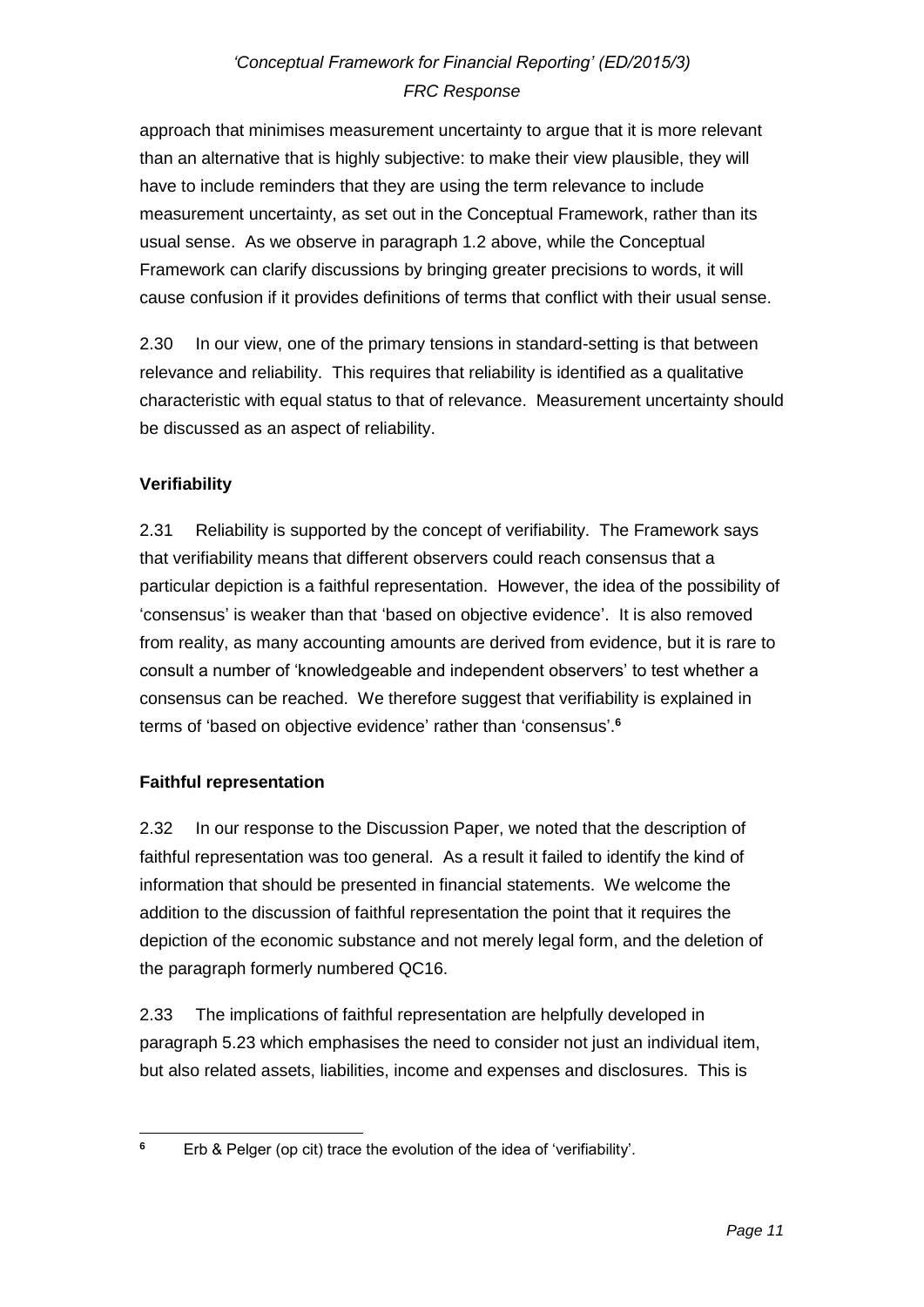approach that minimises measurement uncertainty to argue that it is more relevant than an alternative that is highly subjective: to make their view plausible, they will have to include reminders that they are using the term relevance to include measurement uncertainty, as set out in the Conceptual Framework, rather than its usual sense. As we observe in paragraph 1.2 above, while the Conceptual Framework can clarify discussions by bringing greater precisions to words, it will cause confusion if it provides definitions of terms that conflict with their usual sense.

2.30 In our view, one of the primary tensions in standard-setting is that between relevance and reliability. This requires that reliability is identified as a qualitative characteristic with equal status to that of relevance. Measurement uncertainty should be discussed as an aspect of reliability.

## **Verifiability**

2.31 Reliability is supported by the concept of verifiability. The Framework says that verifiability means that different observers could reach consensus that a particular depiction is a faithful representation. However, the idea of the possibility of 'consensus' is weaker than that 'based on objective evidence'. It is also removed from reality, as many accounting amounts are derived from evidence, but it is rare to consult a number of 'knowledgeable and independent observers' to test whether a consensus can be reached. We therefore suggest that verifiability is explained in terms of 'based on objective evidence' rather than 'consensus'. **6**

### **Faithful representation**

2.32 In our response to the Discussion Paper, we noted that the description of faithful representation was too general. As a result it failed to identify the kind of information that should be presented in financial statements. We welcome the addition to the discussion of faithful representation the point that it requires the depiction of the economic substance and not merely legal form, and the deletion of the paragraph formerly numbered QC16.

2.33 The implications of faithful representation are helpfully developed in paragraph 5.23 which emphasises the need to consider not just an individual item, but also related assets, liabilities, income and expenses and disclosures. This is

 $\bf 6$ **<sup>6</sup>** Erb & Pelger (op cit) trace the evolution of the idea of 'verifiability'.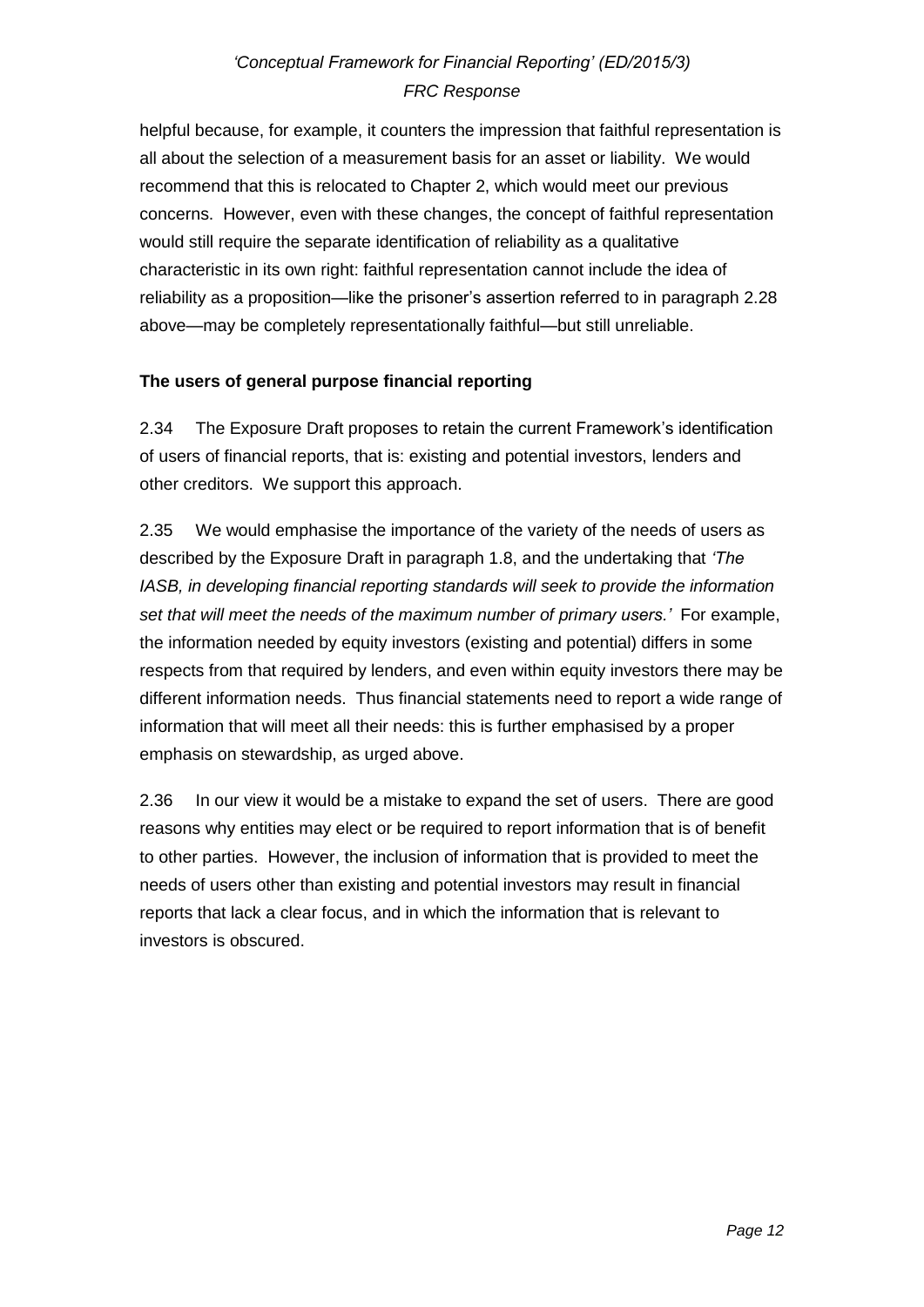helpful because, for example, it counters the impression that faithful representation is all about the selection of a measurement basis for an asset or liability. We would recommend that this is relocated to Chapter 2, which would meet our previous concerns. However, even with these changes, the concept of faithful representation would still require the separate identification of reliability as a qualitative characteristic in its own right: faithful representation cannot include the idea of reliability as a proposition—like the prisoner's assertion referred to in paragraph 2.28 above—may be completely representationally faithful—but still unreliable.

### **The users of general purpose financial reporting**

2.34 The Exposure Draft proposes to retain the current Framework's identification of users of financial reports, that is: existing and potential investors, lenders and other creditors. We support this approach.

2.35 We would emphasise the importance of the variety of the needs of users as described by the Exposure Draft in paragraph 1.8, and the undertaking that *'The IASB, in developing financial reporting standards will seek to provide the information set that will meet the needs of the maximum number of primary users.'* For example, the information needed by equity investors (existing and potential) differs in some respects from that required by lenders, and even within equity investors there may be different information needs. Thus financial statements need to report a wide range of information that will meet all their needs: this is further emphasised by a proper emphasis on stewardship, as urged above.

2.36 In our view it would be a mistake to expand the set of users. There are good reasons why entities may elect or be required to report information that is of benefit to other parties. However, the inclusion of information that is provided to meet the needs of users other than existing and potential investors may result in financial reports that lack a clear focus, and in which the information that is relevant to investors is obscured.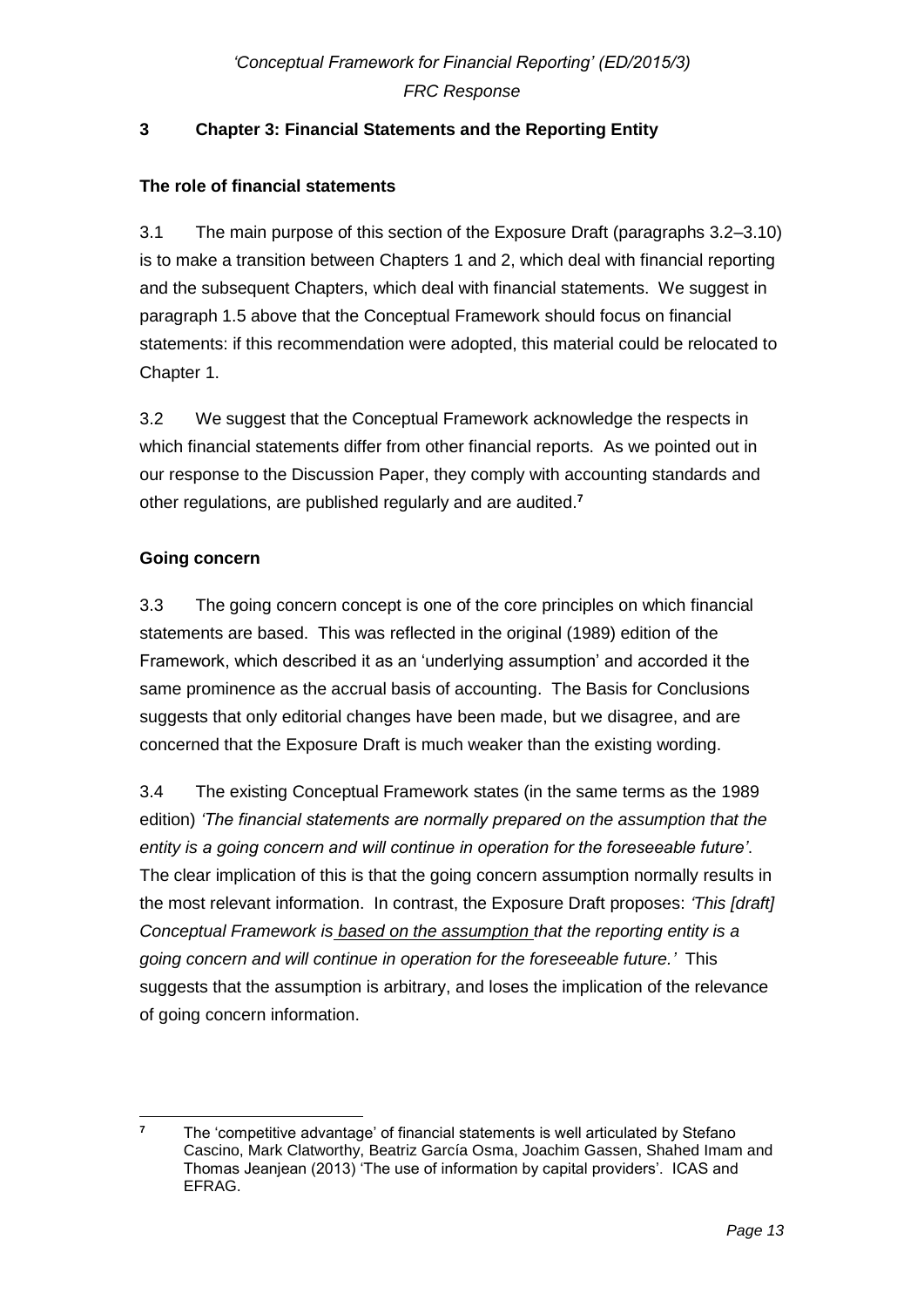## **3 Chapter 3: Financial Statements and the Reporting Entity**

### **The role of financial statements**

3.1 The main purpose of this section of the Exposure Draft (paragraphs 3.2–3.10) is to make a transition between Chapters 1 and 2, which deal with financial reporting and the subsequent Chapters, which deal with financial statements. We suggest in paragraph 1.5 above that the Conceptual Framework should focus on financial statements: if this recommendation were adopted, this material could be relocated to Chapter 1.

3.2 We suggest that the Conceptual Framework acknowledge the respects in which financial statements differ from other financial reports. As we pointed out in our response to the Discussion Paper, they comply with accounting standards and other regulations, are published regularly and are audited.**<sup>7</sup>**

## **Going concern**

3.3 The going concern concept is one of the core principles on which financial statements are based. This was reflected in the original (1989) edition of the Framework, which described it as an 'underlying assumption' and accorded it the same prominence as the accrual basis of accounting. The Basis for Conclusions suggests that only editorial changes have been made, but we disagree, and are concerned that the Exposure Draft is much weaker than the existing wording.

3.4 The existing Conceptual Framework states (in the same terms as the 1989 edition) *'The financial statements are normally prepared on the assumption that the entity is a going concern and will continue in operation for the foreseeable future'*. The clear implication of this is that the going concern assumption normally results in the most relevant information. In contrast, the Exposure Draft proposes: *'This [draft] Conceptual Framework is based on the assumption that the reporting entity is a going concern and will continue in operation for the foreseeable future.'* This suggests that the assumption is arbitrary, and loses the implication of the relevance of going concern information.

 $\overline{7}$ **<sup>7</sup>** The 'competitive advantage' of financial statements is well articulated by Stefano Cascino, Mark Clatworthy, Beatriz García Osma, Joachim Gassen, Shahed Imam and Thomas Jeanjean (2013) 'The use of information by capital providers'. ICAS and EFRAG.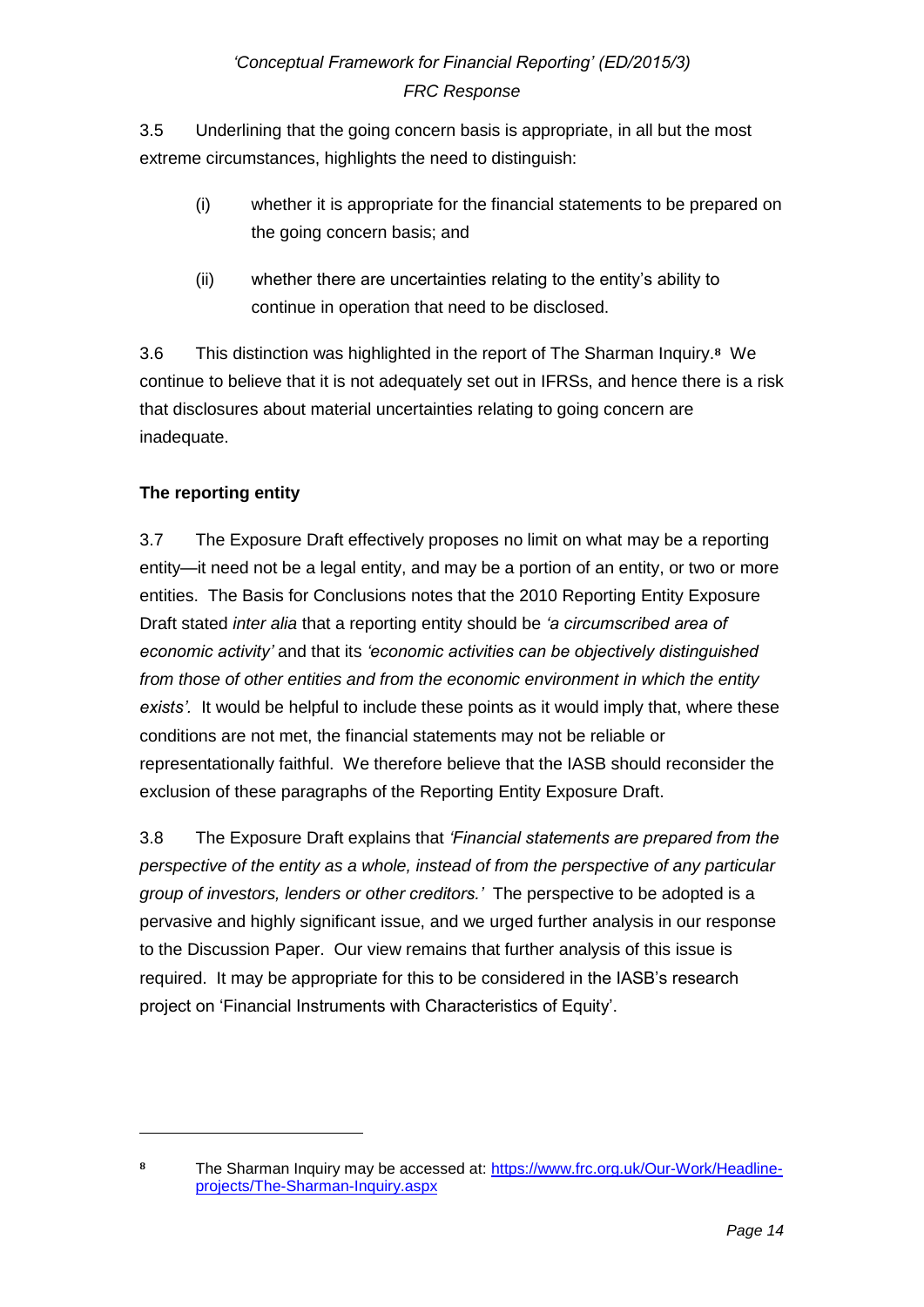3.5 Underlining that the going concern basis is appropriate, in all but the most extreme circumstances, highlights the need to distinguish:

- (i) whether it is appropriate for the financial statements to be prepared on the going concern basis; and
- (ii) whether there are uncertainties relating to the entity's ability to continue in operation that need to be disclosed.

3.6 This distinction was highlighted in the report of The Sharman Inquiry.**8** We continue to believe that it is not adequately set out in IFRSs, and hence there is a risk that disclosures about material uncertainties relating to going concern are inadequate.

## **The reporting entity**

-

3.7 The Exposure Draft effectively proposes no limit on what may be a reporting entity—it need not be a legal entity, and may be a portion of an entity, or two or more entities. The Basis for Conclusions notes that the 2010 Reporting Entity Exposure Draft stated *inter alia* that a reporting entity should be *'a circumscribed area of economic activity'* and that its *'economic activities can be objectively distinguished from those of other entities and from the economic environment in which the entity exists'.* It would be helpful to include these points as it would imply that, where these conditions are not met, the financial statements may not be reliable or representationally faithful. We therefore believe that the IASB should reconsider the exclusion of these paragraphs of the Reporting Entity Exposure Draft.

3.8 The Exposure Draft explains that *'Financial statements are prepared from the perspective of the entity as a whole, instead of from the perspective of any particular group of investors, lenders or other creditors.'* The perspective to be adopted is a pervasive and highly significant issue, and we urged further analysis in our response to the Discussion Paper. Our view remains that further analysis of this issue is required. It may be appropriate for this to be considered in the IASB's research project on 'Financial Instruments with Characteristics of Equity'.

**<sup>8</sup>** The Sharman Inquiry may be accessed at: [https://www.frc.org.uk/Our-Work/Headline](https://www.frc.org.uk/Our-Work/Headline-projects/The-Sharman-Inquiry.aspx)[projects/The-Sharman-Inquiry.aspx](https://www.frc.org.uk/Our-Work/Headline-projects/The-Sharman-Inquiry.aspx)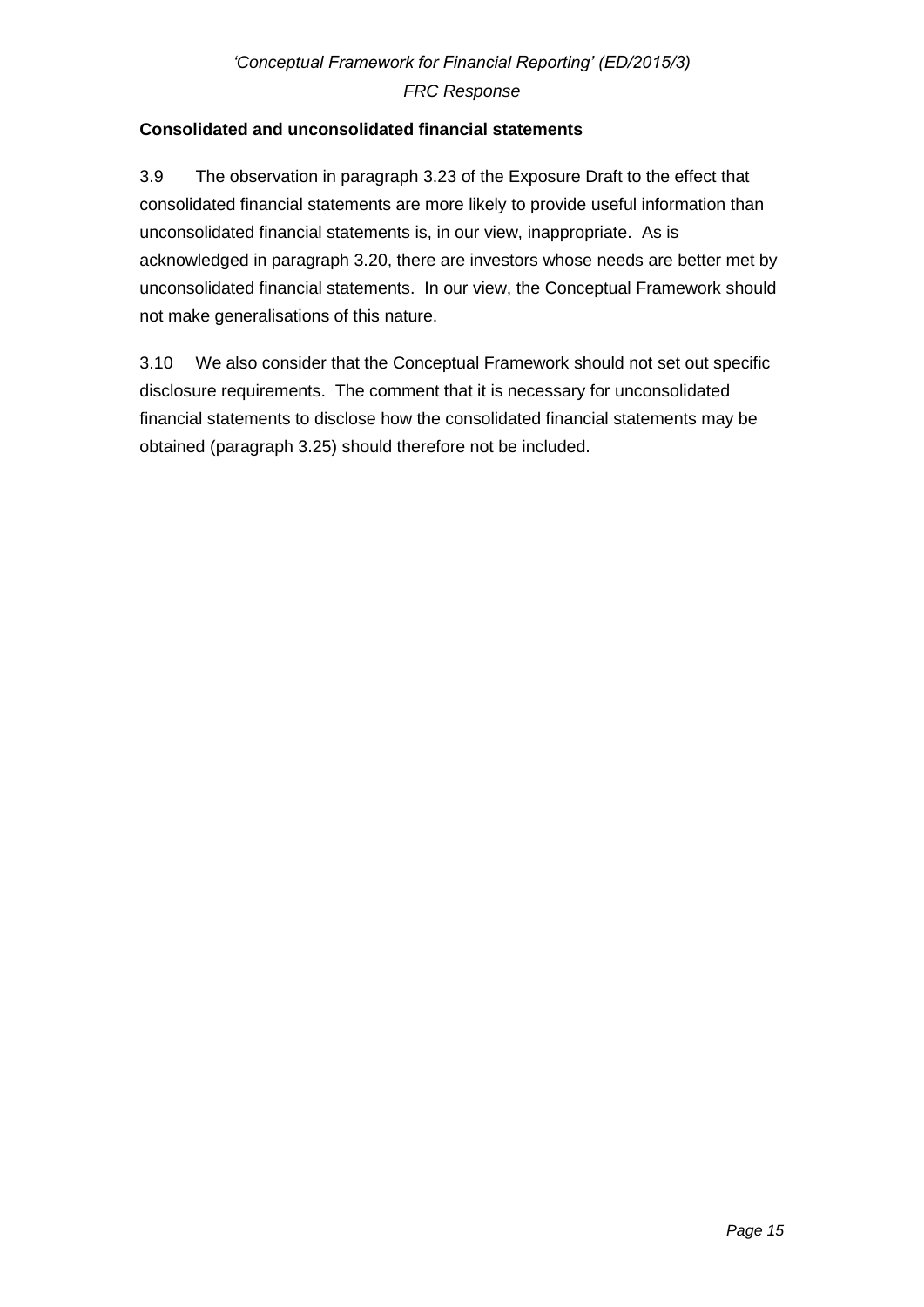## **Consolidated and unconsolidated financial statements**

3.9 The observation in paragraph 3.23 of the Exposure Draft to the effect that consolidated financial statements are more likely to provide useful information than unconsolidated financial statements is, in our view, inappropriate. As is acknowledged in paragraph 3.20, there are investors whose needs are better met by unconsolidated financial statements. In our view, the Conceptual Framework should not make generalisations of this nature.

3.10 We also consider that the Conceptual Framework should not set out specific disclosure requirements. The comment that it is necessary for unconsolidated financial statements to disclose how the consolidated financial statements may be obtained (paragraph 3.25) should therefore not be included.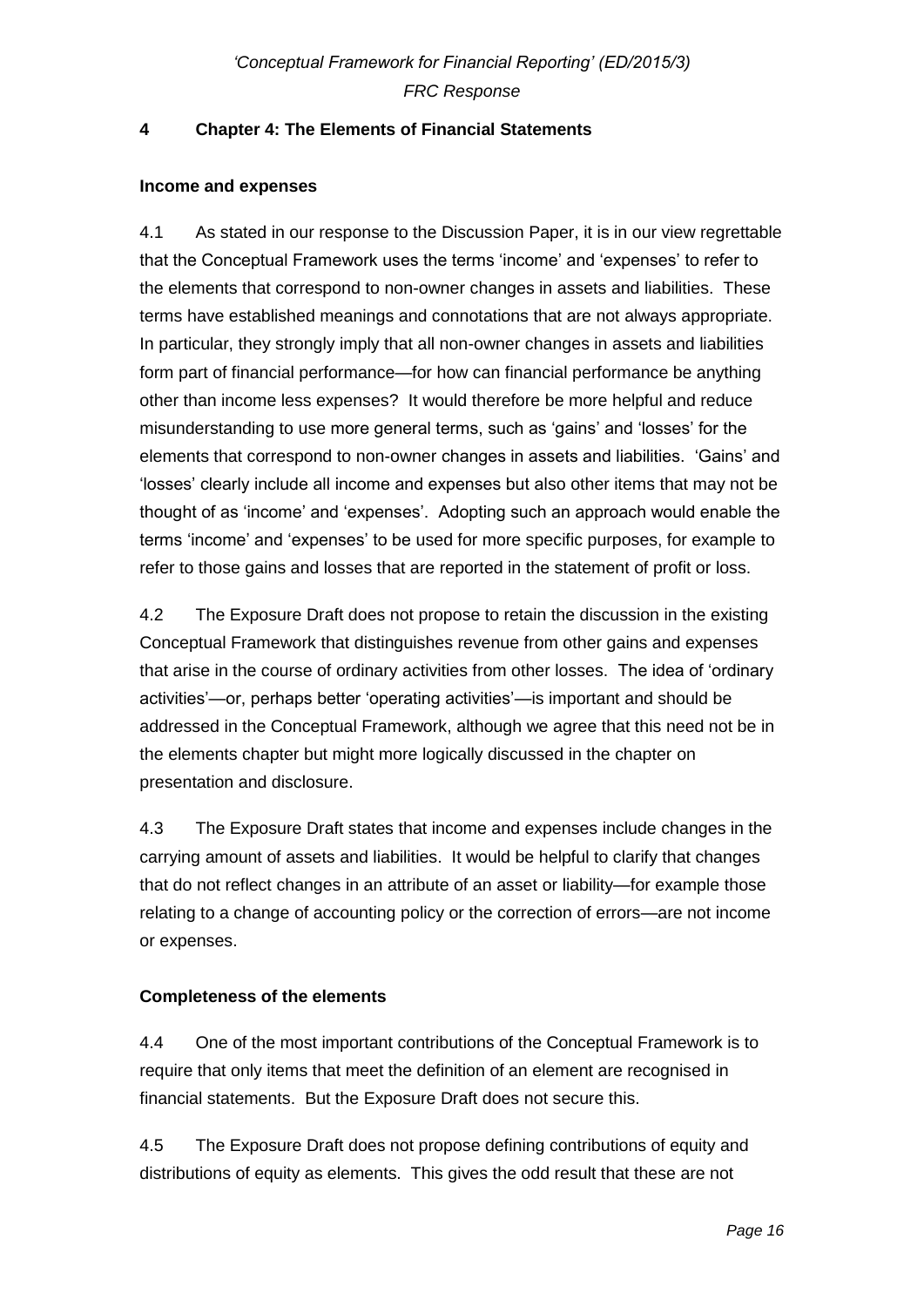## **4 Chapter 4: The Elements of Financial Statements**

### **Income and expenses**

4.1 As stated in our response to the Discussion Paper, it is in our view regrettable that the Conceptual Framework uses the terms 'income' and 'expenses' to refer to the elements that correspond to non-owner changes in assets and liabilities. These terms have established meanings and connotations that are not always appropriate. In particular, they strongly imply that all non-owner changes in assets and liabilities form part of financial performance—for how can financial performance be anything other than income less expenses? It would therefore be more helpful and reduce misunderstanding to use more general terms, such as 'gains' and 'losses' for the elements that correspond to non-owner changes in assets and liabilities. 'Gains' and 'losses' clearly include all income and expenses but also other items that may not be thought of as 'income' and 'expenses'. Adopting such an approach would enable the terms 'income' and 'expenses' to be used for more specific purposes, for example to refer to those gains and losses that are reported in the statement of profit or loss.

4.2 The Exposure Draft does not propose to retain the discussion in the existing Conceptual Framework that distinguishes revenue from other gains and expenses that arise in the course of ordinary activities from other losses. The idea of 'ordinary activities'—or, perhaps better 'operating activities'—is important and should be addressed in the Conceptual Framework, although we agree that this need not be in the elements chapter but might more logically discussed in the chapter on presentation and disclosure.

4.3 The Exposure Draft states that income and expenses include changes in the carrying amount of assets and liabilities. It would be helpful to clarify that changes that do not reflect changes in an attribute of an asset or liability—for example those relating to a change of accounting policy or the correction of errors—are not income or expenses.

### **Completeness of the elements**

4.4 One of the most important contributions of the Conceptual Framework is to require that only items that meet the definition of an element are recognised in financial statements. But the Exposure Draft does not secure this.

4.5 The Exposure Draft does not propose defining contributions of equity and distributions of equity as elements. This gives the odd result that these are not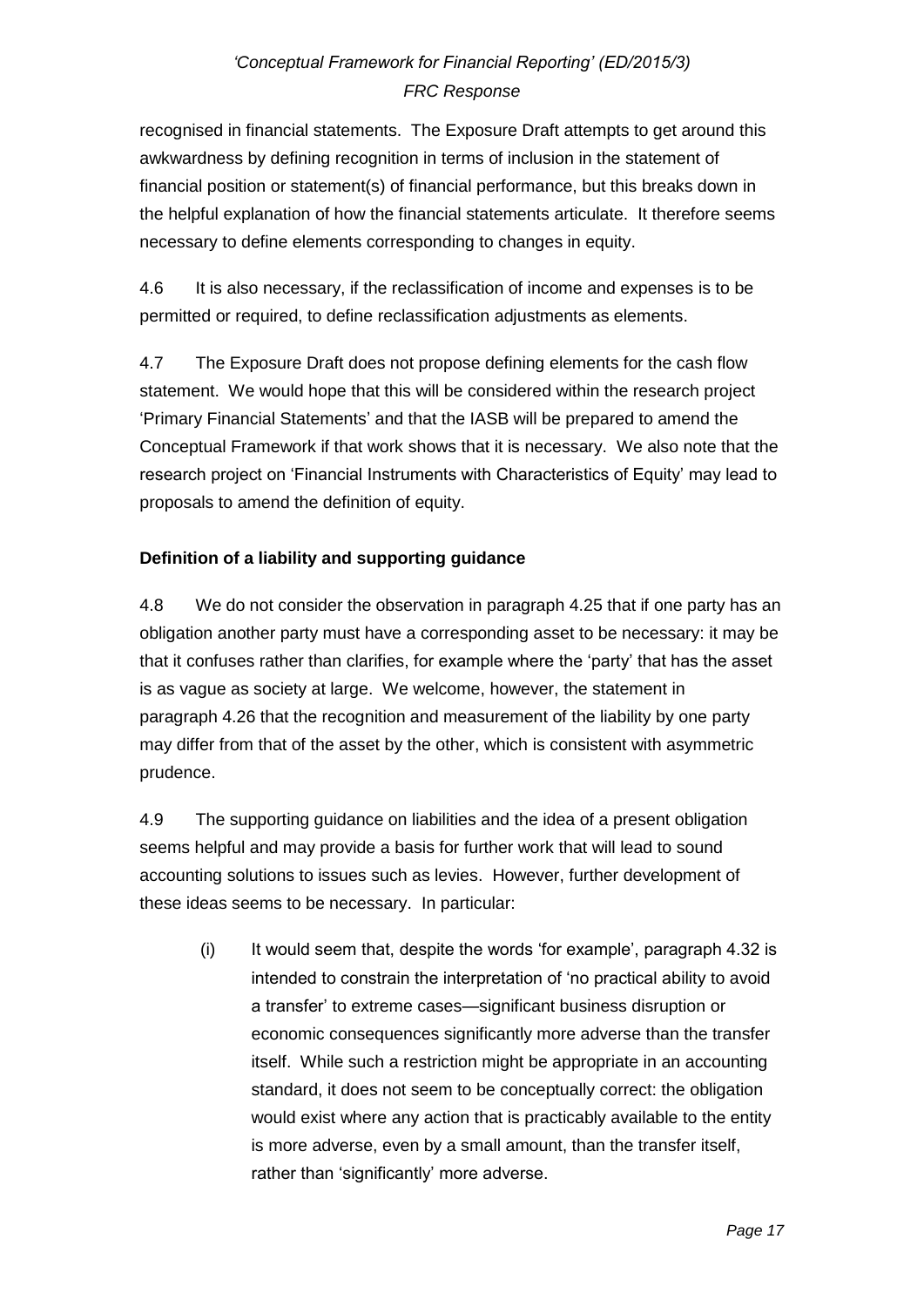recognised in financial statements. The Exposure Draft attempts to get around this awkwardness by defining recognition in terms of inclusion in the statement of financial position or statement(s) of financial performance, but this breaks down in the helpful explanation of how the financial statements articulate. It therefore seems necessary to define elements corresponding to changes in equity.

4.6 It is also necessary, if the reclassification of income and expenses is to be permitted or required, to define reclassification adjustments as elements.

4.7 The Exposure Draft does not propose defining elements for the cash flow statement. We would hope that this will be considered within the research project 'Primary Financial Statements' and that the IASB will be prepared to amend the Conceptual Framework if that work shows that it is necessary. We also note that the research project on 'Financial Instruments with Characteristics of Equity' may lead to proposals to amend the definition of equity.

## **Definition of a liability and supporting guidance**

4.8 We do not consider the observation in paragraph 4.25 that if one party has an obligation another party must have a corresponding asset to be necessary: it may be that it confuses rather than clarifies, for example where the 'party' that has the asset is as vague as society at large. We welcome, however, the statement in paragraph 4.26 that the recognition and measurement of the liability by one party may differ from that of the asset by the other, which is consistent with asymmetric prudence.

4.9 The supporting guidance on liabilities and the idea of a present obligation seems helpful and may provide a basis for further work that will lead to sound accounting solutions to issues such as levies. However, further development of these ideas seems to be necessary. In particular:

(i) It would seem that, despite the words 'for example', paragraph 4.32 is intended to constrain the interpretation of 'no practical ability to avoid a transfer' to extreme cases—significant business disruption or economic consequences significantly more adverse than the transfer itself. While such a restriction might be appropriate in an accounting standard, it does not seem to be conceptually correct: the obligation would exist where any action that is practicably available to the entity is more adverse, even by a small amount, than the transfer itself, rather than 'significantly' more adverse.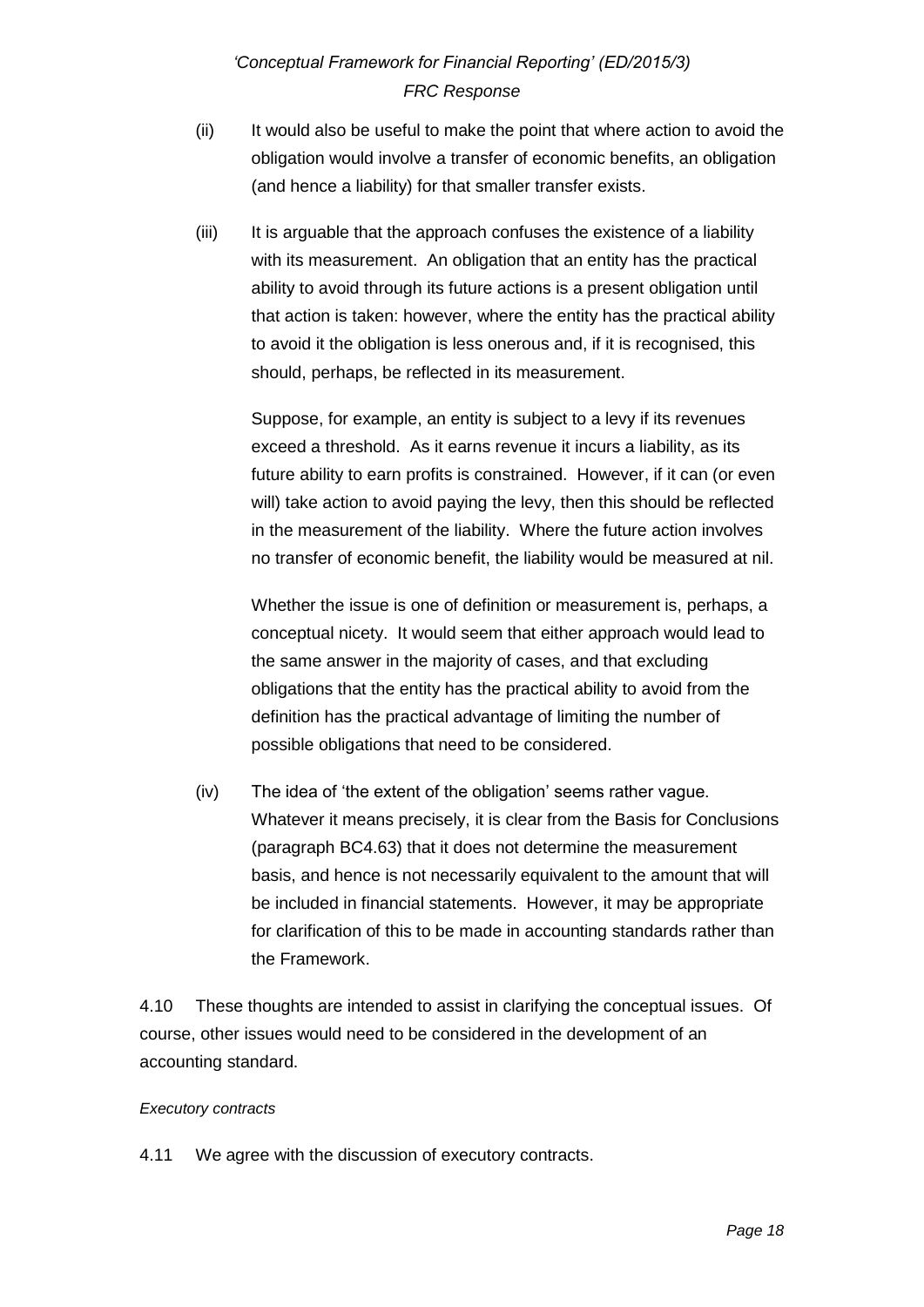- (ii) It would also be useful to make the point that where action to avoid the obligation would involve a transfer of economic benefits, an obligation (and hence a liability) for that smaller transfer exists.
- (iii) It is arguable that the approach confuses the existence of a liability with its measurement. An obligation that an entity has the practical ability to avoid through its future actions is a present obligation until that action is taken: however, where the entity has the practical ability to avoid it the obligation is less onerous and, if it is recognised, this should, perhaps, be reflected in its measurement.

Suppose, for example, an entity is subject to a levy if its revenues exceed a threshold. As it earns revenue it incurs a liability, as its future ability to earn profits is constrained. However, if it can (or even will) take action to avoid paying the levy, then this should be reflected in the measurement of the liability. Where the future action involves no transfer of economic benefit, the liability would be measured at nil.

Whether the issue is one of definition or measurement is, perhaps, a conceptual nicety. It would seem that either approach would lead to the same answer in the majority of cases, and that excluding obligations that the entity has the practical ability to avoid from the definition has the practical advantage of limiting the number of possible obligations that need to be considered.

(iv) The idea of 'the extent of the obligation' seems rather vague. Whatever it means precisely, it is clear from the Basis for Conclusions (paragraph BC4.63) that it does not determine the measurement basis, and hence is not necessarily equivalent to the amount that will be included in financial statements. However, it may be appropriate for clarification of this to be made in accounting standards rather than the Framework.

4.10 These thoughts are intended to assist in clarifying the conceptual issues. Of course, other issues would need to be considered in the development of an accounting standard.

### *Executory contracts*

4.11 We agree with the discussion of executory contracts.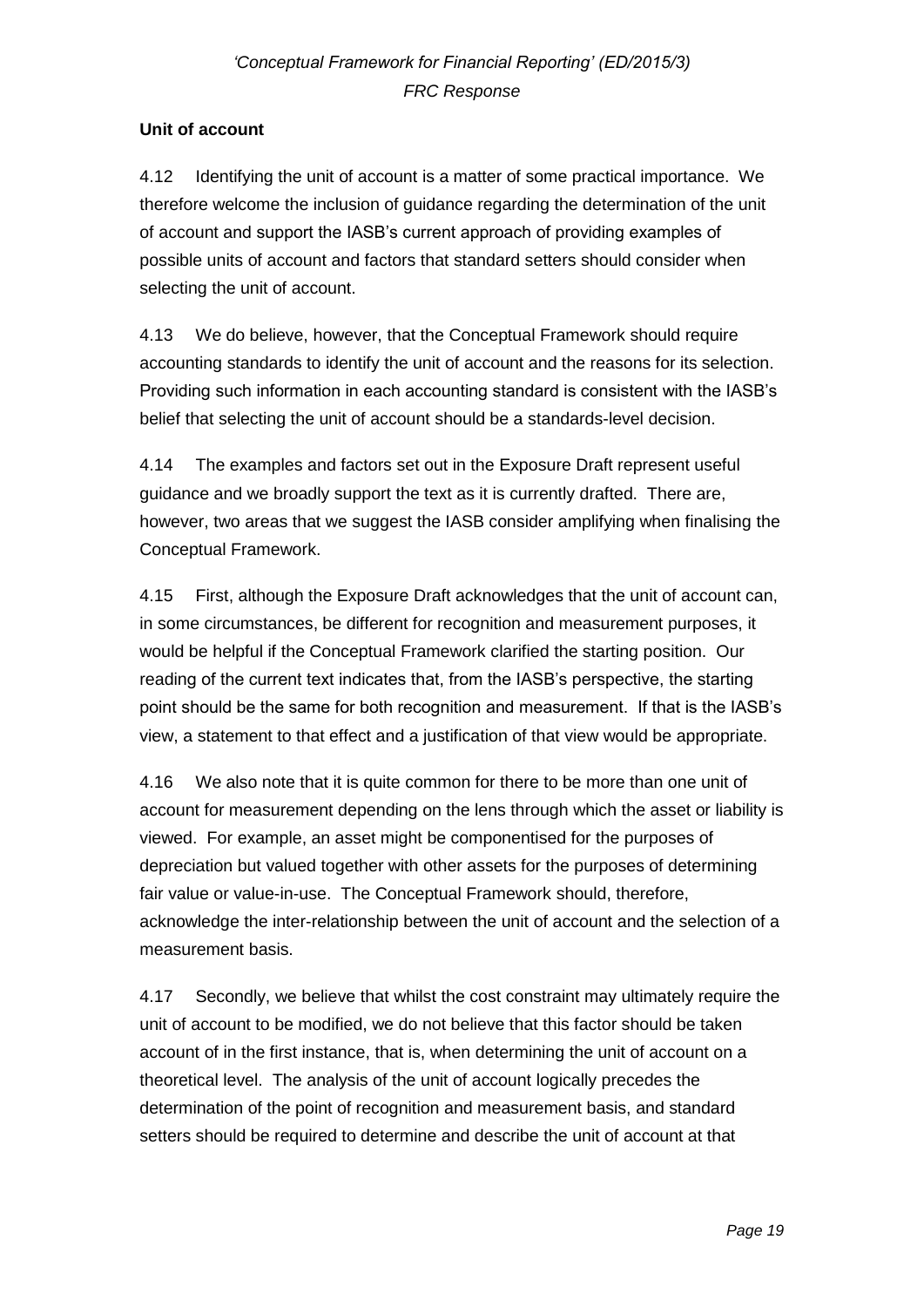## **Unit of account**

4.12 Identifying the unit of account is a matter of some practical importance. We therefore welcome the inclusion of guidance regarding the determination of the unit of account and support the IASB's current approach of providing examples of possible units of account and factors that standard setters should consider when selecting the unit of account.

4.13 We do believe, however, that the Conceptual Framework should require accounting standards to identify the unit of account and the reasons for its selection. Providing such information in each accounting standard is consistent with the IASB's belief that selecting the unit of account should be a standards-level decision.

4.14 The examples and factors set out in the Exposure Draft represent useful guidance and we broadly support the text as it is currently drafted. There are, however, two areas that we suggest the IASB consider amplifying when finalising the Conceptual Framework.

4.15 First, although the Exposure Draft acknowledges that the unit of account can, in some circumstances, be different for recognition and measurement purposes, it would be helpful if the Conceptual Framework clarified the starting position. Our reading of the current text indicates that, from the IASB's perspective, the starting point should be the same for both recognition and measurement. If that is the IASB's view, a statement to that effect and a justification of that view would be appropriate.

4.16 We also note that it is quite common for there to be more than one unit of account for measurement depending on the lens through which the asset or liability is viewed. For example, an asset might be componentised for the purposes of depreciation but valued together with other assets for the purposes of determining fair value or value-in-use. The Conceptual Framework should, therefore, acknowledge the inter-relationship between the unit of account and the selection of a measurement basis.

4.17 Secondly, we believe that whilst the cost constraint may ultimately require the unit of account to be modified, we do not believe that this factor should be taken account of in the first instance, that is, when determining the unit of account on a theoretical level. The analysis of the unit of account logically precedes the determination of the point of recognition and measurement basis, and standard setters should be required to determine and describe the unit of account at that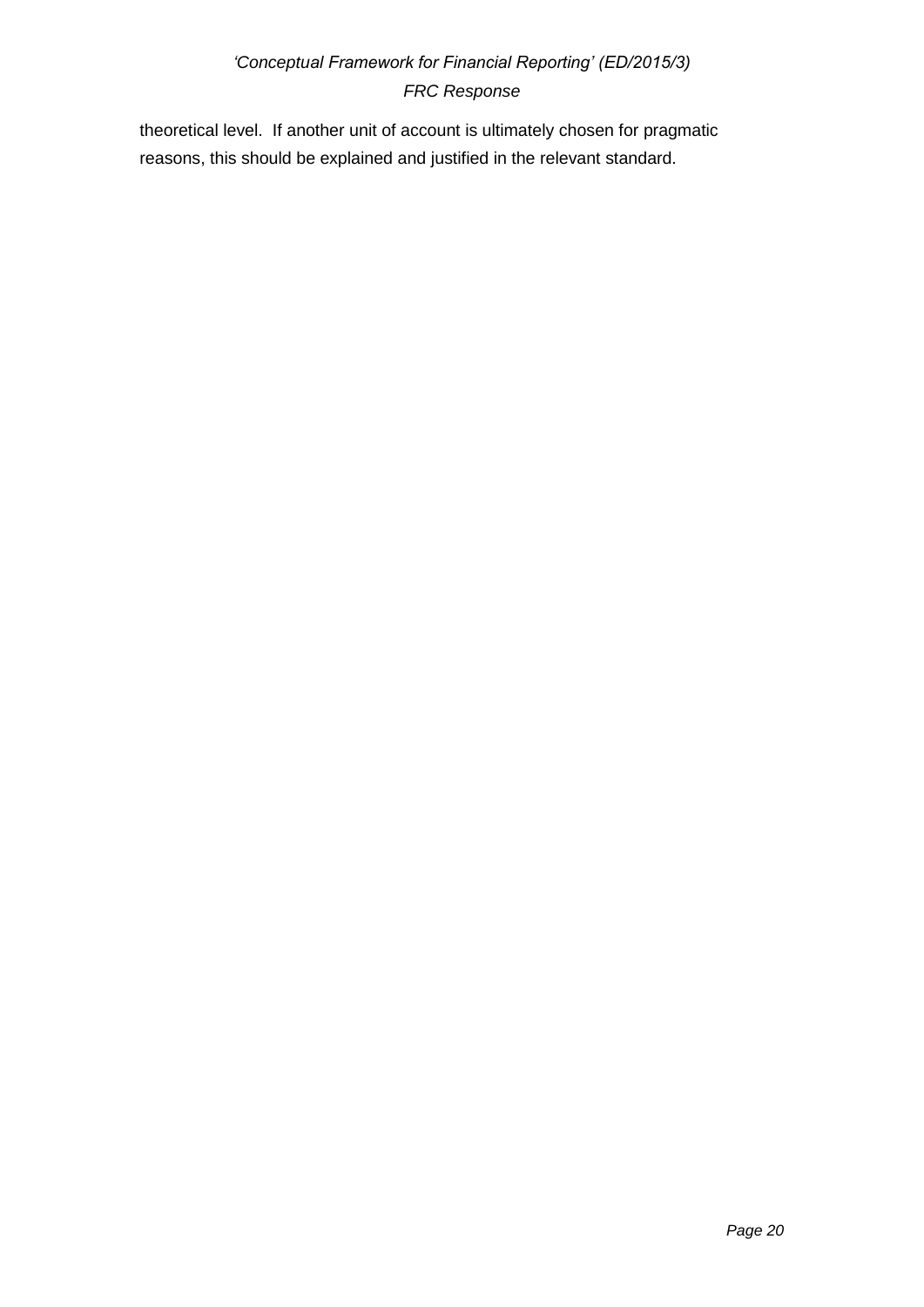theoretical level. If another unit of account is ultimately chosen for pragmatic reasons, this should be explained and justified in the relevant standard.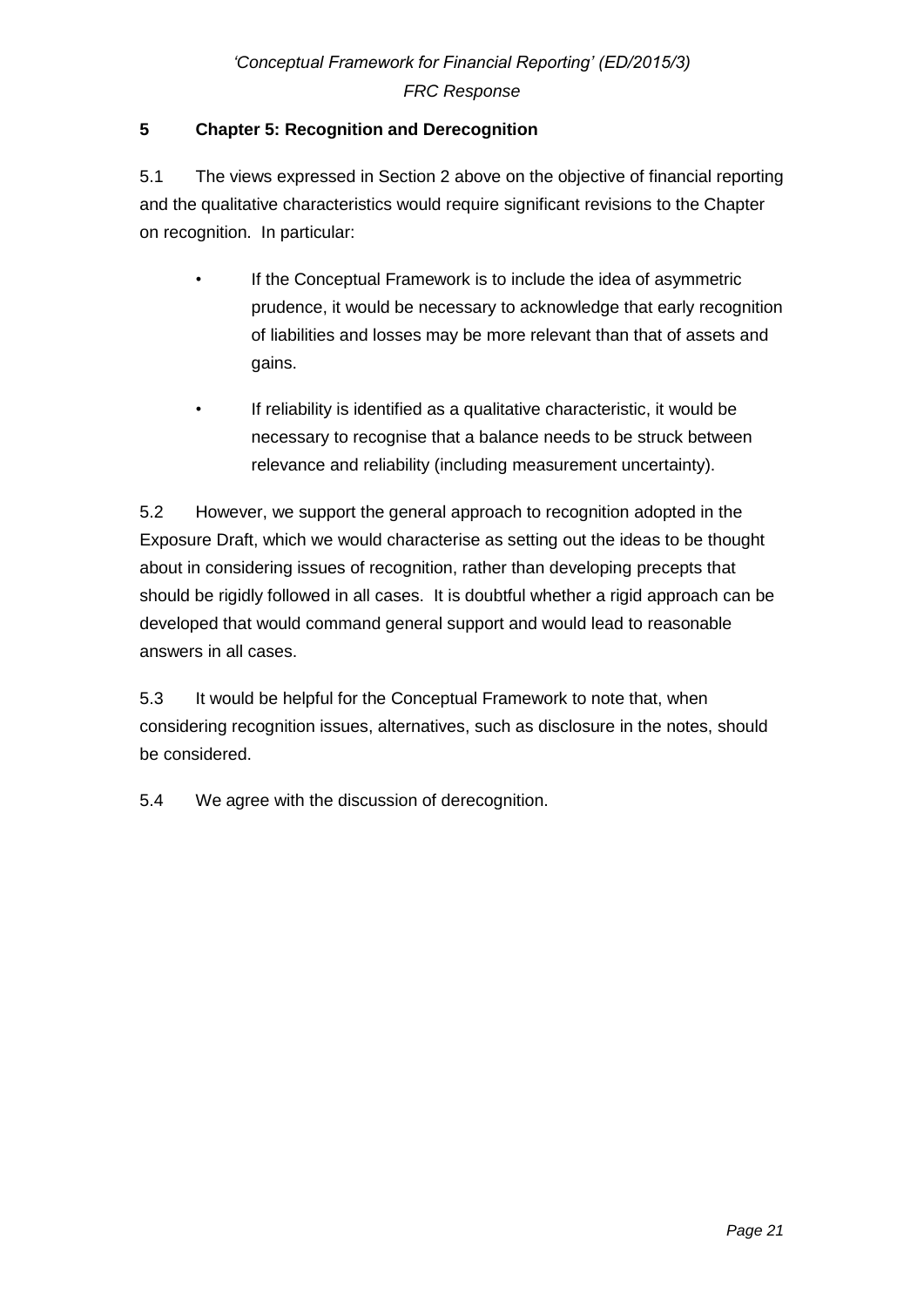## **5 Chapter 5: Recognition and Derecognition**

5.1 The views expressed in Section 2 above on the objective of financial reporting and the qualitative characteristics would require significant revisions to the Chapter on recognition. In particular:

- If the Conceptual Framework is to include the idea of asymmetric prudence, it would be necessary to acknowledge that early recognition of liabilities and losses may be more relevant than that of assets and gains.
- If reliability is identified as a qualitative characteristic, it would be necessary to recognise that a balance needs to be struck between relevance and reliability (including measurement uncertainty).

5.2 However, we support the general approach to recognition adopted in the Exposure Draft, which we would characterise as setting out the ideas to be thought about in considering issues of recognition, rather than developing precepts that should be rigidly followed in all cases. It is doubtful whether a rigid approach can be developed that would command general support and would lead to reasonable answers in all cases.

5.3 It would be helpful for the Conceptual Framework to note that, when considering recognition issues, alternatives, such as disclosure in the notes, should be considered.

5.4 We agree with the discussion of derecognition.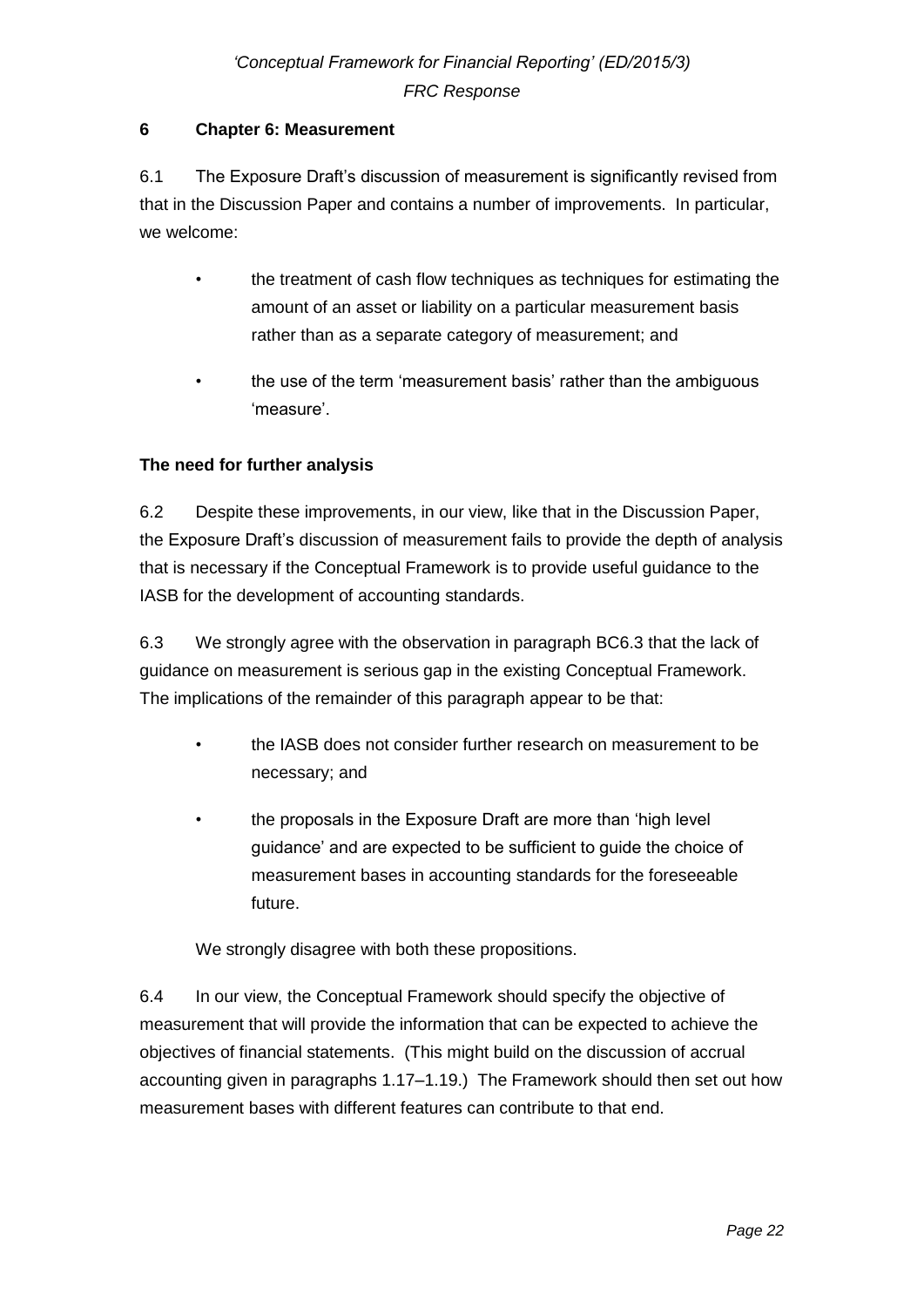### **6 Chapter 6: Measurement**

6.1 The Exposure Draft's discussion of measurement is significantly revised from that in the Discussion Paper and contains a number of improvements. In particular, we welcome:

- the treatment of cash flow techniques as techniques for estimating the amount of an asset or liability on a particular measurement basis rather than as a separate category of measurement; and
- the use of the term 'measurement basis' rather than the ambiguous 'measure'.

### **The need for further analysis**

6.2 Despite these improvements, in our view, like that in the Discussion Paper, the Exposure Draft's discussion of measurement fails to provide the depth of analysis that is necessary if the Conceptual Framework is to provide useful guidance to the IASB for the development of accounting standards.

6.3 We strongly agree with the observation in paragraph BC6.3 that the lack of guidance on measurement is serious gap in the existing Conceptual Framework. The implications of the remainder of this paragraph appear to be that:

- the IASB does not consider further research on measurement to be necessary; and
- the proposals in the Exposure Draft are more than 'high level guidance' and are expected to be sufficient to guide the choice of measurement bases in accounting standards for the foreseeable future.

We strongly disagree with both these propositions.

6.4 In our view, the Conceptual Framework should specify the objective of measurement that will provide the information that can be expected to achieve the objectives of financial statements. (This might build on the discussion of accrual accounting given in paragraphs 1.17–1.19.) The Framework should then set out how measurement bases with different features can contribute to that end.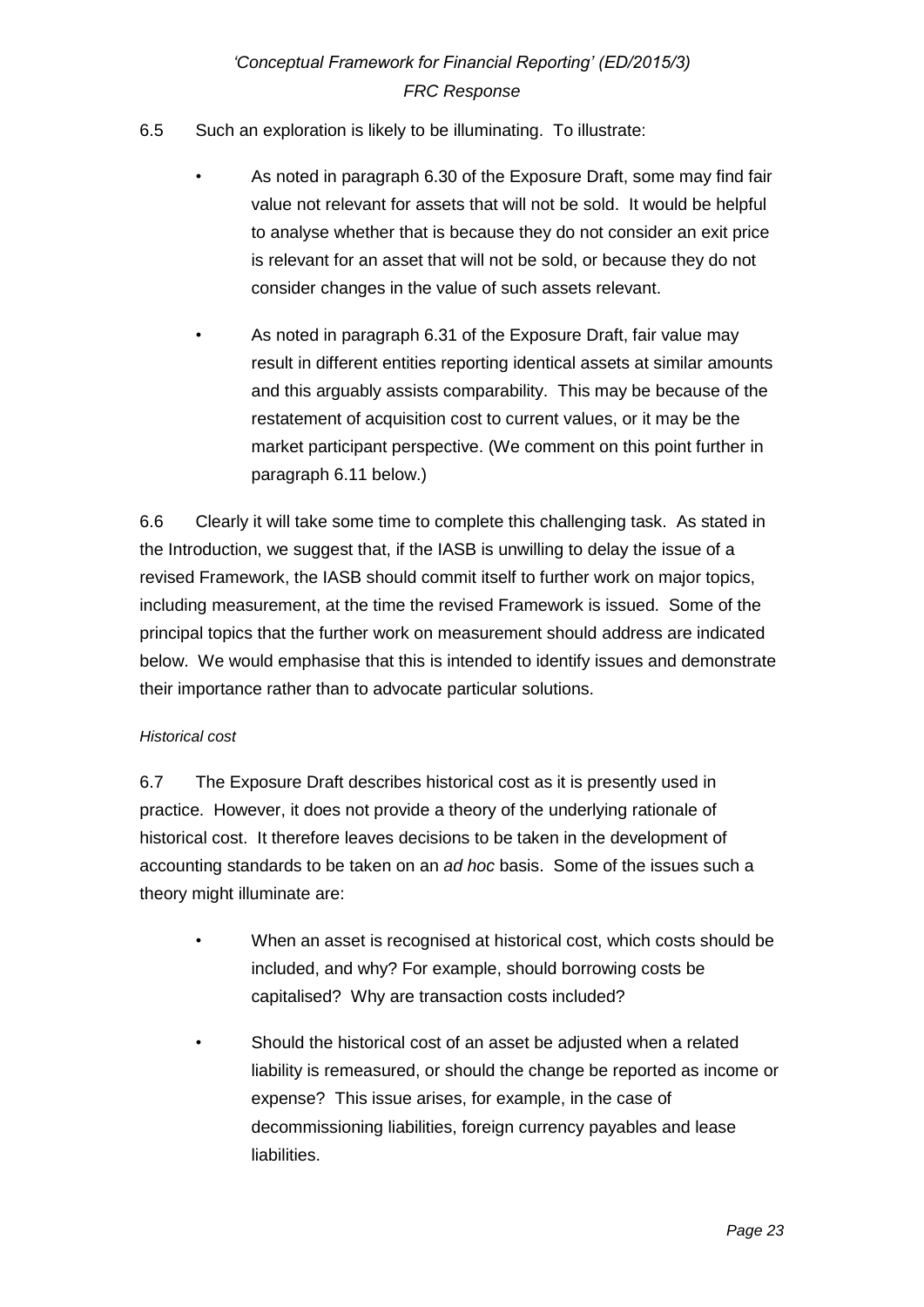- 6.5 Such an exploration is likely to be illuminating. To illustrate:
	- As noted in paragraph 6.30 of the Exposure Draft, some may find fair value not relevant for assets that will not be sold. It would be helpful to analyse whether that is because they do not consider an exit price is relevant for an asset that will not be sold, or because they do not consider changes in the value of such assets relevant.
	- As noted in paragraph 6.31 of the Exposure Draft, fair value may result in different entities reporting identical assets at similar amounts and this arguably assists comparability. This may be because of the restatement of acquisition cost to current values, or it may be the market participant perspective. (We comment on this point further in paragraph 6.11 below.)

6.6 Clearly it will take some time to complete this challenging task. As stated in the Introduction, we suggest that, if the IASB is unwilling to delay the issue of a revised Framework, the IASB should commit itself to further work on major topics, including measurement, at the time the revised Framework is issued. Some of the principal topics that the further work on measurement should address are indicated below. We would emphasise that this is intended to identify issues and demonstrate their importance rather than to advocate particular solutions.

#### *Historical cost*

6.7 The Exposure Draft describes historical cost as it is presently used in practice. However, it does not provide a theory of the underlying rationale of historical cost. It therefore leaves decisions to be taken in the development of accounting standards to be taken on an *ad hoc* basis. Some of the issues such a theory might illuminate are:

- When an asset is recognised at historical cost, which costs should be included, and why? For example, should borrowing costs be capitalised? Why are transaction costs included?
- Should the historical cost of an asset be adjusted when a related liability is remeasured, or should the change be reported as income or expense? This issue arises, for example, in the case of decommissioning liabilities, foreign currency payables and lease liabilities.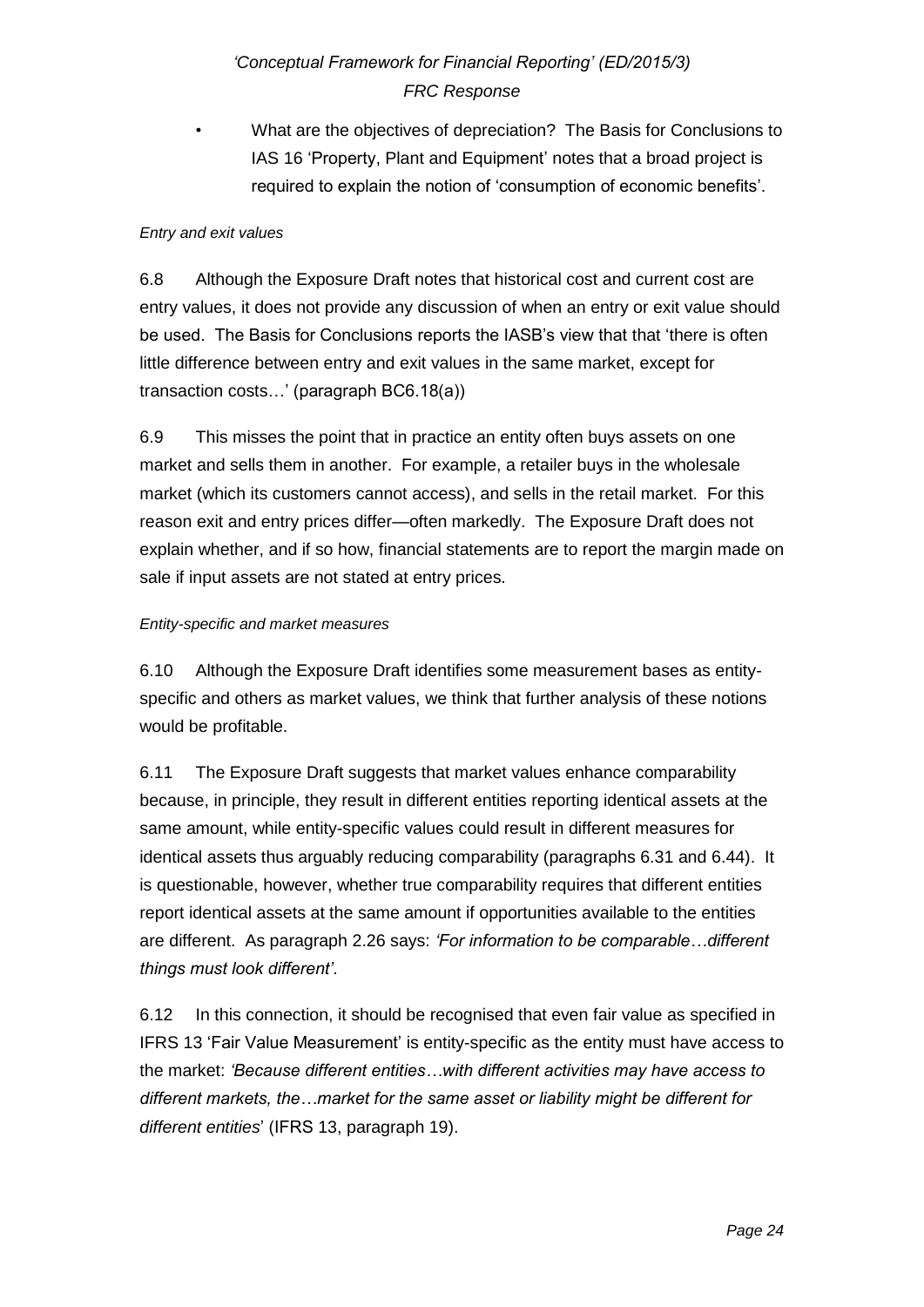• What are the objectives of depreciation? The Basis for Conclusions to IAS 16 'Property, Plant and Equipment' notes that a broad project is required to explain the notion of 'consumption of economic benefits'.

### *Entry and exit values*

6.8 Although the Exposure Draft notes that historical cost and current cost are entry values, it does not provide any discussion of when an entry or exit value should be used. The Basis for Conclusions reports the IASB's view that that 'there is often little difference between entry and exit values in the same market, except for transaction costs…' (paragraph BC6.18(a))

6.9 This misses the point that in practice an entity often buys assets on one market and sells them in another. For example, a retailer buys in the wholesale market (which its customers cannot access), and sells in the retail market. For this reason exit and entry prices differ—often markedly. The Exposure Draft does not explain whether, and if so how, financial statements are to report the margin made on sale if input assets are not stated at entry prices.

### *Entity-specific and market measures*

6.10 Although the Exposure Draft identifies some measurement bases as entityspecific and others as market values, we think that further analysis of these notions would be profitable.

6.11 The Exposure Draft suggests that market values enhance comparability because, in principle, they result in different entities reporting identical assets at the same amount, while entity-specific values could result in different measures for identical assets thus arguably reducing comparability (paragraphs 6.31 and 6.44). It is questionable, however, whether true comparability requires that different entities report identical assets at the same amount if opportunities available to the entities are different. As paragraph 2.26 says: *'For information to be comparable…different things must look different'*.

6.12 In this connection, it should be recognised that even fair value as specified in IFRS 13 'Fair Value Measurement' is entity-specific as the entity must have access to the market: *'Because different entities…with different activities may have access to different markets, the…market for the same asset or liability might be different for different entities*' (IFRS 13, paragraph 19).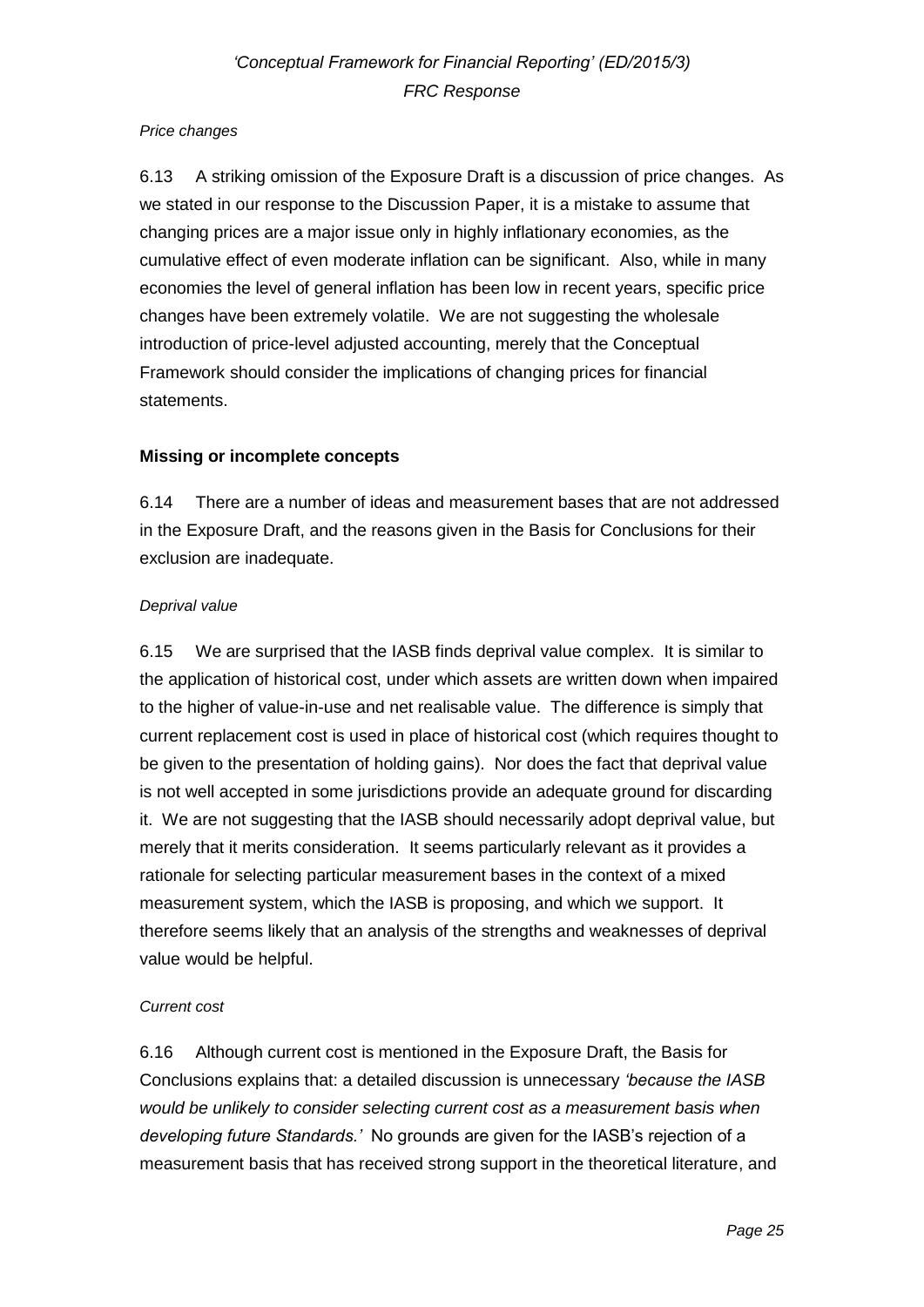#### *Price changes*

6.13 A striking omission of the Exposure Draft is a discussion of price changes. As we stated in our response to the Discussion Paper, it is a mistake to assume that changing prices are a major issue only in highly inflationary economies, as the cumulative effect of even moderate inflation can be significant. Also, while in many economies the level of general inflation has been low in recent years, specific price changes have been extremely volatile. We are not suggesting the wholesale introduction of price-level adjusted accounting, merely that the Conceptual Framework should consider the implications of changing prices for financial statements.

### **Missing or incomplete concepts**

6.14 There are a number of ideas and measurement bases that are not addressed in the Exposure Draft, and the reasons given in the Basis for Conclusions for their exclusion are inadequate.

#### *Deprival value*

6.15 We are surprised that the IASB finds deprival value complex. It is similar to the application of historical cost, under which assets are written down when impaired to the higher of value-in-use and net realisable value. The difference is simply that current replacement cost is used in place of historical cost (which requires thought to be given to the presentation of holding gains). Nor does the fact that deprival value is not well accepted in some jurisdictions provide an adequate ground for discarding it. We are not suggesting that the IASB should necessarily adopt deprival value, but merely that it merits consideration. It seems particularly relevant as it provides a rationale for selecting particular measurement bases in the context of a mixed measurement system, which the IASB is proposing, and which we support. It therefore seems likely that an analysis of the strengths and weaknesses of deprival value would be helpful.

#### *Current cost*

6.16 Although current cost is mentioned in the Exposure Draft, the Basis for Conclusions explains that: a detailed discussion is unnecessary *'because the IASB would be unlikely to consider selecting current cost as a measurement basis when developing future Standards.'* No grounds are given for the IASB's rejection of a measurement basis that has received strong support in the theoretical literature, and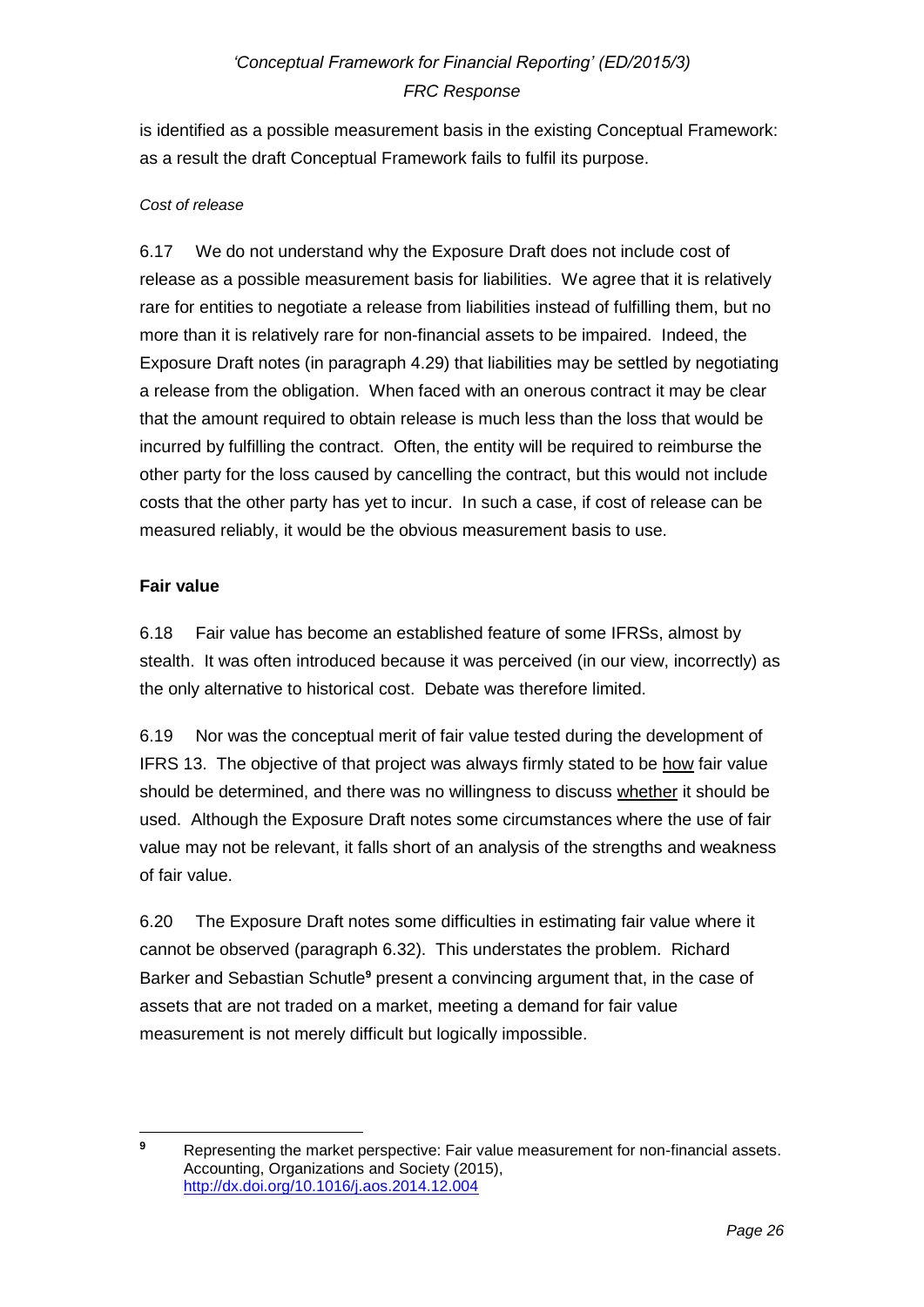is identified as a possible measurement basis in the existing Conceptual Framework: as a result the draft Conceptual Framework fails to fulfil its purpose.

### *Cost of release*

6.17 We do not understand why the Exposure Draft does not include cost of release as a possible measurement basis for liabilities. We agree that it is relatively rare for entities to negotiate a release from liabilities instead of fulfilling them, but no more than it is relatively rare for non-financial assets to be impaired. Indeed, the Exposure Draft notes (in paragraph 4.29) that liabilities may be settled by negotiating a release from the obligation. When faced with an onerous contract it may be clear that the amount required to obtain release is much less than the loss that would be incurred by fulfilling the contract. Often, the entity will be required to reimburse the other party for the loss caused by cancelling the contract, but this would not include costs that the other party has yet to incur. In such a case, if cost of release can be measured reliably, it would be the obvious measurement basis to use.

### **Fair value**

6.18 Fair value has become an established feature of some IFRSs, almost by stealth. It was often introduced because it was perceived (in our view, incorrectly) as the only alternative to historical cost. Debate was therefore limited.

6.19 Nor was the conceptual merit of fair value tested during the development of IFRS 13. The objective of that project was always firmly stated to be how fair value should be determined, and there was no willingness to discuss whether it should be used. Although the Exposure Draft notes some circumstances where the use of fair value may not be relevant, it falls short of an analysis of the strengths and weakness of fair value.

6.20 The Exposure Draft notes some difficulties in estimating fair value where it cannot be observed (paragraph 6.32). This understates the problem. Richard Barker and Sebastian Schutle**<sup>9</sup>** present a convincing argument that, in the case of assets that are not traded on a market, meeting a demand for fair value measurement is not merely difficult but logically impossible.

 $\boldsymbol{9}$ **<sup>9</sup>** Representing the market perspective: Fair value measurement for non-financial assets. Accounting, Organizations and Society (2015), <http://dx.doi.org/10.1016/j.aos.2014.12.004>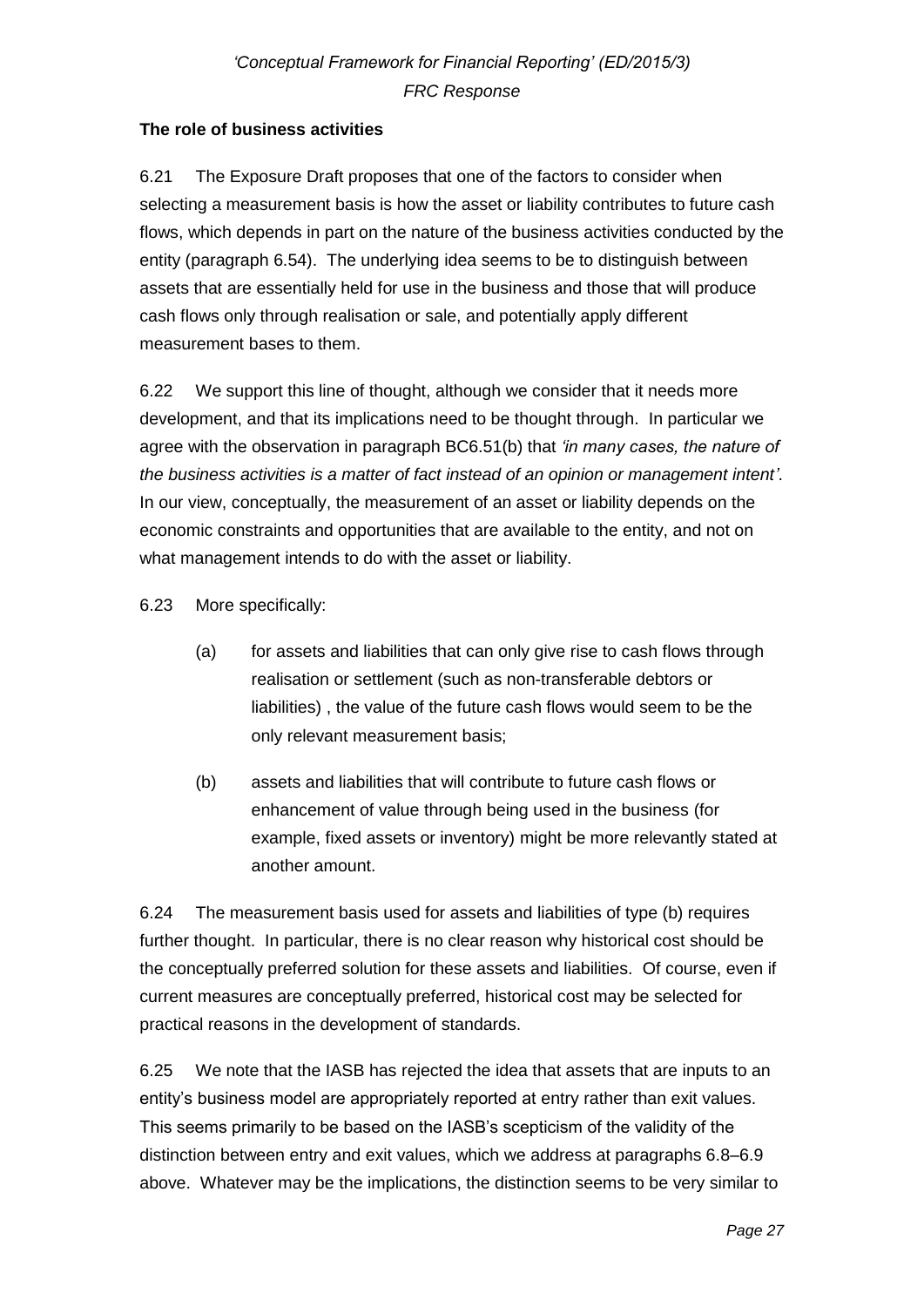## **The role of business activities**

6.21 The Exposure Draft proposes that one of the factors to consider when selecting a measurement basis is how the asset or liability contributes to future cash flows, which depends in part on the nature of the business activities conducted by the entity (paragraph 6.54). The underlying idea seems to be to distinguish between assets that are essentially held for use in the business and those that will produce cash flows only through realisation or sale, and potentially apply different measurement bases to them.

6.22 We support this line of thought, although we consider that it needs more development, and that its implications need to be thought through. In particular we agree with the observation in paragraph BC6.51(b) that *'in many cases, the nature of the business activities is a matter of fact instead of an opinion or management intent'*. In our view, conceptually, the measurement of an asset or liability depends on the economic constraints and opportunities that are available to the entity, and not on what management intends to do with the asset or liability.

6.23 More specifically:

- (a) for assets and liabilities that can only give rise to cash flows through realisation or settlement (such as non-transferable debtors or liabilities) , the value of the future cash flows would seem to be the only relevant measurement basis;
- (b) assets and liabilities that will contribute to future cash flows or enhancement of value through being used in the business (for example, fixed assets or inventory) might be more relevantly stated at another amount.

6.24 The measurement basis used for assets and liabilities of type (b) requires further thought. In particular, there is no clear reason why historical cost should be the conceptually preferred solution for these assets and liabilities. Of course, even if current measures are conceptually preferred, historical cost may be selected for practical reasons in the development of standards.

6.25 We note that the IASB has rejected the idea that assets that are inputs to an entity's business model are appropriately reported at entry rather than exit values. This seems primarily to be based on the IASB's scepticism of the validity of the distinction between entry and exit values, which we address at paragraphs 6.8–6.9 above. Whatever may be the implications, the distinction seems to be very similar to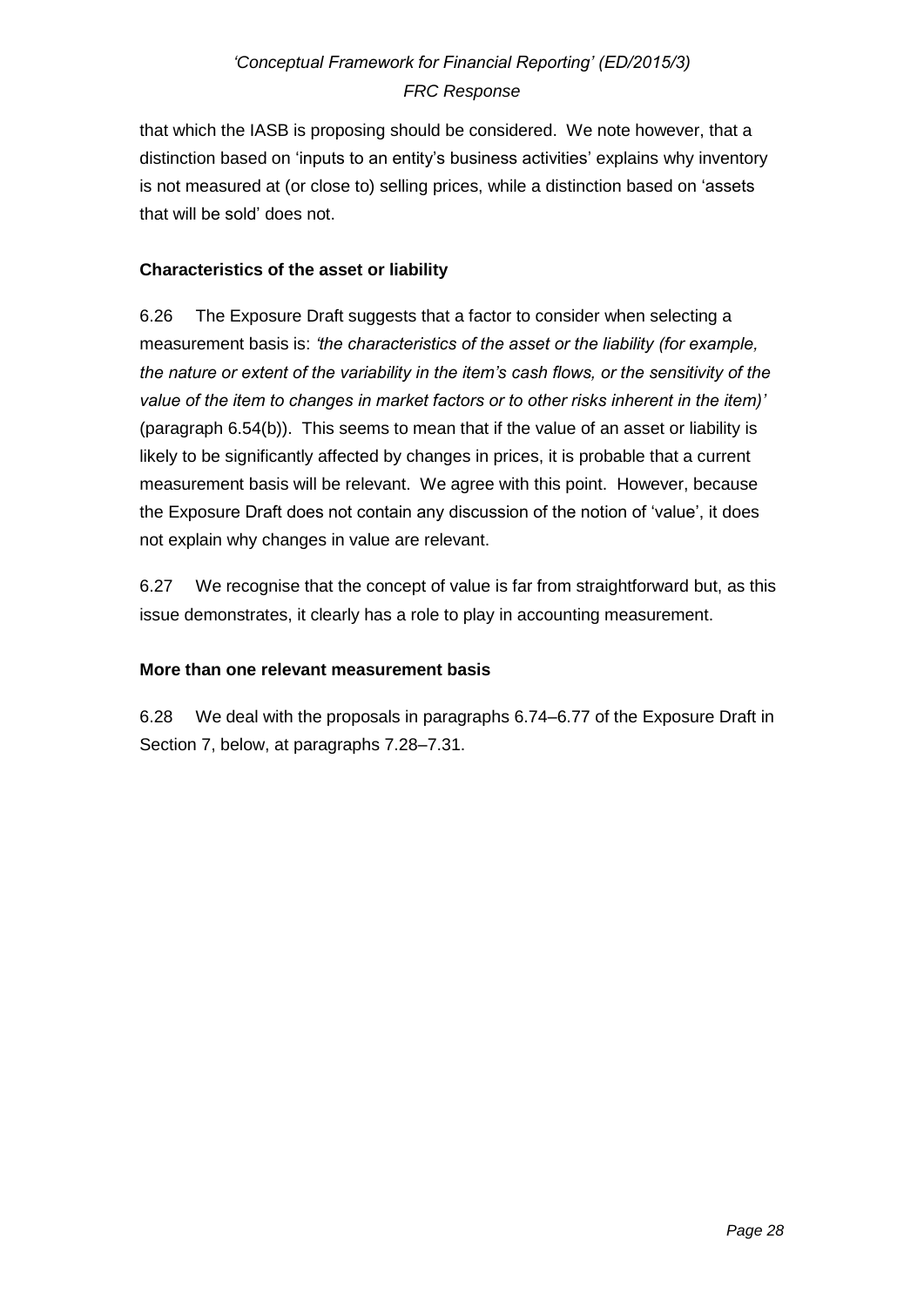that which the IASB is proposing should be considered. We note however, that a distinction based on 'inputs to an entity's business activities' explains why inventory is not measured at (or close to) selling prices, while a distinction based on 'assets that will be sold' does not.

### **Characteristics of the asset or liability**

6.26 The Exposure Draft suggests that a factor to consider when selecting a measurement basis is: *'the characteristics of the asset or the liability (for example, the nature or extent of the variability in the item's cash flows, or the sensitivity of the value of the item to changes in market factors or to other risks inherent in the item)'* (paragraph 6.54(b)). This seems to mean that if the value of an asset or liability is likely to be significantly affected by changes in prices, it is probable that a current measurement basis will be relevant. We agree with this point. However, because the Exposure Draft does not contain any discussion of the notion of 'value', it does not explain why changes in value are relevant.

6.27 We recognise that the concept of value is far from straightforward but, as this issue demonstrates, it clearly has a role to play in accounting measurement.

### **More than one relevant measurement basis**

6.28 We deal with the proposals in paragraphs 6.74–6.77 of the Exposure Draft in Section 7, below, at paragraphs 7.28–7.31.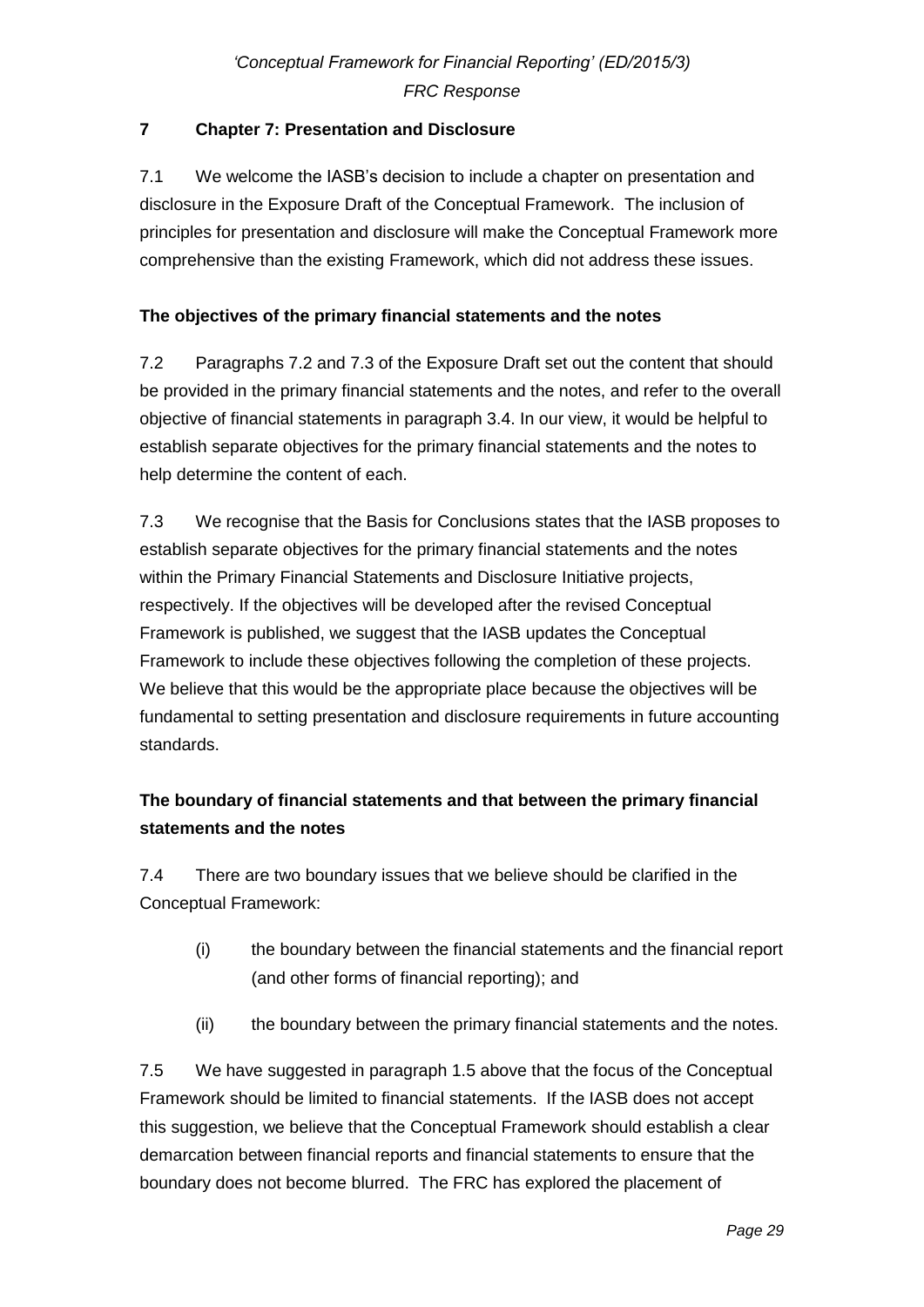## **7 Chapter 7: Presentation and Disclosure**

7.1 We welcome the IASB's decision to include a chapter on presentation and disclosure in the Exposure Draft of the Conceptual Framework. The inclusion of principles for presentation and disclosure will make the Conceptual Framework more comprehensive than the existing Framework, which did not address these issues.

## **The objectives of the primary financial statements and the notes**

7.2 Paragraphs 7.2 and 7.3 of the Exposure Draft set out the content that should be provided in the primary financial statements and the notes, and refer to the overall objective of financial statements in paragraph 3.4. In our view, it would be helpful to establish separate objectives for the primary financial statements and the notes to help determine the content of each.

7.3 We recognise that the Basis for Conclusions states that the IASB proposes to establish separate objectives for the primary financial statements and the notes within the Primary Financial Statements and Disclosure Initiative projects, respectively. If the objectives will be developed after the revised Conceptual Framework is published, we suggest that the IASB updates the Conceptual Framework to include these objectives following the completion of these projects. We believe that this would be the appropriate place because the objectives will be fundamental to setting presentation and disclosure requirements in future accounting standards.

# **The boundary of financial statements and that between the primary financial statements and the notes**

7.4 There are two boundary issues that we believe should be clarified in the Conceptual Framework:

- (i) the boundary between the financial statements and the financial report (and other forms of financial reporting); and
- (ii) the boundary between the primary financial statements and the notes.

7.5 We have suggested in paragraph 1.5 above that the focus of the Conceptual Framework should be limited to financial statements. If the IASB does not accept this suggestion, we believe that the Conceptual Framework should establish a clear demarcation between financial reports and financial statements to ensure that the boundary does not become blurred. The FRC has explored the placement of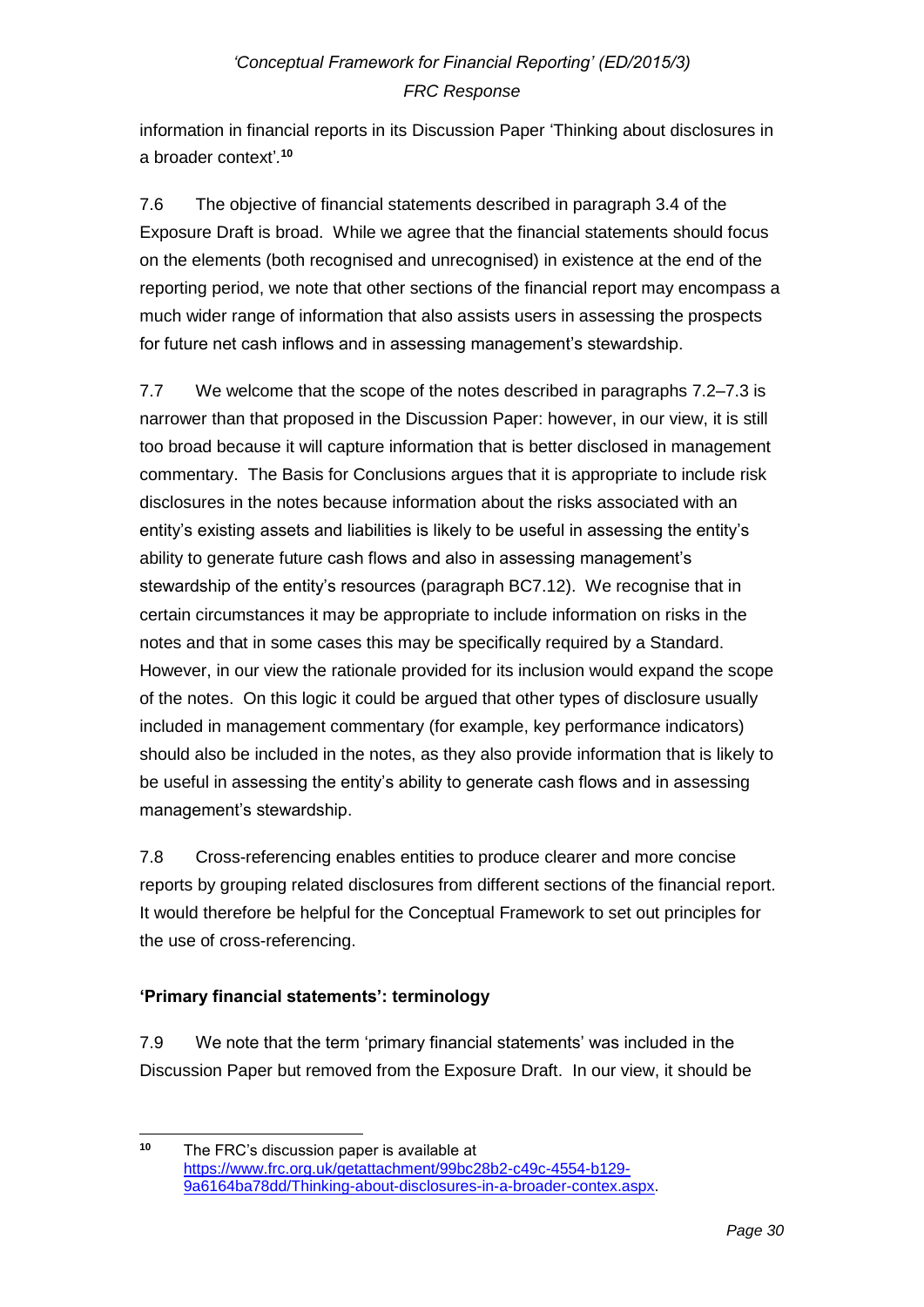information in financial reports in its Discussion Paper 'Thinking about disclosures in a broader context'*.* **10**

7.6 The objective of financial statements described in paragraph 3.4 of the Exposure Draft is broad. While we agree that the financial statements should focus on the elements (both recognised and unrecognised) in existence at the end of the reporting period, we note that other sections of the financial report may encompass a much wider range of information that also assists users in assessing the prospects for future net cash inflows and in assessing management's stewardship.

7.7 We welcome that the scope of the notes described in paragraphs 7.2–7.3 is narrower than that proposed in the Discussion Paper: however, in our view, it is still too broad because it will capture information that is better disclosed in management commentary. The Basis for Conclusions argues that it is appropriate to include risk disclosures in the notes because information about the risks associated with an entity's existing assets and liabilities is likely to be useful in assessing the entity's ability to generate future cash flows and also in assessing management's stewardship of the entity's resources (paragraph BC7.12). We recognise that in certain circumstances it may be appropriate to include information on risks in the notes and that in some cases this may be specifically required by a Standard. However, in our view the rationale provided for its inclusion would expand the scope of the notes. On this logic it could be argued that other types of disclosure usually included in management commentary (for example, key performance indicators) should also be included in the notes, as they also provide information that is likely to be useful in assessing the entity's ability to generate cash flows and in assessing management's stewardship.

7.8 Cross-referencing enables entities to produce clearer and more concise reports by grouping related disclosures from different sections of the financial report. It would therefore be helpful for the Conceptual Framework to set out principles for the use of cross-referencing.

## **'Primary financial statements': terminology**

7.9 We note that the term 'primary financial statements' was included in the Discussion Paper but removed from the Exposure Draft. In our view, it should be

 $10<sub>1</sub>$ **<sup>10</sup>** The FRC's discussion paper is available at [https://www.frc.org.uk/getattachment/99bc28b2-c49c-4554-b129-](https://www.frc.org.uk/getattachment/99bc28b2-c49c-4554-b129-9a6164ba78dd/Thinking-about-disclosures-in-a-broader-contex.aspx) [9a6164ba78dd/Thinking-about-disclosures-in-a-broader-contex.aspx.](https://www.frc.org.uk/getattachment/99bc28b2-c49c-4554-b129-9a6164ba78dd/Thinking-about-disclosures-in-a-broader-contex.aspx)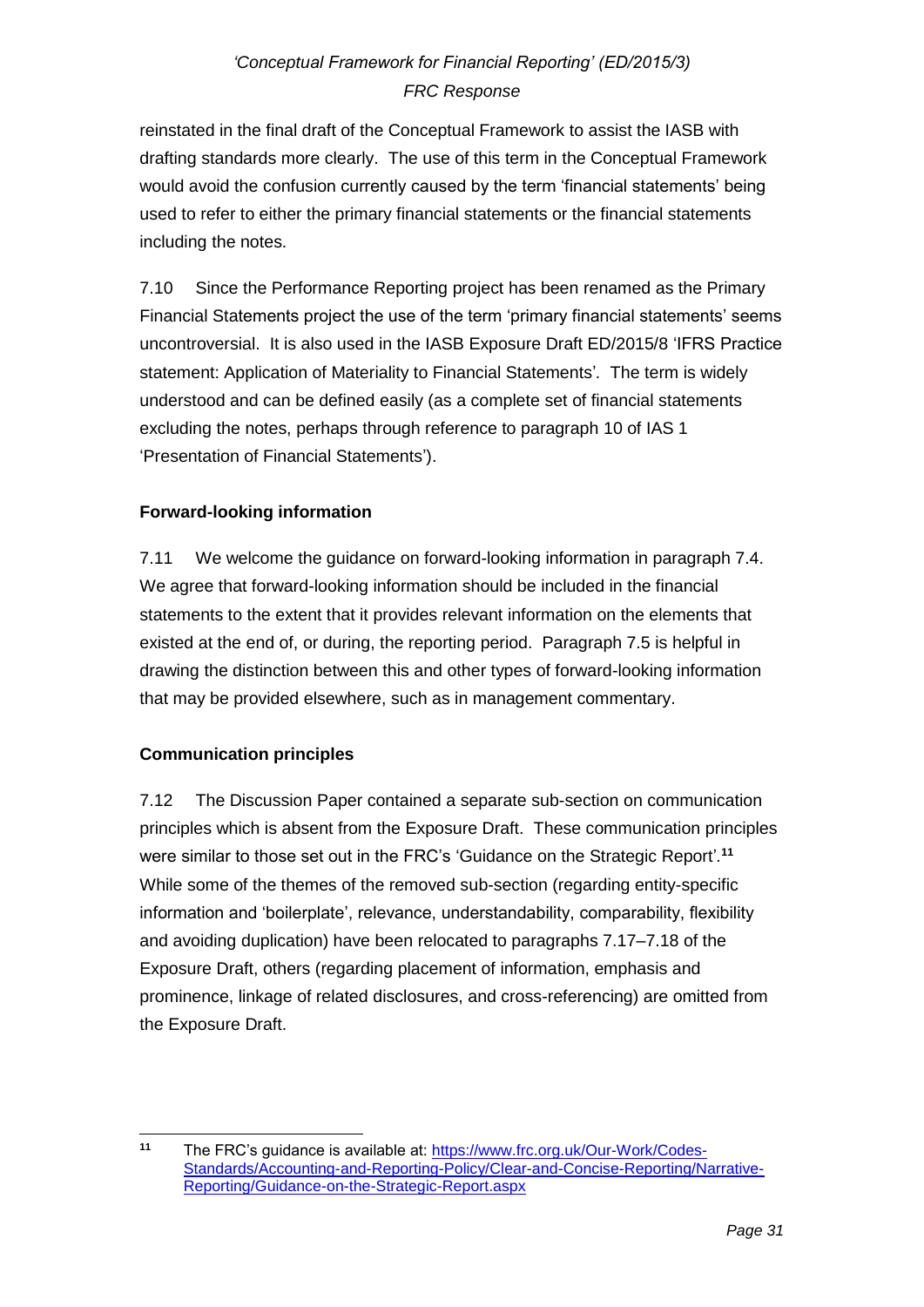reinstated in the final draft of the Conceptual Framework to assist the IASB with drafting standards more clearly. The use of this term in the Conceptual Framework would avoid the confusion currently caused by the term 'financial statements' being used to refer to either the primary financial statements or the financial statements including the notes.

7.10 Since the Performance Reporting project has been renamed as the Primary Financial Statements project the use of the term 'primary financial statements' seems uncontroversial. It is also used in the IASB Exposure Draft ED/2015/8 'IFRS Practice statement: Application of Materiality to Financial Statements'*.* The term is widely understood and can be defined easily (as a complete set of financial statements excluding the notes, perhaps through reference to paragraph 10 of IAS 1 'Presentation of Financial Statements').

## **Forward-looking information**

7.11 We welcome the guidance on forward-looking information in paragraph 7.4. We agree that forward-looking information should be included in the financial statements to the extent that it provides relevant information on the elements that existed at the end of, or during, the reporting period. Paragraph 7.5 is helpful in drawing the distinction between this and other types of forward-looking information that may be provided elsewhere, such as in management commentary.

## **Communication principles**

7.12 The Discussion Paper contained a separate sub-section on communication principles which is absent from the Exposure Draft. These communication principles were similar to those set out in the FRC's 'Guidance on the Strategic Report'*.* **11** While some of the themes of the removed sub-section (regarding entity-specific information and 'boilerplate', relevance, understandability, comparability, flexibility and avoiding duplication) have been relocated to paragraphs 7.17–7.18 of the Exposure Draft, others (regarding placement of information, emphasis and prominence, linkage of related disclosures, and cross-referencing) are omitted from the Exposure Draft.

 $11$ **<sup>11</sup>** The FRC's guidance is available at: [https://www.frc.org.uk/Our-Work/Codes-](https://www.frc.org.uk/Our-Work/Codes-Standards/Accounting-and-Reporting-Policy/Clear-and-Concise-Reporting/Narrative-Reporting/Guidance-on-the-Strategic-Report.aspx)[Standards/Accounting-and-Reporting-Policy/Clear-and-Concise-Reporting/Narrative-](https://www.frc.org.uk/Our-Work/Codes-Standards/Accounting-and-Reporting-Policy/Clear-and-Concise-Reporting/Narrative-Reporting/Guidance-on-the-Strategic-Report.aspx)[Reporting/Guidance-on-the-Strategic-Report.aspx](https://www.frc.org.uk/Our-Work/Codes-Standards/Accounting-and-Reporting-Policy/Clear-and-Concise-Reporting/Narrative-Reporting/Guidance-on-the-Strategic-Report.aspx)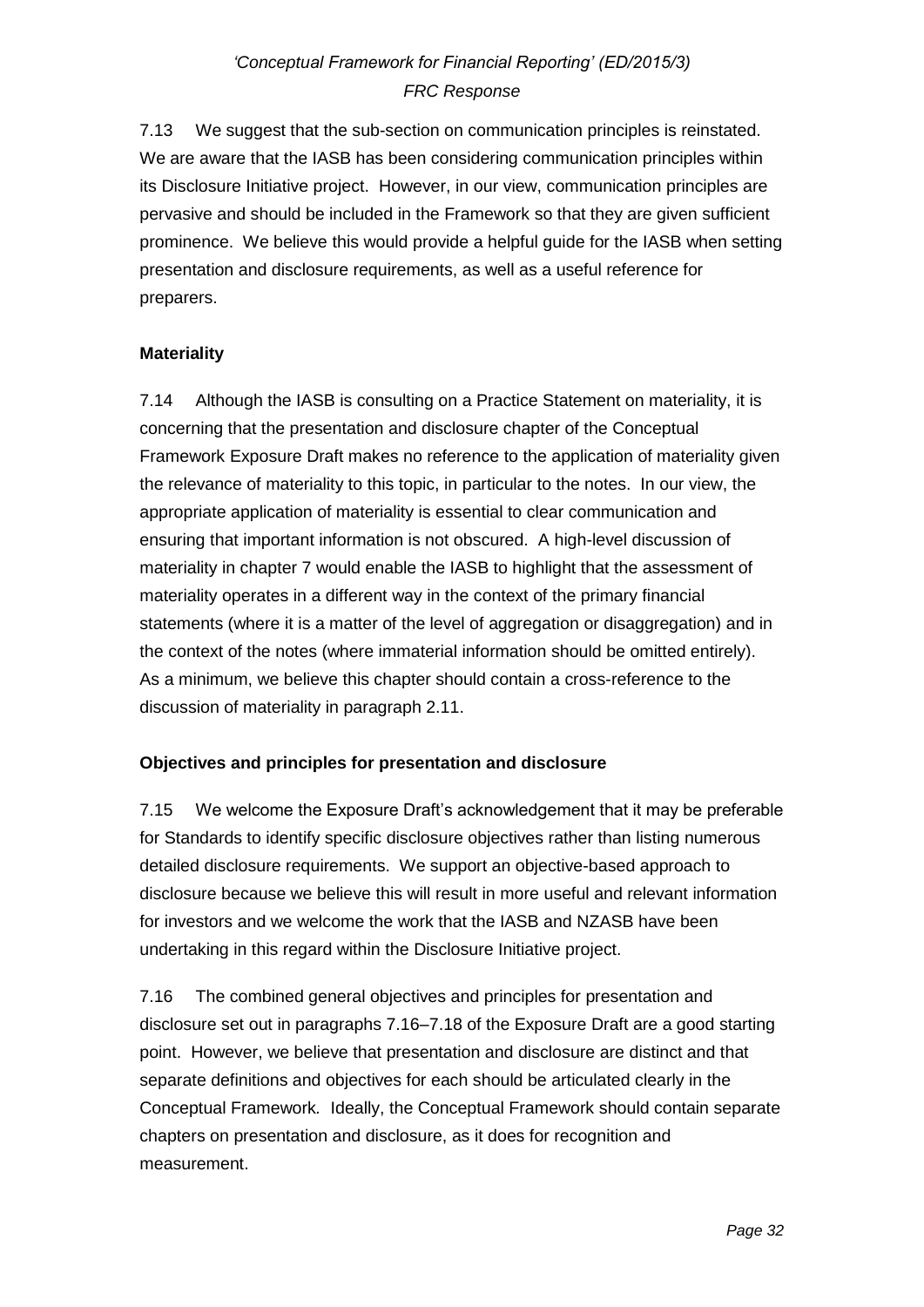7.13 We suggest that the sub-section on communication principles is reinstated. We are aware that the IASB has been considering communication principles within its Disclosure Initiative project. However, in our view, communication principles are pervasive and should be included in the Framework so that they are given sufficient prominence. We believe this would provide a helpful guide for the IASB when setting presentation and disclosure requirements, as well as a useful reference for preparers.

### **Materiality**

7.14 Although the IASB is consulting on a Practice Statement on materiality, it is concerning that the presentation and disclosure chapter of the Conceptual Framework Exposure Draft makes no reference to the application of materiality given the relevance of materiality to this topic, in particular to the notes. In our view, the appropriate application of materiality is essential to clear communication and ensuring that important information is not obscured. A high-level discussion of materiality in chapter 7 would enable the IASB to highlight that the assessment of materiality operates in a different way in the context of the primary financial statements (where it is a matter of the level of aggregation or disaggregation) and in the context of the notes (where immaterial information should be omitted entirely). As a minimum, we believe this chapter should contain a cross-reference to the discussion of materiality in paragraph 2.11.

### **Objectives and principles for presentation and disclosure**

7.15 We welcome the Exposure Draft's acknowledgement that it may be preferable for Standards to identify specific disclosure objectives rather than listing numerous detailed disclosure requirements. We support an objective-based approach to disclosure because we believe this will result in more useful and relevant information for investors and we welcome the work that the IASB and NZASB have been undertaking in this regard within the Disclosure Initiative project.

7.16 The combined general objectives and principles for presentation and disclosure set out in paragraphs 7.16–7.18 of the Exposure Draft are a good starting point. However, we believe that presentation and disclosure are distinct and that separate definitions and objectives for each should be articulated clearly in the Conceptual Framework*.* Ideally, the Conceptual Framework should contain separate chapters on presentation and disclosure, as it does for recognition and measurement.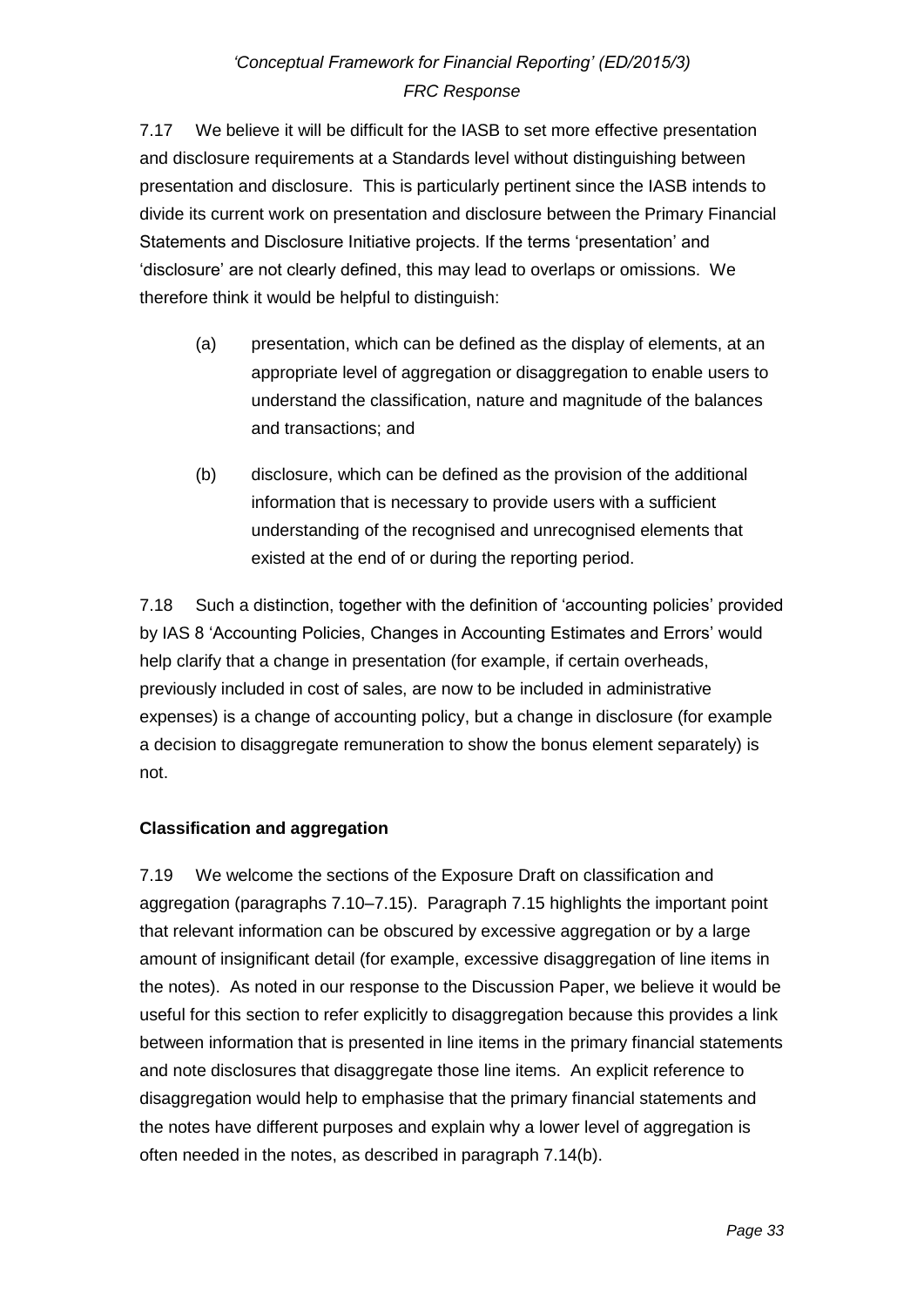7.17 We believe it will be difficult for the IASB to set more effective presentation and disclosure requirements at a Standards level without distinguishing between presentation and disclosure. This is particularly pertinent since the IASB intends to divide its current work on presentation and disclosure between the Primary Financial Statements and Disclosure Initiative projects. If the terms 'presentation' and 'disclosure' are not clearly defined, this may lead to overlaps or omissions. We therefore think it would be helpful to distinguish:

- (a) presentation, which can be defined as the display of elements, at an appropriate level of aggregation or disaggregation to enable users to understand the classification, nature and magnitude of the balances and transactions; and
- (b) disclosure, which can be defined as the provision of the additional information that is necessary to provide users with a sufficient understanding of the recognised and unrecognised elements that existed at the end of or during the reporting period.

7.18 Such a distinction, together with the definition of 'accounting policies' provided by IAS 8 'Accounting Policies, Changes in Accounting Estimates and Errors' would help clarify that a change in presentation (for example, if certain overheads, previously included in cost of sales, are now to be included in administrative expenses) is a change of accounting policy, but a change in disclosure (for example a decision to disaggregate remuneration to show the bonus element separately) is not.

## **Classification and aggregation**

7.19 We welcome the sections of the Exposure Draft on classification and aggregation (paragraphs 7.10–7.15). Paragraph 7.15 highlights the important point that relevant information can be obscured by excessive aggregation or by a large amount of insignificant detail (for example, excessive disaggregation of line items in the notes). As noted in our response to the Discussion Paper, we believe it would be useful for this section to refer explicitly to disaggregation because this provides a link between information that is presented in line items in the primary financial statements and note disclosures that disaggregate those line items. An explicit reference to disaggregation would help to emphasise that the primary financial statements and the notes have different purposes and explain why a lower level of aggregation is often needed in the notes, as described in paragraph 7.14(b).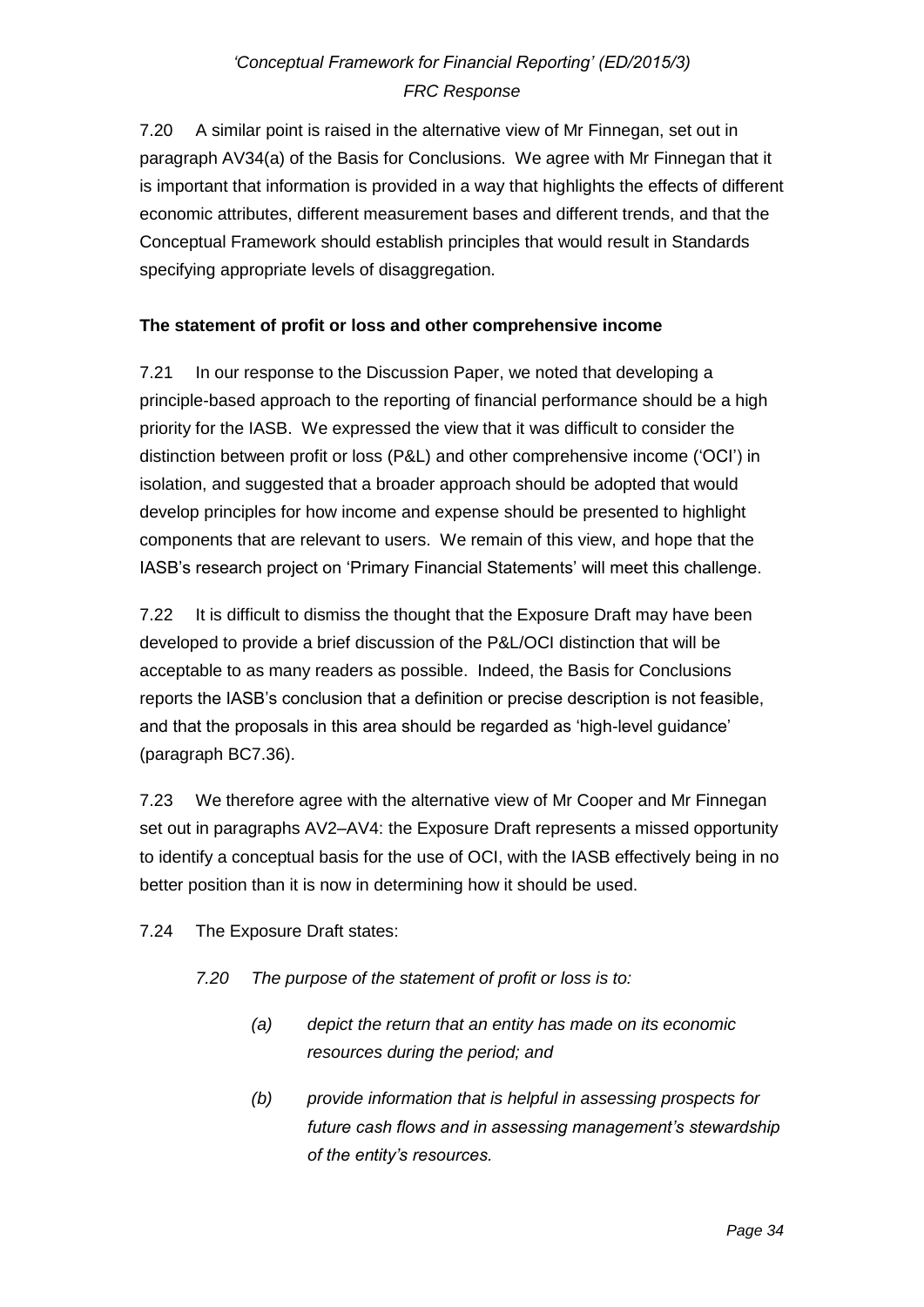7.20 A similar point is raised in the alternative view of Mr Finnegan, set out in paragraph AV34(a) of the Basis for Conclusions. We agree with Mr Finnegan that it is important that information is provided in a way that highlights the effects of different economic attributes, different measurement bases and different trends, and that the Conceptual Framework should establish principles that would result in Standards specifying appropriate levels of disaggregation.

## **The statement of profit or loss and other comprehensive income**

7.21 In our response to the Discussion Paper, we noted that developing a principle-based approach to the reporting of financial performance should be a high priority for the IASB. We expressed the view that it was difficult to consider the distinction between profit or loss (P&L) and other comprehensive income ('OCI') in isolation, and suggested that a broader approach should be adopted that would develop principles for how income and expense should be presented to highlight components that are relevant to users. We remain of this view, and hope that the IASB's research project on 'Primary Financial Statements' will meet this challenge.

7.22 It is difficult to dismiss the thought that the Exposure Draft may have been developed to provide a brief discussion of the P&L/OCI distinction that will be acceptable to as many readers as possible. Indeed, the Basis for Conclusions reports the IASB's conclusion that a definition or precise description is not feasible, and that the proposals in this area should be regarded as 'high-level guidance' (paragraph BC7.36).

7.23 We therefore agree with the alternative view of Mr Cooper and Mr Finnegan set out in paragraphs AV2–AV4: the Exposure Draft represents a missed opportunity to identify a conceptual basis for the use of OCI, with the IASB effectively being in no better position than it is now in determining how it should be used.

7.24 The Exposure Draft states:

- *7.20 The purpose of the statement of profit or loss is to:*
	- *(a) depict the return that an entity has made on its economic resources during the period; and*
	- *(b) provide information that is helpful in assessing prospects for future cash flows and in assessing management's stewardship of the entity's resources.*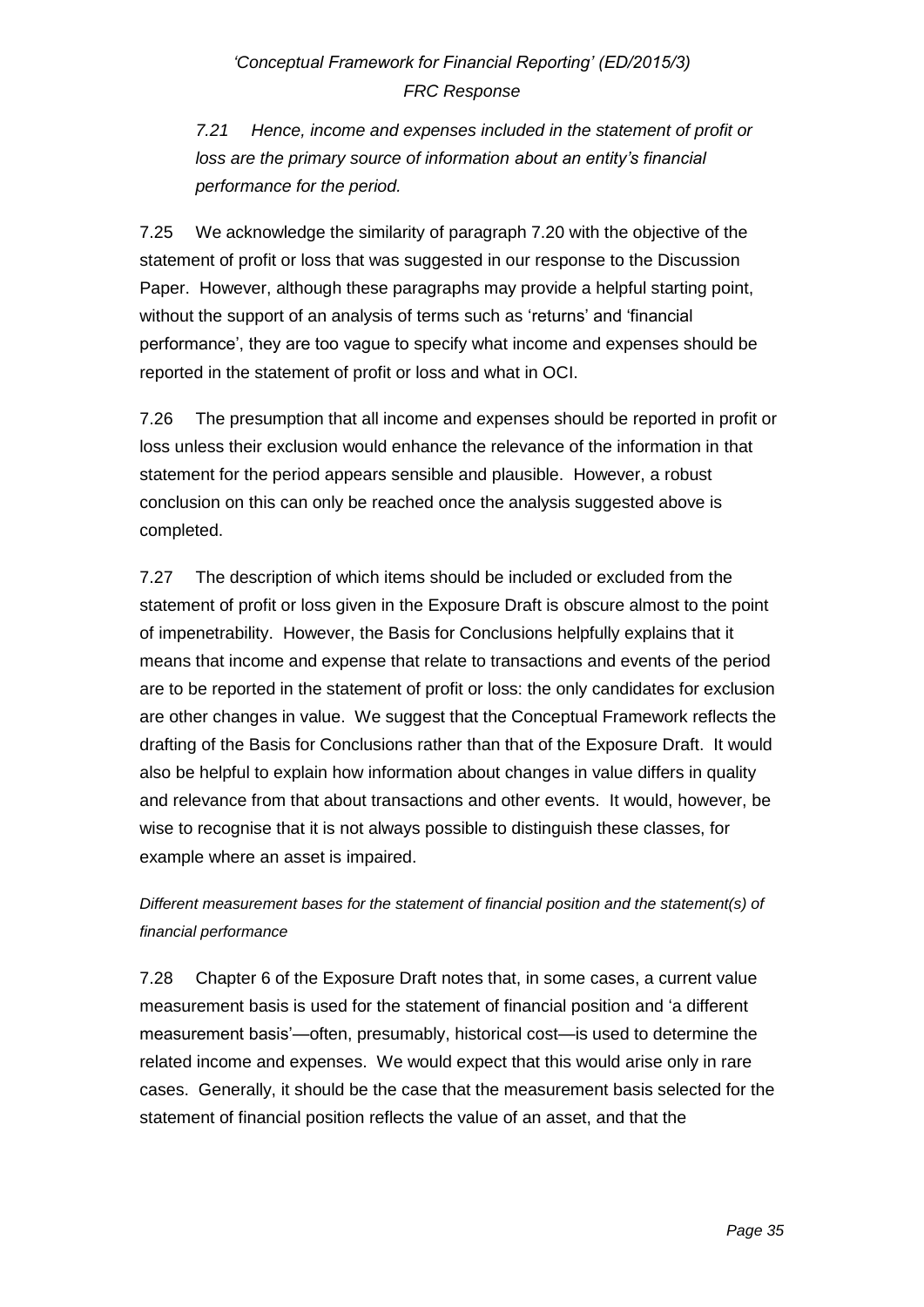*7.21 Hence, income and expenses included in the statement of profit or loss are the primary source of information about an entity's financial performance for the period.*

7.25 We acknowledge the similarity of paragraph 7.20 with the objective of the statement of profit or loss that was suggested in our response to the Discussion Paper. However, although these paragraphs may provide a helpful starting point, without the support of an analysis of terms such as 'returns' and 'financial performance', they are too vague to specify what income and expenses should be reported in the statement of profit or loss and what in OCI.

7.26 The presumption that all income and expenses should be reported in profit or loss unless their exclusion would enhance the relevance of the information in that statement for the period appears sensible and plausible. However, a robust conclusion on this can only be reached once the analysis suggested above is completed.

7.27 The description of which items should be included or excluded from the statement of profit or loss given in the Exposure Draft is obscure almost to the point of impenetrability. However, the Basis for Conclusions helpfully explains that it means that income and expense that relate to transactions and events of the period are to be reported in the statement of profit or loss: the only candidates for exclusion are other changes in value. We suggest that the Conceptual Framework reflects the drafting of the Basis for Conclusions rather than that of the Exposure Draft. It would also be helpful to explain how information about changes in value differs in quality and relevance from that about transactions and other events. It would, however, be wise to recognise that it is not always possible to distinguish these classes, for example where an asset is impaired.

*Different measurement bases for the statement of financial position and the statement(s) of financial performance*

7.28 Chapter 6 of the Exposure Draft notes that, in some cases, a current value measurement basis is used for the statement of financial position and 'a different measurement basis'—often, presumably, historical cost—is used to determine the related income and expenses. We would expect that this would arise only in rare cases. Generally, it should be the case that the measurement basis selected for the statement of financial position reflects the value of an asset, and that the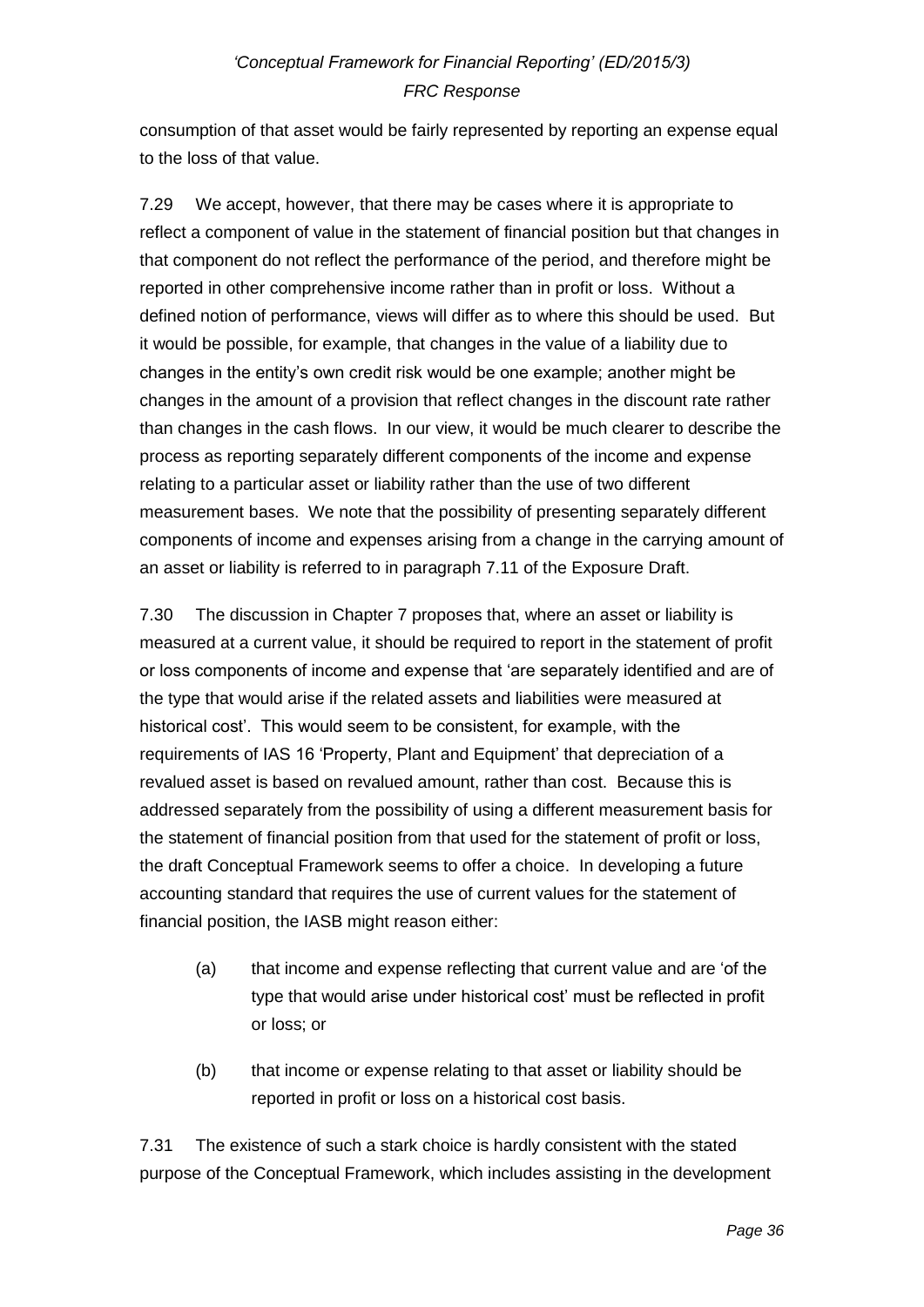consumption of that asset would be fairly represented by reporting an expense equal to the loss of that value.

7.29 We accept, however, that there may be cases where it is appropriate to reflect a component of value in the statement of financial position but that changes in that component do not reflect the performance of the period, and therefore might be reported in other comprehensive income rather than in profit or loss. Without a defined notion of performance, views will differ as to where this should be used. But it would be possible, for example, that changes in the value of a liability due to changes in the entity's own credit risk would be one example; another might be changes in the amount of a provision that reflect changes in the discount rate rather than changes in the cash flows. In our view, it would be much clearer to describe the process as reporting separately different components of the income and expense relating to a particular asset or liability rather than the use of two different measurement bases. We note that the possibility of presenting separately different components of income and expenses arising from a change in the carrying amount of an asset or liability is referred to in paragraph 7.11 of the Exposure Draft.

7.30 The discussion in Chapter 7 proposes that, where an asset or liability is measured at a current value, it should be required to report in the statement of profit or loss components of income and expense that 'are separately identified and are of the type that would arise if the related assets and liabilities were measured at historical cost'. This would seem to be consistent, for example, with the requirements of IAS 16 'Property, Plant and Equipment' that depreciation of a revalued asset is based on revalued amount, rather than cost. Because this is addressed separately from the possibility of using a different measurement basis for the statement of financial position from that used for the statement of profit or loss, the draft Conceptual Framework seems to offer a choice. In developing a future accounting standard that requires the use of current values for the statement of financial position, the IASB might reason either:

- (a) that income and expense reflecting that current value and are 'of the type that would arise under historical cost' must be reflected in profit or loss; or
- (b) that income or expense relating to that asset or liability should be reported in profit or loss on a historical cost basis.

7.31 The existence of such a stark choice is hardly consistent with the stated purpose of the Conceptual Framework, which includes assisting in the development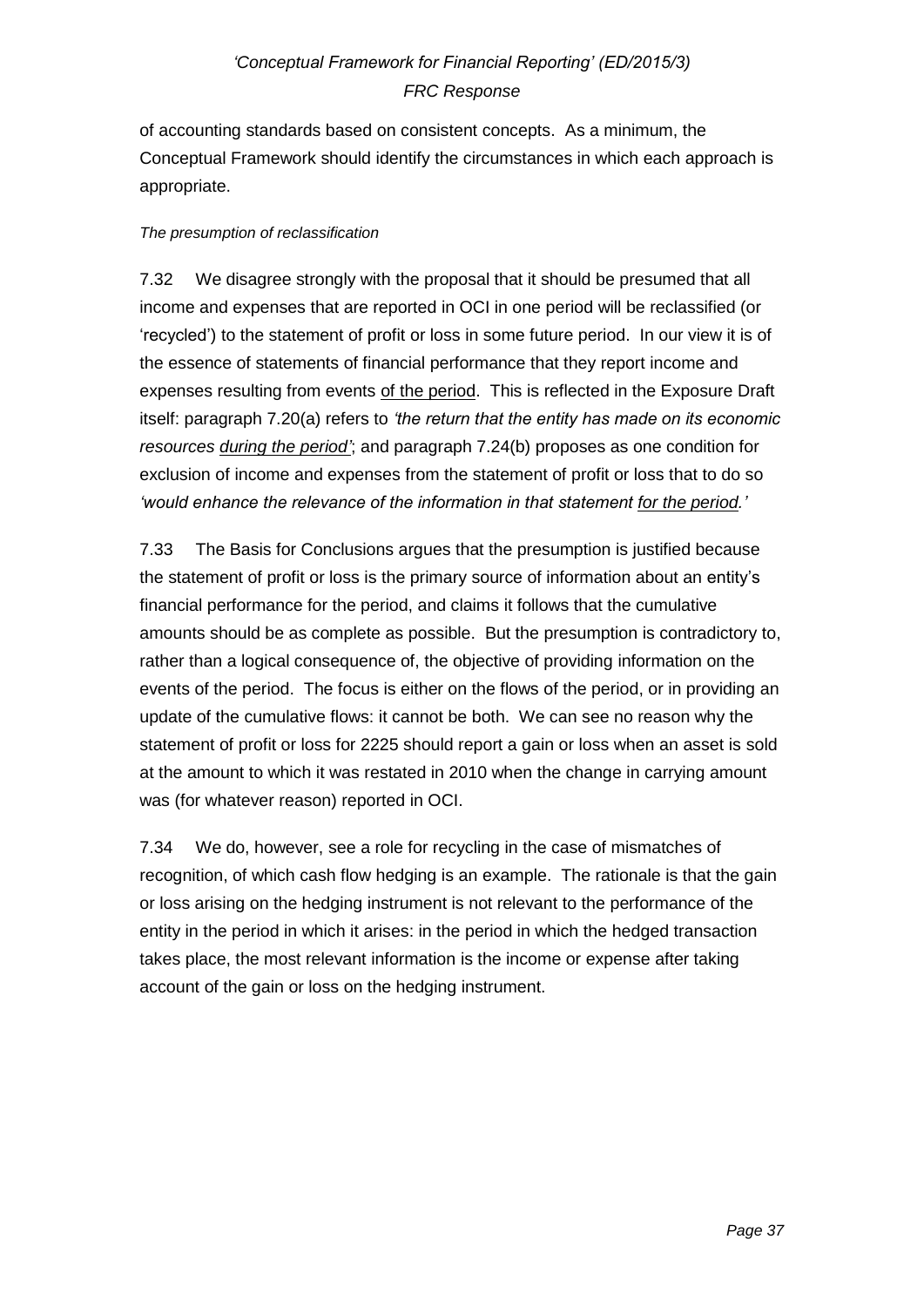of accounting standards based on consistent concepts. As a minimum, the Conceptual Framework should identify the circumstances in which each approach is appropriate.

### *The presumption of reclassification*

7.32 We disagree strongly with the proposal that it should be presumed that all income and expenses that are reported in OCI in one period will be reclassified (or 'recycled') to the statement of profit or loss in some future period. In our view it is of the essence of statements of financial performance that they report income and expenses resulting from events of the period. This is reflected in the Exposure Draft itself: paragraph 7.20(a) refers to *'the return that the entity has made on its economic resources during the period'*; and paragraph 7.24(b) proposes as one condition for exclusion of income and expenses from the statement of profit or loss that to do so *'would enhance the relevance of the information in that statement for the period.'*

7.33 The Basis for Conclusions argues that the presumption is justified because the statement of profit or loss is the primary source of information about an entity's financial performance for the period, and claims it follows that the cumulative amounts should be as complete as possible. But the presumption is contradictory to, rather than a logical consequence of, the objective of providing information on the events of the period. The focus is either on the flows of the period, or in providing an update of the cumulative flows: it cannot be both. We can see no reason why the statement of profit or loss for 2225 should report a gain or loss when an asset is sold at the amount to which it was restated in 2010 when the change in carrying amount was (for whatever reason) reported in OCI.

7.34 We do, however, see a role for recycling in the case of mismatches of recognition, of which cash flow hedging is an example. The rationale is that the gain or loss arising on the hedging instrument is not relevant to the performance of the entity in the period in which it arises: in the period in which the hedged transaction takes place, the most relevant information is the income or expense after taking account of the gain or loss on the hedging instrument.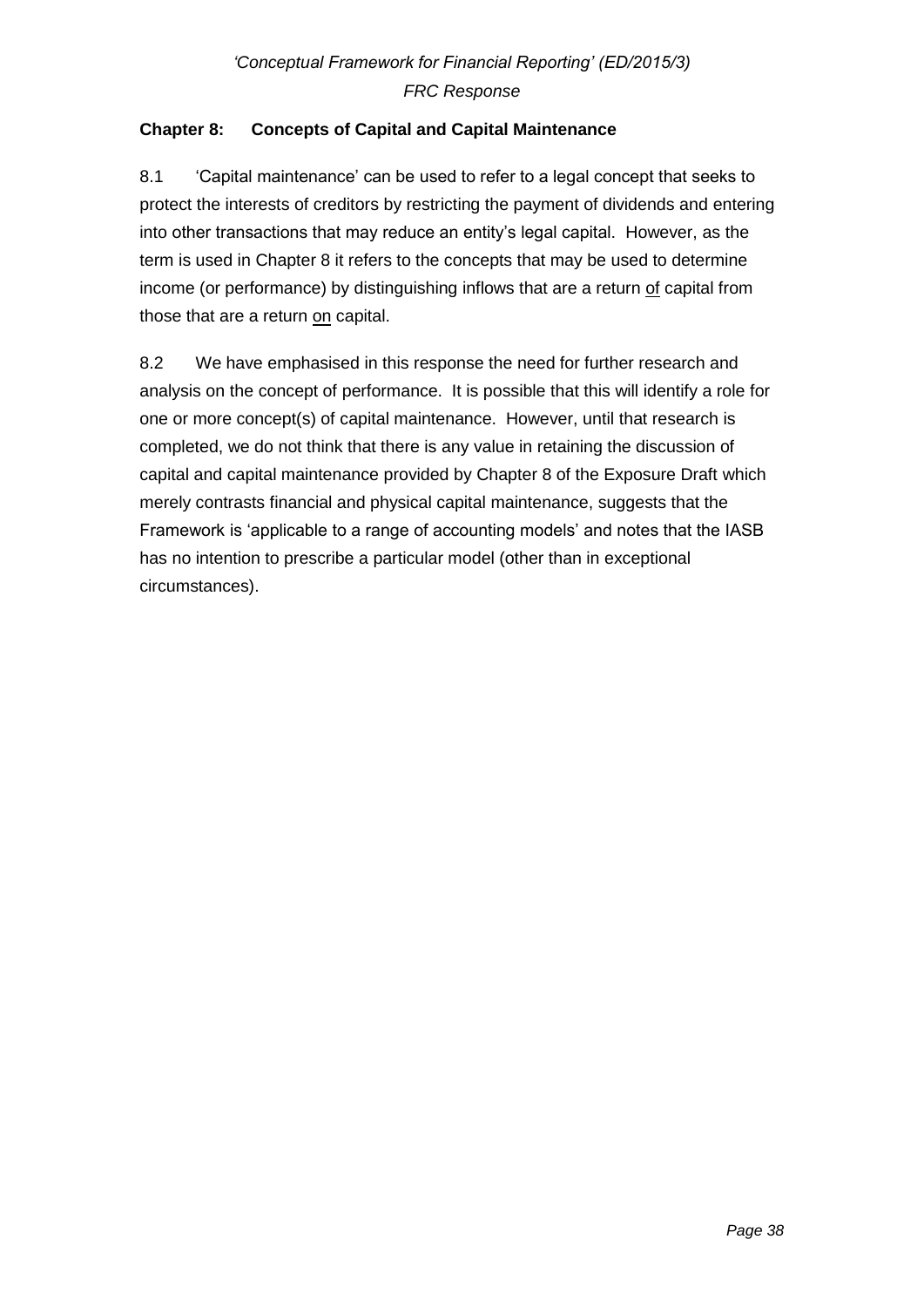## **Chapter 8: Concepts of Capital and Capital Maintenance**

8.1 'Capital maintenance' can be used to refer to a legal concept that seeks to protect the interests of creditors by restricting the payment of dividends and entering into other transactions that may reduce an entity's legal capital. However, as the term is used in Chapter 8 it refers to the concepts that may be used to determine income (or performance) by distinguishing inflows that are a return of capital from those that are a return on capital.

8.2 We have emphasised in this response the need for further research and analysis on the concept of performance. It is possible that this will identify a role for one or more concept(s) of capital maintenance. However, until that research is completed, we do not think that there is any value in retaining the discussion of capital and capital maintenance provided by Chapter 8 of the Exposure Draft which merely contrasts financial and physical capital maintenance, suggests that the Framework is 'applicable to a range of accounting models' and notes that the IASB has no intention to prescribe a particular model (other than in exceptional circumstances).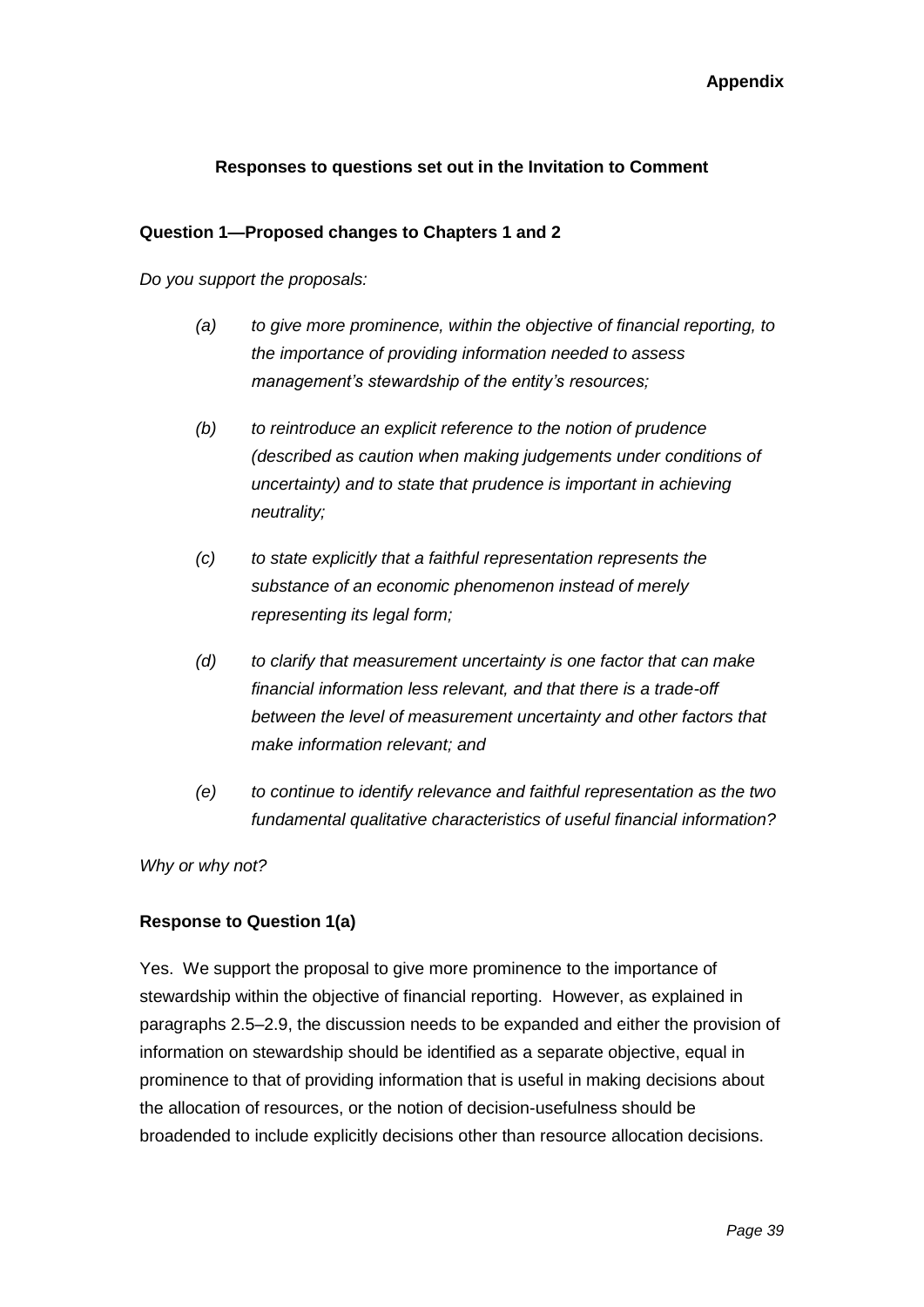### **Responses to questions set out in the Invitation to Comment**

#### **Question 1—Proposed changes to Chapters 1 and 2**

*Do you support the proposals:*

- *(a) to give more prominence, within the objective of financial reporting, to the importance of providing information needed to assess management's stewardship of the entity's resources;*
- *(b) to reintroduce an explicit reference to the notion of prudence (described as caution when making judgements under conditions of uncertainty) and to state that prudence is important in achieving neutrality;*
- *(c) to state explicitly that a faithful representation represents the substance of an economic phenomenon instead of merely representing its legal form;*
- *(d) to clarify that measurement uncertainty is one factor that can make financial information less relevant, and that there is a trade-off between the level of measurement uncertainty and other factors that make information relevant; and*
- *(e) to continue to identify relevance and faithful representation as the two fundamental qualitative characteristics of useful financial information?*

*Why or why not?*

#### **Response to Question 1(a)**

Yes. We support the proposal to give more prominence to the importance of stewardship within the objective of financial reporting. However, as explained in paragraphs 2.5–2.9, the discussion needs to be expanded and either the provision of information on stewardship should be identified as a separate objective, equal in prominence to that of providing information that is useful in making decisions about the allocation of resources, or the notion of decision-usefulness should be broadended to include explicitly decisions other than resource allocation decisions.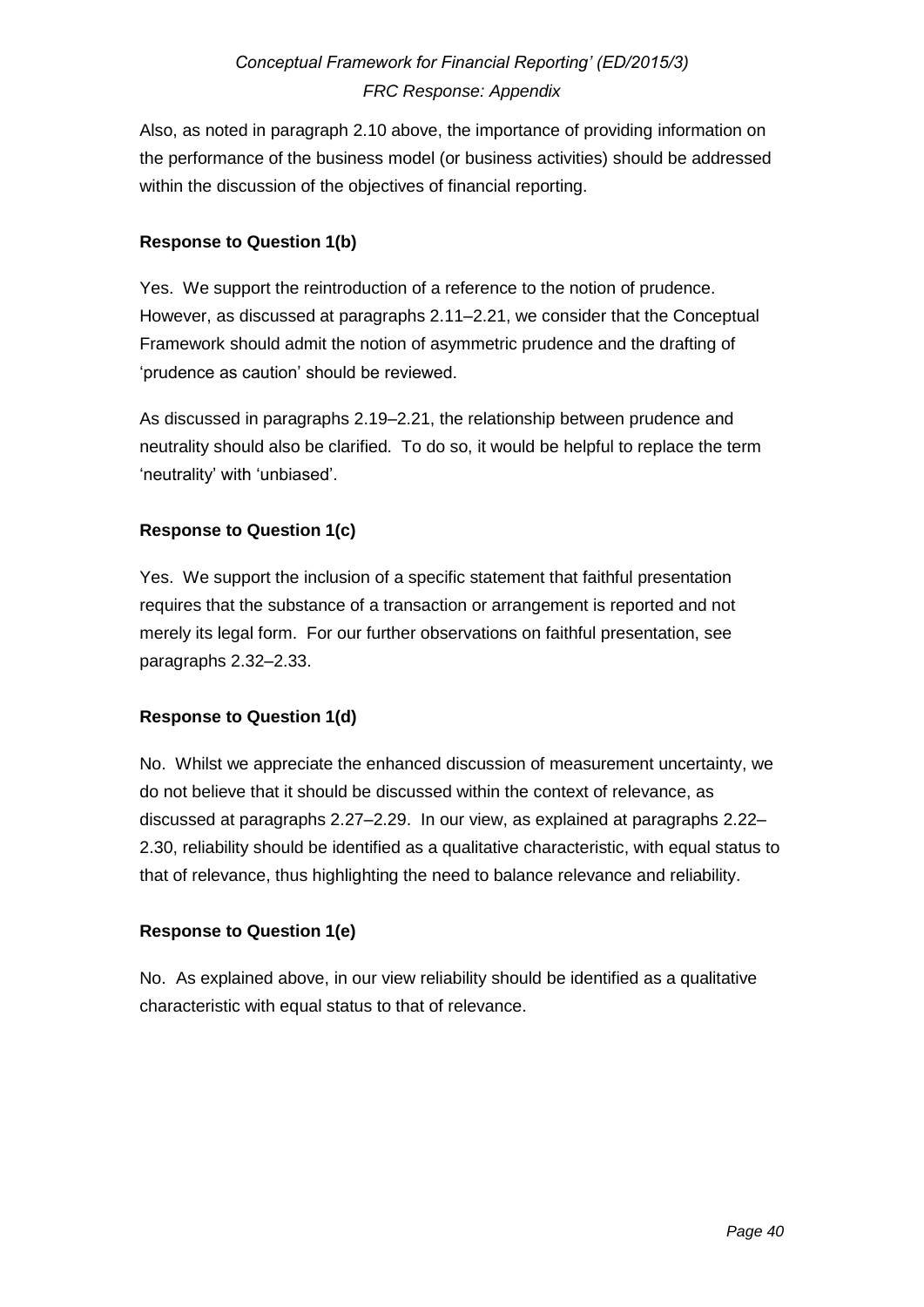Also, as noted in paragraph 2.10 above, the importance of providing information on the performance of the business model (or business activities) should be addressed within the discussion of the objectives of financial reporting.

### **Response to Question 1(b)**

Yes. We support the reintroduction of a reference to the notion of prudence. However, as discussed at paragraphs 2.11–2.21, we consider that the Conceptual Framework should admit the notion of asymmetric prudence and the drafting of 'prudence as caution' should be reviewed.

As discussed in paragraphs 2.19–2.21, the relationship between prudence and neutrality should also be clarified. To do so, it would be helpful to replace the term 'neutrality' with 'unbiased'.

### **Response to Question 1(c)**

Yes. We support the inclusion of a specific statement that faithful presentation requires that the substance of a transaction or arrangement is reported and not merely its legal form. For our further observations on faithful presentation, see paragraphs 2.32–2.33.

#### **Response to Question 1(d)**

No. Whilst we appreciate the enhanced discussion of measurement uncertainty, we do not believe that it should be discussed within the context of relevance, as discussed at paragraphs 2.27–2.29. In our view, as explained at paragraphs 2.22– 2.30, reliability should be identified as a qualitative characteristic, with equal status to that of relevance, thus highlighting the need to balance relevance and reliability.

### **Response to Question 1(e)**

No. As explained above, in our view reliability should be identified as a qualitative characteristic with equal status to that of relevance.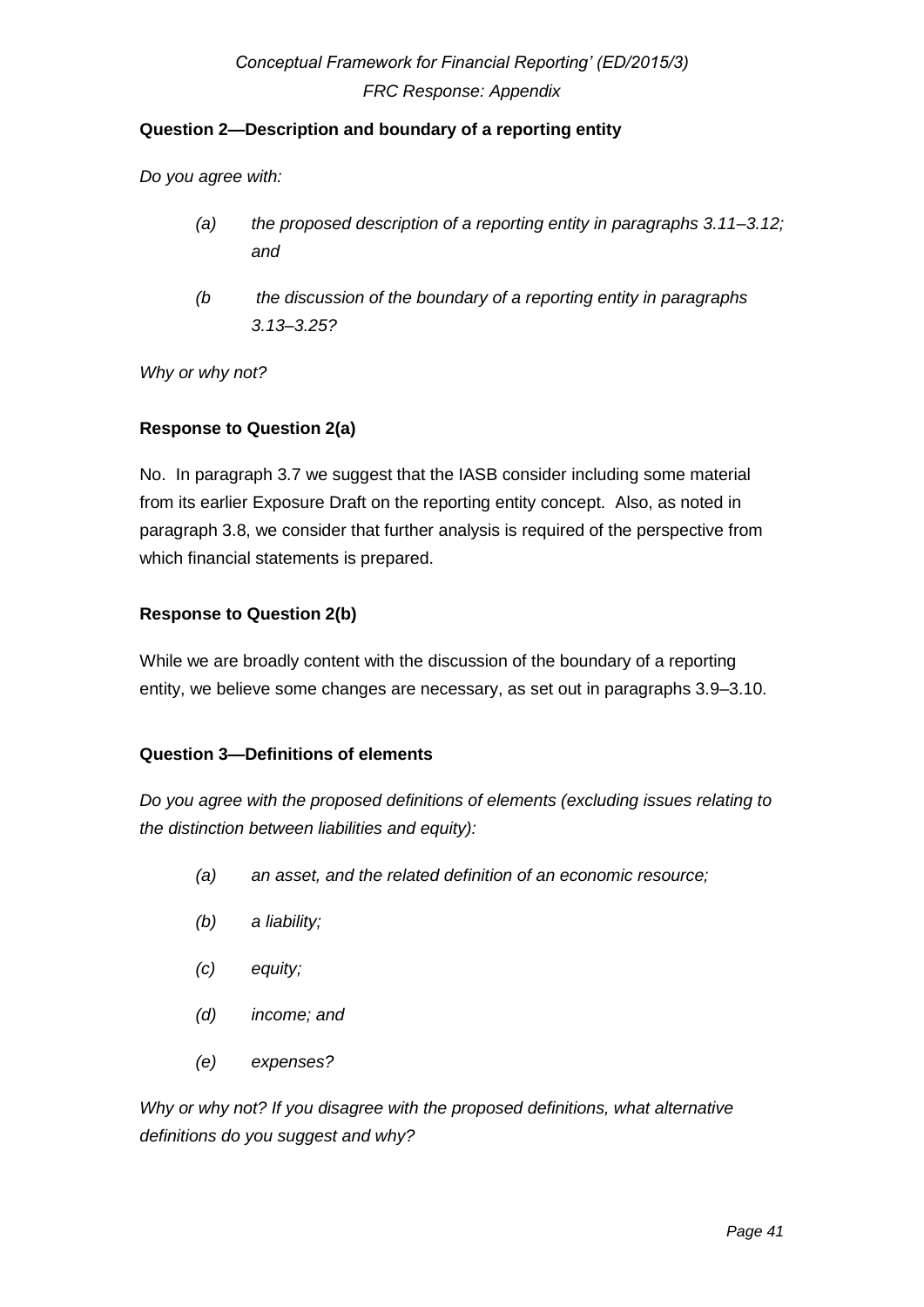### **Question 2—Description and boundary of a reporting entity**

*Do you agree with:*

- *(a) the proposed description of a reporting entity in paragraphs 3.11–3.12; and*
- *(b the discussion of the boundary of a reporting entity in paragraphs 3.13–3.25?*

*Why or why not?*

### **Response to Question 2(a)**

No. In paragraph 3.7 we suggest that the IASB consider including some material from its earlier Exposure Draft on the reporting entity concept. Also, as noted in paragraph 3.8, we consider that further analysis is required of the perspective from which financial statements is prepared.

### **Response to Question 2(b)**

While we are broadly content with the discussion of the boundary of a reporting entity, we believe some changes are necessary, as set out in paragraphs 3.9–3.10.

### **Question 3—Definitions of elements**

*Do you agree with the proposed definitions of elements (excluding issues relating to the distinction between liabilities and equity):*

- *(a) an asset, and the related definition of an economic resource;*
- *(b) a liability;*
- *(c) equity;*
- *(d) income; and*
- *(e) expenses?*

*Why or why not? If you disagree with the proposed definitions, what alternative definitions do you suggest and why?*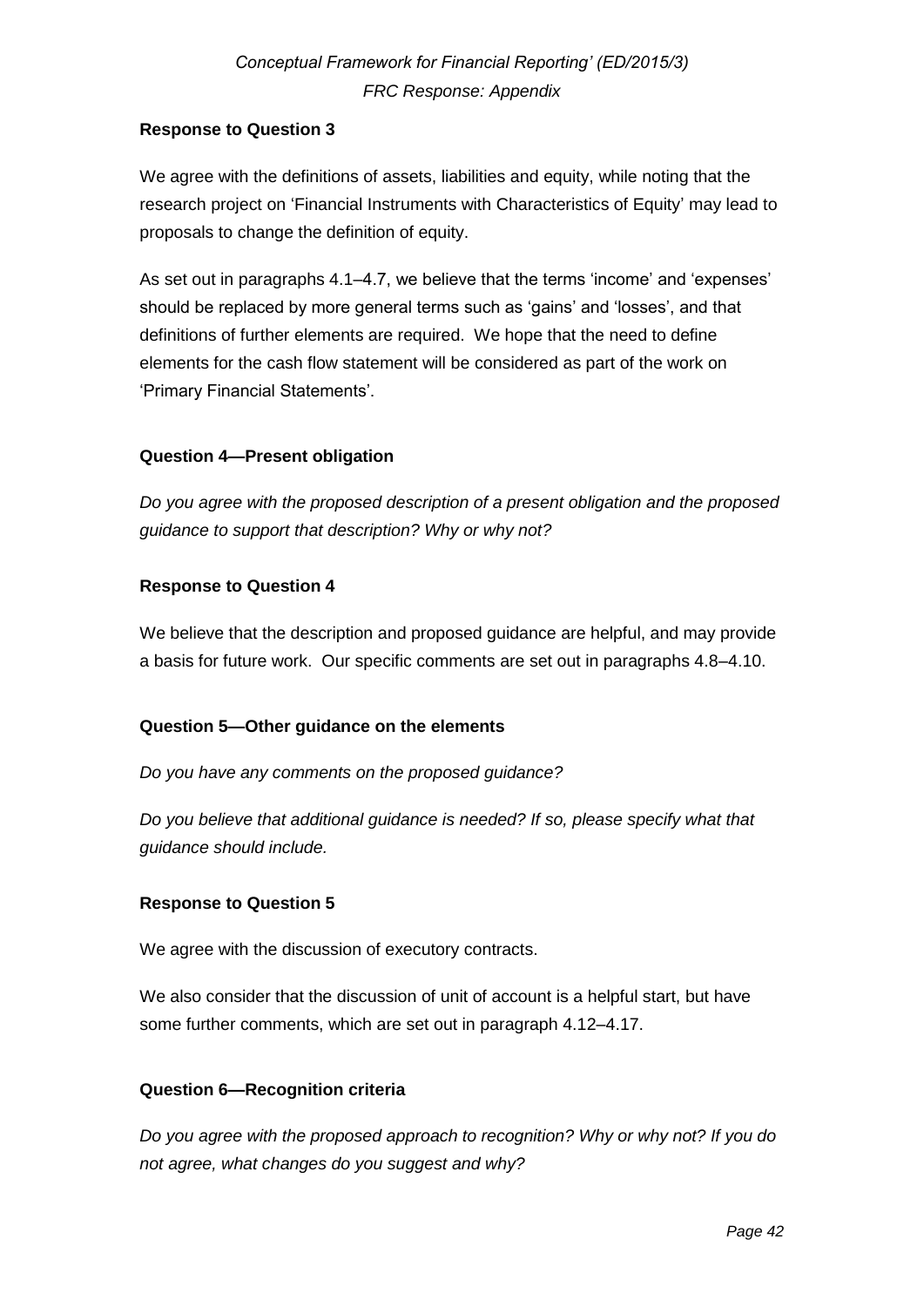### **Response to Question 3**

We agree with the definitions of assets, liabilities and equity, while noting that the research project on 'Financial Instruments with Characteristics of Equity' may lead to proposals to change the definition of equity.

As set out in paragraphs 4.1–4.7, we believe that the terms 'income' and 'expenses' should be replaced by more general terms such as 'gains' and 'losses', and that definitions of further elements are required. We hope that the need to define elements for the cash flow statement will be considered as part of the work on 'Primary Financial Statements'.

### **Question 4—Present obligation**

*Do you agree with the proposed description of a present obligation and the proposed guidance to support that description? Why or why not?*

### **Response to Question 4**

We believe that the description and proposed guidance are helpful, and may provide a basis for future work. Our specific comments are set out in paragraphs 4.8–4.10.

### **Question 5—Other guidance on the elements**

*Do you have any comments on the proposed guidance?*

*Do you believe that additional guidance is needed? If so, please specify what that guidance should include.*

#### **Response to Question 5**

We agree with the discussion of executory contracts.

We also consider that the discussion of unit of account is a helpful start, but have some further comments, which are set out in paragraph 4.12–4.17.

### **Question 6—Recognition criteria**

*Do you agree with the proposed approach to recognition? Why or why not? If you do not agree, what changes do you suggest and why?*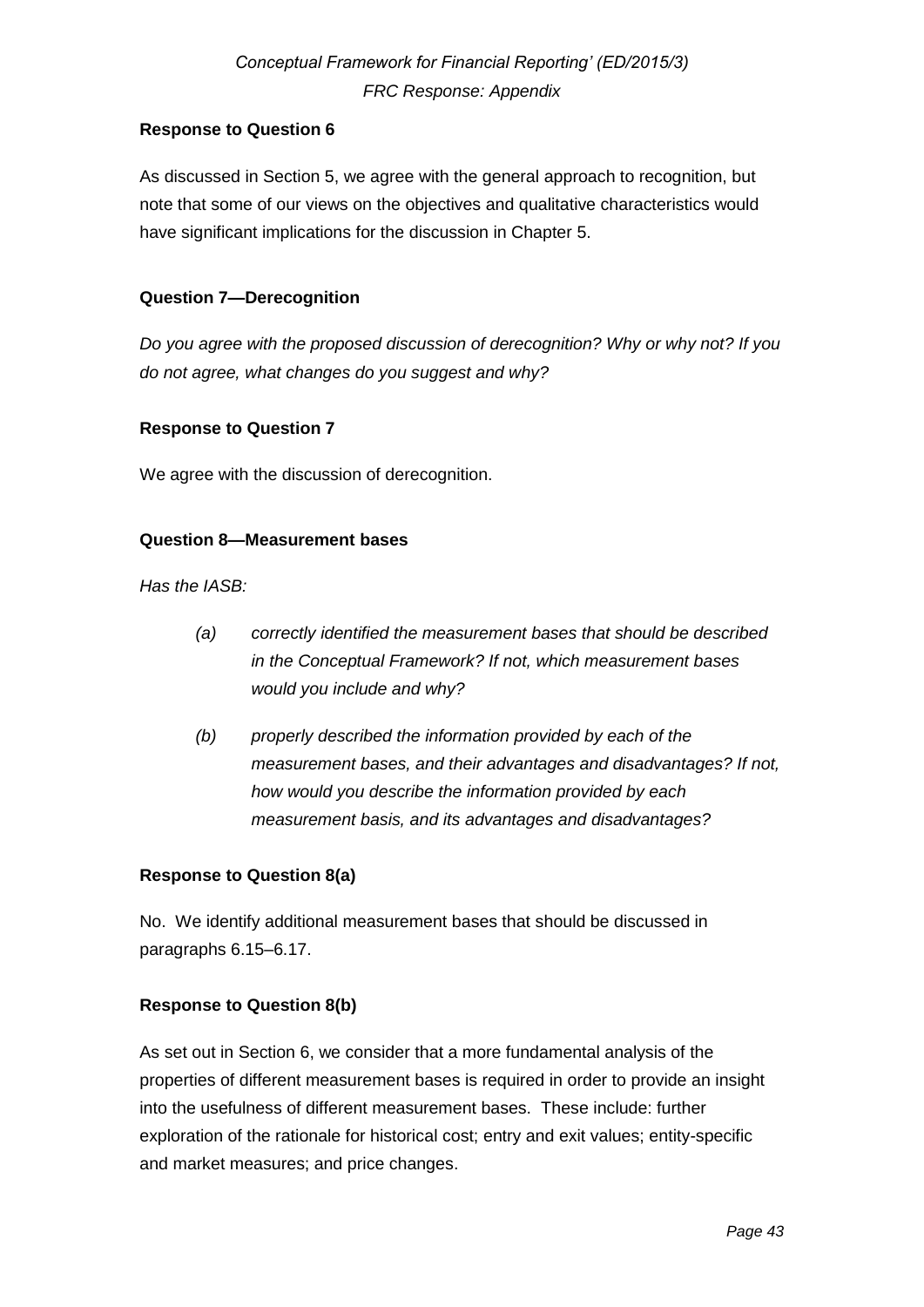### **Response to Question 6**

As discussed in Section 5, we agree with the general approach to recognition, but note that some of our views on the objectives and qualitative characteristics would have significant implications for the discussion in Chapter 5.

### **Question 7—Derecognition**

*Do you agree with the proposed discussion of derecognition? Why or why not? If you do not agree, what changes do you suggest and why?* 

### **Response to Question 7**

We agree with the discussion of derecognition.

### **Question 8—Measurement bases**

*Has the IASB:* 

- *(a) correctly identified the measurement bases that should be described in the Conceptual Framework? If not, which measurement bases would you include and why?*
- *(b) properly described the information provided by each of the measurement bases, and their advantages and disadvantages? If not, how would you describe the information provided by each measurement basis, and its advantages and disadvantages?*

#### **Response to Question 8(a)**

No. We identify additional measurement bases that should be discussed in paragraphs 6.15–6.17.

### **Response to Question 8(b)**

As set out in Section 6, we consider that a more fundamental analysis of the properties of different measurement bases is required in order to provide an insight into the usefulness of different measurement bases. These include: further exploration of the rationale for historical cost; entry and exit values; entity-specific and market measures; and price changes.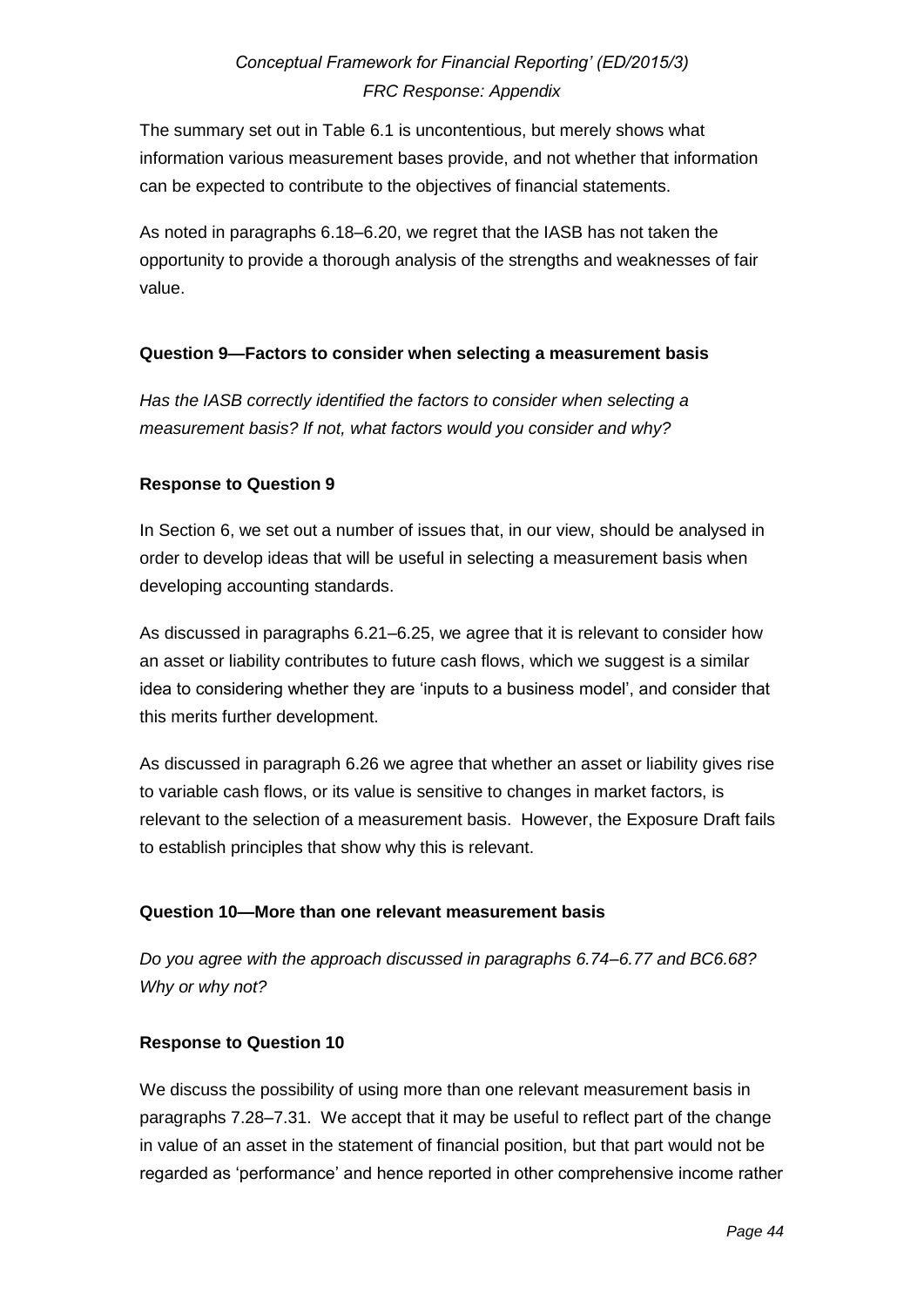The summary set out in Table 6.1 is uncontentious, but merely shows what information various measurement bases provide, and not whether that information can be expected to contribute to the objectives of financial statements.

As noted in paragraphs 6.18–6.20, we regret that the IASB has not taken the opportunity to provide a thorough analysis of the strengths and weaknesses of fair value.

### **Question 9—Factors to consider when selecting a measurement basis**

*Has the IASB correctly identified the factors to consider when selecting a measurement basis? If not, what factors would you consider and why?* 

### **Response to Question 9**

In Section 6, we set out a number of issues that, in our view, should be analysed in order to develop ideas that will be useful in selecting a measurement basis when developing accounting standards.

As discussed in paragraphs 6.21–6.25, we agree that it is relevant to consider how an asset or liability contributes to future cash flows, which we suggest is a similar idea to considering whether they are 'inputs to a business model', and consider that this merits further development.

As discussed in paragraph 6.26 we agree that whether an asset or liability gives rise to variable cash flows, or its value is sensitive to changes in market factors, is relevant to the selection of a measurement basis. However, the Exposure Draft fails to establish principles that show why this is relevant.

#### **Question 10—More than one relevant measurement basis**

*Do you agree with the approach discussed in paragraphs 6.74–6.77 and BC6.68? Why or why not?* 

#### **Response to Question 10**

We discuss the possibility of using more than one relevant measurement basis in paragraphs 7.28–7.31. We accept that it may be useful to reflect part of the change in value of an asset in the statement of financial position, but that part would not be regarded as 'performance' and hence reported in other comprehensive income rather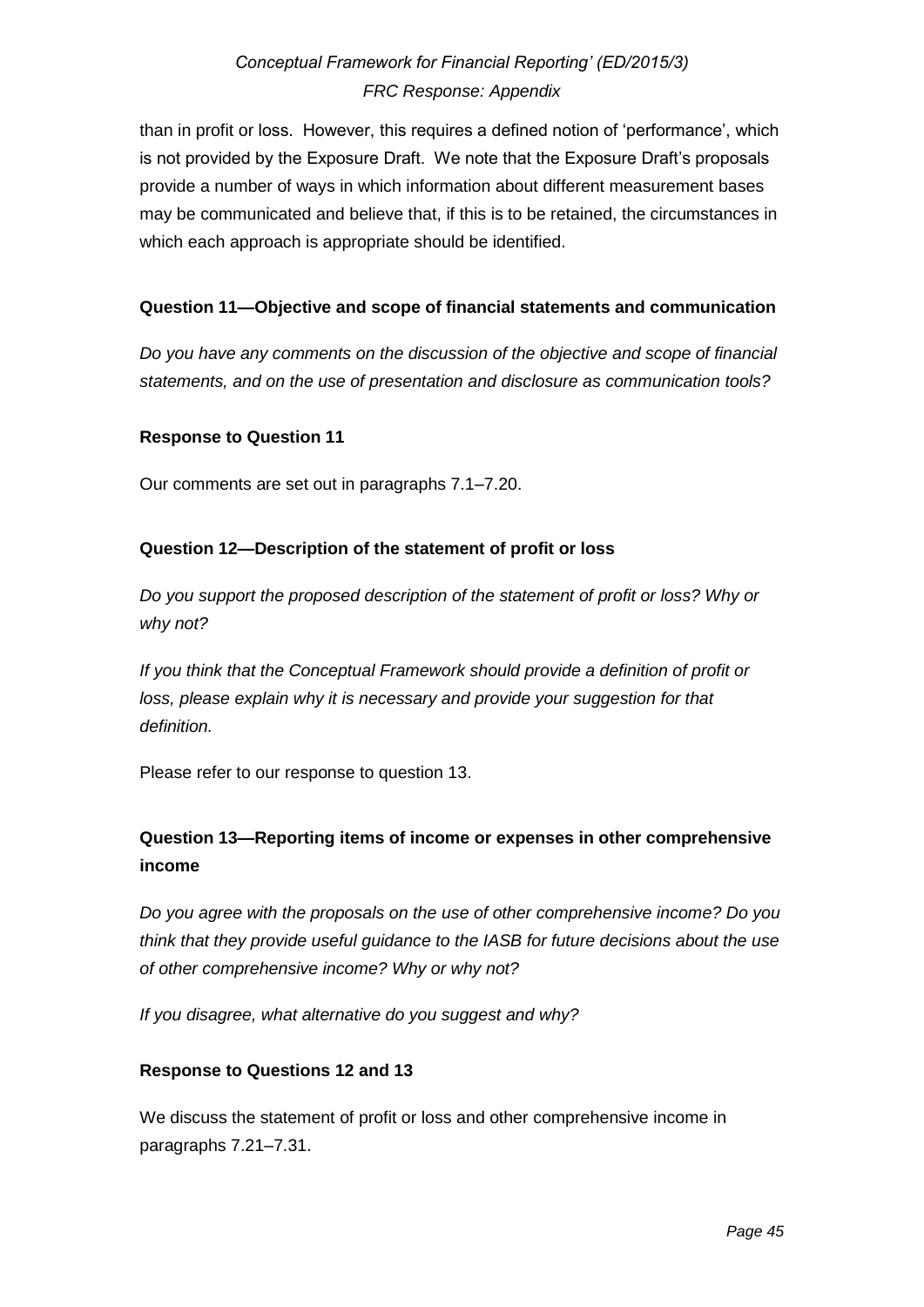than in profit or loss. However, this requires a defined notion of 'performance', which is not provided by the Exposure Draft. We note that the Exposure Draft's proposals provide a number of ways in which information about different measurement bases may be communicated and believe that, if this is to be retained, the circumstances in which each approach is appropriate should be identified.

### **Question 11—Objective and scope of financial statements and communication**

*Do you have any comments on the discussion of the objective and scope of financial statements, and on the use of presentation and disclosure as communication tools?* 

#### **Response to Question 11**

Our comments are set out in paragraphs 7.1–7.20.

### **Question 12—Description of the statement of profit or loss**

*Do you support the proposed description of the statement of profit or loss? Why or why not?* 

*If you think that the Conceptual Framework should provide a definition of profit or loss, please explain why it is necessary and provide your suggestion for that definition.* 

Please refer to our response to question 13.

## **Question 13—Reporting items of income or expenses in other comprehensive income**

*Do you agree with the proposals on the use of other comprehensive income? Do you think that they provide useful guidance to the IASB for future decisions about the use of other comprehensive income? Why or why not?* 

*If you disagree, what alternative do you suggest and why?* 

#### **Response to Questions 12 and 13**

We discuss the statement of profit or loss and other comprehensive income in paragraphs 7.21–7.31.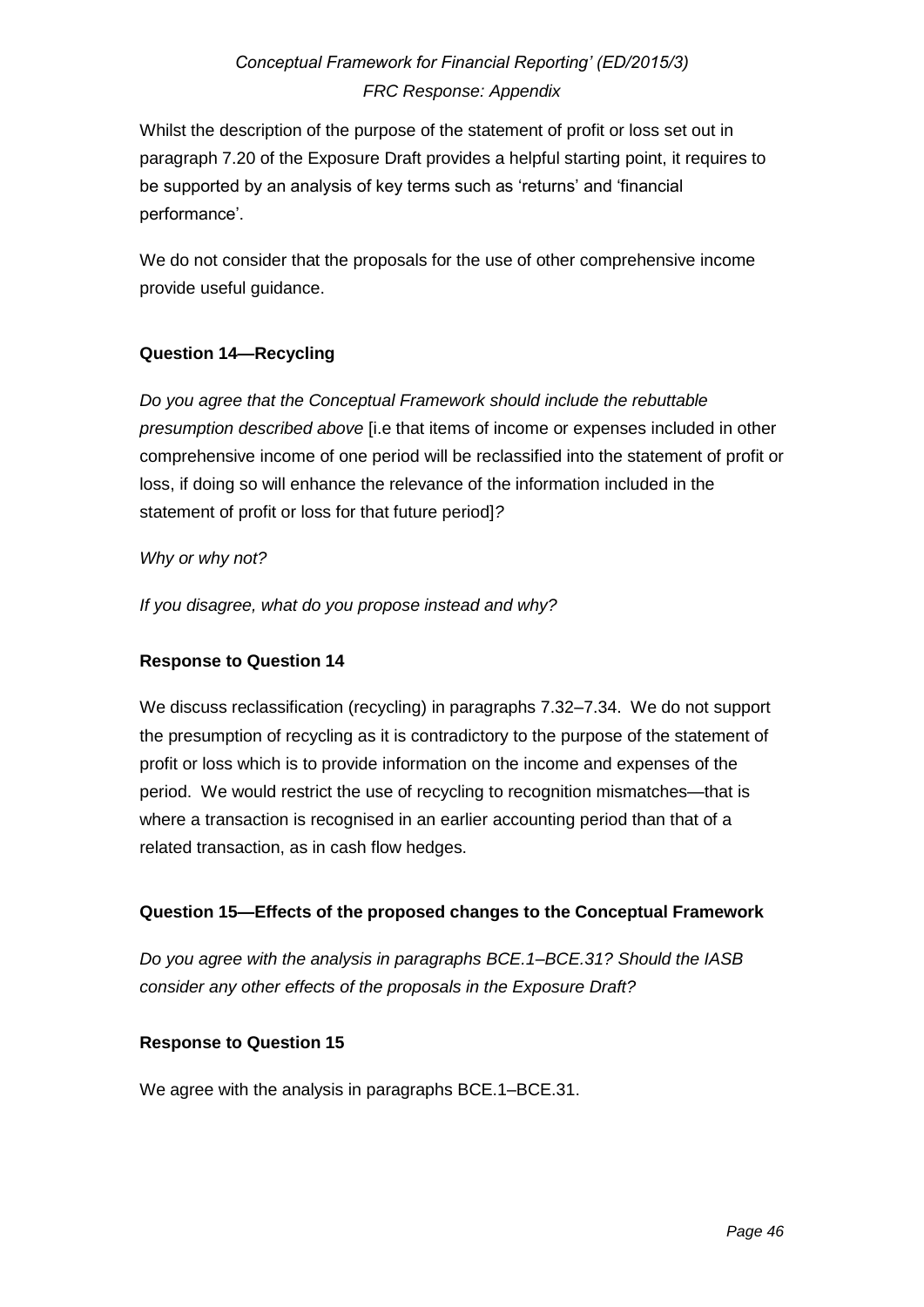Whilst the description of the purpose of the statement of profit or loss set out in paragraph 7.20 of the Exposure Draft provides a helpful starting point, it requires to be supported by an analysis of key terms such as 'returns' and 'financial performance'.

We do not consider that the proposals for the use of other comprehensive income provide useful guidance.

## **Question 14—Recycling**

*Do you agree that the Conceptual Framework should include the rebuttable presumption described above* [i.e that items of income or expenses included in other comprehensive income of one period will be reclassified into the statement of profit or loss, if doing so will enhance the relevance of the information included in the statement of profit or loss for that future period]*?* 

### *Why or why not?*

*If you disagree, what do you propose instead and why?*

## **Response to Question 14**

We discuss reclassification (recycling) in paragraphs 7.32–7.34. We do not support the presumption of recycling as it is contradictory to the purpose of the statement of profit or loss which is to provide information on the income and expenses of the period. We would restrict the use of recycling to recognition mismatches—that is where a transaction is recognised in an earlier accounting period than that of a related transaction, as in cash flow hedges.

## **Question 15—Effects of the proposed changes to the Conceptual Framework**

*Do you agree with the analysis in paragraphs BCE.1–BCE.31? Should the IASB consider any other effects of the proposals in the Exposure Draft?* 

### **Response to Question 15**

We agree with the analysis in paragraphs BCE.1–BCE.31.